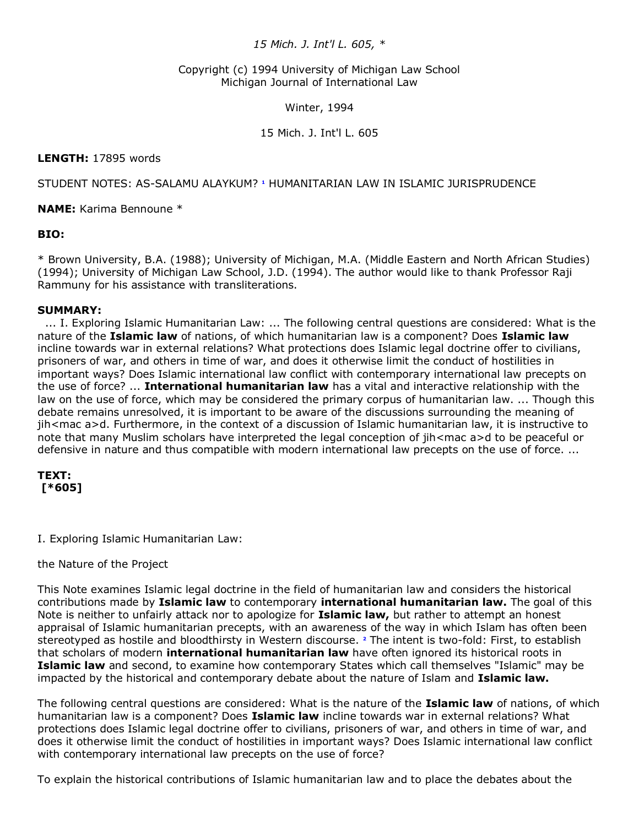# *15 Mich. J. Int'l L. 605, \**

### Copyright (c) 1994 University of Michigan Law School Michigan Journal of International Law

#### Winter, 1994

### 15 Mich. J. Int'l L. 605

## **LENGTH:** 17895 words

## STUDENT NOTES: AS-SALAMU ALAYKUM?**<sup>1</sup>** HUMANITARIAN LAW IN ISLAMIC JURISPRUDENCE

**NAME:** Karima Bennoune \*

# **BIO:**

\* Brown University, B.A. (1988); University of Michigan, M.A. (Middle Eastern and North African Studies) (1994); University of Michigan Law School, J.D. (1994). The author would like to thank Professor Raji Rammuny for his assistance with transliterations.

### **SUMMARY:**

... I. Exploring Islamic Humanitarian Law: ... The following central questions are considered: What is the nature of the **Islamic law** of nations, of which humanitarian law is a component? Does **Islamic law** incline towards war in external relations? What protections does Islamic legal doctrine offer to civilians, prisoners of war, and others in time of war, and does it otherwise limit the conduct of hostilities in important ways? Does Islamic international law conflict with contemporary international law precepts on the use of force? ... **International humanitarian law** has a vital and interactive relationship with the law on the use of force, which may be considered the primary corpus of humanitarian law. ... Though this debate remains unresolved, it is important to be aware of the discussions surrounding the meaning of jih<mac a>d. Furthermore, in the context of a discussion of Islamic humanitarian law, it is instructive to note that many Muslim scholars have interpreted the legal conception of jih<mac a>d to be peaceful or defensive in nature and thus compatible with modern international law precepts on the use of force. ...

# **TEXT: [\*605]**

I. Exploring Islamic Humanitarian Law:

### the Nature of the Project

This Note examines Islamic legal doctrine in the field of humanitarian law and considers the historical contributions made by **Islamic law** to contemporary **international humanitarian law.** The goal of this Note is neither to unfairly attack nor to apologize for **Islamic law,** but rather to attempt an honest appraisal of Islamic humanitarian precepts, with an awareness of the way in which Islam has often been stereotyped as hostile and bloodthirsty in Western discourse. **[2](http://www.lexis.com/research/retrieve?_m=47973e549231c520dbe09e2cd0971a2c&docnum=1&_fmtstr=FULL&_startdoc=1&wchp=dGLbVzz-zSkAA&_md5=0f232df1e532c2bc94176067a855cfb4&focBudTerms=&focBudSel=all#n2#n2)** The intent is two-fold: First, to establish that scholars of modern **international humanitarian law** have often ignored its historical roots in **Islamic law** and second, to examine how contemporary States which call themselves "Islamic" may be impacted by the historical and contemporary debate about the nature of Islam and **Islamic law.**

The following central questions are considered: What is the nature of the **Islamic law** of nations, of which humanitarian law is a component? Does **Islamic law** incline towards war in external relations? What protections does Islamic legal doctrine offer to civilians, prisoners of war, and others in time of war, and does it otherwise limit the conduct of hostilities in important ways? Does Islamic international law conflict with contemporary international law precepts on the use of force?

To explain the historical contributions of Islamic humanitarian law and to place the debates about the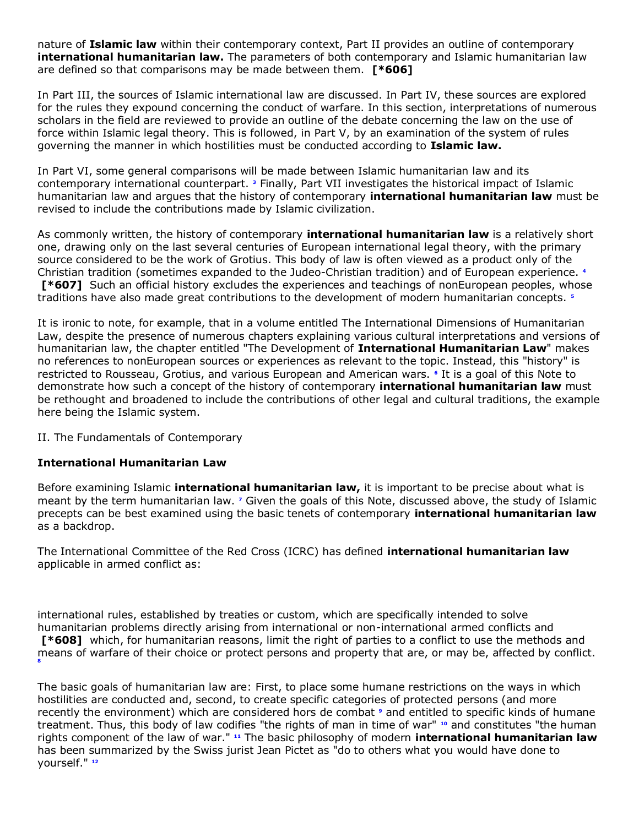nature of **Islamic law** within their contemporary context, Part II provides an outline of contemporary **international humanitarian law.** The parameters of both contemporary and Islamic humanitarian law are defined so that comparisons may be made between them. **[\*606]**

In Part III, the sources of Islamic international law are discussed. In Part IV, these sources are explored for the rules they expound concerning the conduct of warfare. In this section, interpretations of numerous scholars in the field are reviewed to provide an outline of the debate concerning the law on the use of force within Islamic legal theory. This is followed, in Part V, by an examination of the system of rules governing the manner in which hostilities must be conducted according to **Islamic law.**

In Part VI, some general comparisons will be made between Islamic humanitarian law and its contemporary international counterpart.**<sup>3</sup>** Finally, Part VII investigates the historical impact of Islamic humanitarian law and argues that the history of contemporary **international humanitarian law** must be revised to include the contributions made by Islamic civilization.

As commonly written, the history of contemporary **international humanitarian law** is a relatively short one, drawing only on the last several centuries of European international legal theory, with the primary source considered to be the work of Grotius. This body of law is often viewed as a product only of the Christian tradition (sometimes expanded to the Judeo-Christian tradition) and of European experience.**<sup>4</sup> [\*607]** Such an official history excludes the experiences and teachings of nonEuropean peoples, whose traditions have also made great contributions to the development of modern humanitarian concepts.**<sup>5</sup>**

It is ironic to note, for example, that in a volume entitled The International Dimensions of Humanitarian Law, despite the presence of numerous chapters explaining various cultural interpretations and versions of humanitarian law, the chapter entitled "The Development of **International Humanitarian Law**" makes no references to nonEuropean sources or experiences as relevant to the topic. Instead, this "history" is restricted to Rousseau, Grotius, and various European and American wars.**<sup>6</sup>** It is a goal of this Note to demonstrate how such a concept of the history of contemporary **international humanitarian law** must be rethought and broadened to include the contributions of other legal and cultural traditions, the example here being the Islamic system.

II. The Fundamentals of Contemporary

### **International Humanitarian Law**

Before examining Islamic **international humanitarian law,** it is important to be precise about what is meant by the term humanitarian law.**<sup>7</sup>** Given the goals of this Note, discussed above, the study of Islamic precepts can be best examined using the basic tenets of contemporary **international humanitarian law** as a backdrop.

The International Committee of the Red Cross (ICRC) has defined **international humanitarian law** applicable in armed conflict as:

international rules, established by treaties or custom, which are specifically intended to solve humanitarian problems directly arising from international or non-international armed conflicts and **[\*608]** which, for humanitarian reasons, limit the right of parties to a conflict to use the methods and means of warfare of their choice or protect persons and property that are, or may be, affected by conflict. **[8](http://www.lexis.com/research/retrieve?_m=47973e549231c520dbe09e2cd0971a2c&docnum=1&_fmtstr=FULL&_startdoc=1&wchp=dGLbVzz-zSkAA&_md5=0f232df1e532c2bc94176067a855cfb4&focBudTerms=&focBudSel=all#n8#n8)**

The basic goals of humanitarian law are: First, to place some humane restrictions on the ways in which hostilities are conducted and, second, to create specific categories of protected persons (and more recently the environment) which are considered hors de combat**<sup>9</sup>** and entitled to specific kinds of humane treatment. Thus, this body of law codifies "the rights of man in time of war" **[10](http://www.lexis.com/research/retrieve?_m=47973e549231c520dbe09e2cd0971a2c&docnum=1&_fmtstr=FULL&_startdoc=1&wchp=dGLbVzz-zSkAA&_md5=0f232df1e532c2bc94176067a855cfb4&focBudTerms=&focBudSel=all#n10#n10)** and constitutes "the human rights component of the law of war." **[11](http://www.lexis.com/research/retrieve?_m=47973e549231c520dbe09e2cd0971a2c&docnum=1&_fmtstr=FULL&_startdoc=1&wchp=dGLbVzz-zSkAA&_md5=0f232df1e532c2bc94176067a855cfb4&focBudTerms=&focBudSel=all#n11#n11)** The basic philosophy of modern **international humanitarian law** has been summarized by the Swiss jurist Jean Pictet as "do to others what you would have done to yourself." **[12](http://www.lexis.com/research/retrieve?_m=47973e549231c520dbe09e2cd0971a2c&docnum=1&_fmtstr=FULL&_startdoc=1&wchp=dGLbVzz-zSkAA&_md5=0f232df1e532c2bc94176067a855cfb4&focBudTerms=&focBudSel=all#n12#n12)**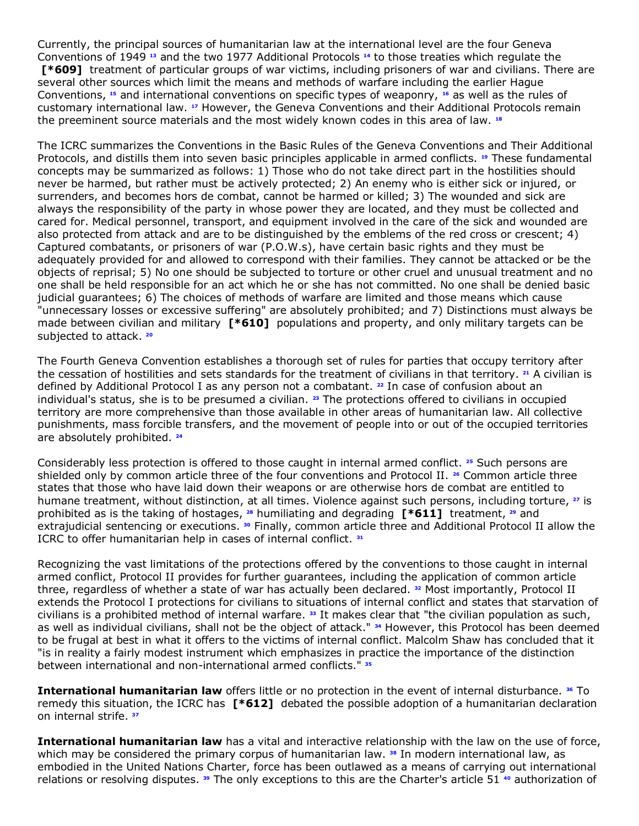Currently, the principal sources of humanitarian law at the international level are the four Geneva Conventions of 1949 **[13](http://www.lexis.com/research/retrieve?_m=47973e549231c520dbe09e2cd0971a2c&docnum=1&_fmtstr=FULL&_startdoc=1&wchp=dGLbVzz-zSkAA&_md5=0f232df1e532c2bc94176067a855cfb4&focBudTerms=&focBudSel=all#n13#n13)** and the two 1977 Additional Protocols **[14](http://www.lexis.com/research/retrieve?_m=47973e549231c520dbe09e2cd0971a2c&docnum=1&_fmtstr=FULL&_startdoc=1&wchp=dGLbVzz-zSkAA&_md5=0f232df1e532c2bc94176067a855cfb4&focBudTerms=&focBudSel=all#n14#n14)** to those treaties which regulate the **[\*609]** treatment of particular groups of war victims, including prisoners of war and civilians. There are several other sources which limit the means and methods of warfare including the earlier Hague Conventions, **[15](http://www.lexis.com/research/retrieve?_m=47973e549231c520dbe09e2cd0971a2c&docnum=1&_fmtstr=FULL&_startdoc=1&wchp=dGLbVzz-zSkAA&_md5=0f232df1e532c2bc94176067a855cfb4&focBudTerms=&focBudSel=all#n15#n15)** and international conventions on specific types of weaponry, **[16](http://www.lexis.com/research/retrieve?_m=47973e549231c520dbe09e2cd0971a2c&docnum=1&_fmtstr=FULL&_startdoc=1&wchp=dGLbVzz-zSkAA&_md5=0f232df1e532c2bc94176067a855cfb4&focBudTerms=&focBudSel=all#n16#n16)** as well as the rules of customary international law. **[17](http://www.lexis.com/research/retrieve?_m=47973e549231c520dbe09e2cd0971a2c&docnum=1&_fmtstr=FULL&_startdoc=1&wchp=dGLbVzz-zSkAA&_md5=0f232df1e532c2bc94176067a855cfb4&focBudTerms=&focBudSel=all#n17#n17)** However, the Geneva Conventions and their Additional Protocols remain the preeminent source materials and the most widely known codes in this area of law. **[18](http://www.lexis.com/research/retrieve?_m=47973e549231c520dbe09e2cd0971a2c&docnum=1&_fmtstr=FULL&_startdoc=1&wchp=dGLbVzz-zSkAA&_md5=0f232df1e532c2bc94176067a855cfb4&focBudTerms=&focBudSel=all#n18#n18)**

The ICRC summarizes the Conventions in the Basic Rules of the Geneva Conventions and Their Additional Protocols, and distills them into seven basic principles applicable in armed conflicts. **[19](http://www.lexis.com/research/retrieve?_m=47973e549231c520dbe09e2cd0971a2c&docnum=1&_fmtstr=FULL&_startdoc=1&wchp=dGLbVzz-zSkAA&_md5=0f232df1e532c2bc94176067a855cfb4&focBudTerms=&focBudSel=all#n19#n19)** These fundamental concepts may be summarized as follows: 1) Those who do not take direct part in the hostilities should never be harmed, but rather must be actively protected; 2) An enemy who is either sick or injured, or surrenders, and becomes hors de combat, cannot be harmed or killed; 3) The wounded and sick are always the responsibility of the party in whose power they are located, and they must be collected and cared for. Medical personnel, transport, and equipment involved in the care of the sick and wounded are also protected from attack and are to be distinguished by the emblems of the red cross or crescent; 4) Captured combatants, or prisoners of war (P.O.W.s), have certain basic rights and they must be adequately provided for and allowed to correspond with their families. They cannot be attacked or be the objects of reprisal; 5) No one should be subjected to torture or other cruel and unusual treatment and no one shall be held responsible for an act which he or she has not committed. No one shall be denied basic judicial guarantees; 6) The choices of methods of warfare are limited and those means which cause "unnecessary losses or excessive suffering" are absolutely prohibited; and 7) Distinctions must always be made between civilian and military **[\*610]** populations and property, and only military targets can be subjected to attack. **[20](http://www.lexis.com/research/retrieve?_m=47973e549231c520dbe09e2cd0971a2c&docnum=1&_fmtstr=FULL&_startdoc=1&wchp=dGLbVzz-zSkAA&_md5=0f232df1e532c2bc94176067a855cfb4&focBudTerms=&focBudSel=all#n20#n20)**

The Fourth Geneva Convention establishes a thorough set of rules for parties that occupy territory after the cessation of hostilities and sets standards for the treatment of civilians in that territory. **[21](http://www.lexis.com/research/retrieve?_m=47973e549231c520dbe09e2cd0971a2c&docnum=1&_fmtstr=FULL&_startdoc=1&wchp=dGLbVzz-zSkAA&_md5=0f232df1e532c2bc94176067a855cfb4&focBudTerms=&focBudSel=all#n21#n21)** A civilian is defined by Additional Protocol I as any person not a combatant. **[22](http://www.lexis.com/research/retrieve?_m=47973e549231c520dbe09e2cd0971a2c&docnum=1&_fmtstr=FULL&_startdoc=1&wchp=dGLbVzz-zSkAA&_md5=0f232df1e532c2bc94176067a855cfb4&focBudTerms=&focBudSel=all#n22#n22)** In case of confusion about an individual's status, she is to be presumed a civilian. **[23](http://www.lexis.com/research/retrieve?_m=47973e549231c520dbe09e2cd0971a2c&docnum=1&_fmtstr=FULL&_startdoc=1&wchp=dGLbVzz-zSkAA&_md5=0f232df1e532c2bc94176067a855cfb4&focBudTerms=&focBudSel=all#n23#n23)** The protections offered to civilians in occupied territory are more comprehensive than those available in other areas of humanitarian law. All collective punishments, mass forcible transfers, and the movement of people into or out of the occupied territories are absolutely prohibited. **[24](http://www.lexis.com/research/retrieve?_m=47973e549231c520dbe09e2cd0971a2c&docnum=1&_fmtstr=FULL&_startdoc=1&wchp=dGLbVzz-zSkAA&_md5=0f232df1e532c2bc94176067a855cfb4&focBudTerms=&focBudSel=all#n24#n24)**

Considerably less protection is offered to those caught in internal armed conflict. **[25](http://www.lexis.com/research/retrieve?_m=47973e549231c520dbe09e2cd0971a2c&docnum=1&_fmtstr=FULL&_startdoc=1&wchp=dGLbVzz-zSkAA&_md5=0f232df1e532c2bc94176067a855cfb4&focBudTerms=&focBudSel=all#n25#n25)** Such persons are shielded only by common article three of the four conventions and Protocol II. **[26](http://www.lexis.com/research/retrieve?_m=47973e549231c520dbe09e2cd0971a2c&docnum=1&_fmtstr=FULL&_startdoc=1&wchp=dGLbVzz-zSkAA&_md5=0f232df1e532c2bc94176067a855cfb4&focBudTerms=&focBudSel=all#n26#n26)** Common article three states that those who have laid down their weapons or are otherwise hors de combat are entitled to humane treatment, without distinction, at all times. Violence against such persons, including torture, **[27](http://www.lexis.com/research/retrieve?_m=47973e549231c520dbe09e2cd0971a2c&docnum=1&_fmtstr=FULL&_startdoc=1&wchp=dGLbVzz-zSkAA&_md5=0f232df1e532c2bc94176067a855cfb4&focBudTerms=&focBudSel=all#n27#n27)** is prohibited as is the taking of hostages, **[28](http://www.lexis.com/research/retrieve?_m=47973e549231c520dbe09e2cd0971a2c&docnum=1&_fmtstr=FULL&_startdoc=1&wchp=dGLbVzz-zSkAA&_md5=0f232df1e532c2bc94176067a855cfb4&focBudTerms=&focBudSel=all#n28#n28)** humiliating and degrading **[\*611]** treatment, **[29](http://www.lexis.com/research/retrieve?_m=47973e549231c520dbe09e2cd0971a2c&docnum=1&_fmtstr=FULL&_startdoc=1&wchp=dGLbVzz-zSkAA&_md5=0f232df1e532c2bc94176067a855cfb4&focBudTerms=&focBudSel=all#n29#n29)** and extrajudicial sentencing or executions. **[30](http://www.lexis.com/research/retrieve?_m=47973e549231c520dbe09e2cd0971a2c&docnum=1&_fmtstr=FULL&_startdoc=1&wchp=dGLbVzz-zSkAA&_md5=0f232df1e532c2bc94176067a855cfb4&focBudTerms=&focBudSel=all#n30#n30)** Finally, common article three and Additional Protocol II allow the ICRC to offer humanitarian help in cases of internal conflict. **[31](http://www.lexis.com/research/retrieve?_m=47973e549231c520dbe09e2cd0971a2c&docnum=1&_fmtstr=FULL&_startdoc=1&wchp=dGLbVzz-zSkAA&_md5=0f232df1e532c2bc94176067a855cfb4&focBudTerms=&focBudSel=all#n31#n31)**

Recognizing the vast limitations of the protections offered by the conventions to those caught in internal armed conflict, Protocol II provides for further guarantees, including the application of common article three, regardless of whether a state of war has actually been declared. **[32](http://www.lexis.com/research/retrieve?_m=47973e549231c520dbe09e2cd0971a2c&docnum=1&_fmtstr=FULL&_startdoc=1&wchp=dGLbVzz-zSkAA&_md5=0f232df1e532c2bc94176067a855cfb4&focBudTerms=&focBudSel=all#n32#n32)** Most importantly, Protocol II extends the Protocol I protections for civilians to situations of internal conflict and states that starvation of civilians is a prohibited method of internal warfare. **[33](http://www.lexis.com/research/retrieve?_m=47973e549231c520dbe09e2cd0971a2c&docnum=1&_fmtstr=FULL&_startdoc=1&wchp=dGLbVzz-zSkAA&_md5=0f232df1e532c2bc94176067a855cfb4&focBudTerms=&focBudSel=all#n33#n33)** It makes clear that "the civilian population as such, as well as individual civilians, shall not be the object of attack." **[34](http://www.lexis.com/research/retrieve?_m=47973e549231c520dbe09e2cd0971a2c&docnum=1&_fmtstr=FULL&_startdoc=1&wchp=dGLbVzz-zSkAA&_md5=0f232df1e532c2bc94176067a855cfb4&focBudTerms=&focBudSel=all#n34#n34)** However, this Protocol has been deemed to be frugal at best in what it offers to the victims of internal conflict. Malcolm Shaw has concluded that it "is in reality a fairly modest instrument which emphasizes in practice the importance of the distinction between international and non-international armed conflicts." **[35](http://www.lexis.com/research/retrieve?_m=47973e549231c520dbe09e2cd0971a2c&docnum=1&_fmtstr=FULL&_startdoc=1&wchp=dGLbVzz-zSkAA&_md5=0f232df1e532c2bc94176067a855cfb4&focBudTerms=&focBudSel=all#n35#n35)**

**International humanitarian law** offers little or no protection in the event of internal disturbance. **[36](http://www.lexis.com/research/retrieve?_m=47973e549231c520dbe09e2cd0971a2c&docnum=1&_fmtstr=FULL&_startdoc=1&wchp=dGLbVzz-zSkAA&_md5=0f232df1e532c2bc94176067a855cfb4&focBudTerms=&focBudSel=all#n36#n36)** To remedy this situation, the ICRC has **[\*612]** debated the possible adoption of a humanitarian declaration on internal strife. **[37](http://www.lexis.com/research/retrieve?_m=47973e549231c520dbe09e2cd0971a2c&docnum=1&_fmtstr=FULL&_startdoc=1&wchp=dGLbVzz-zSkAA&_md5=0f232df1e532c2bc94176067a855cfb4&focBudTerms=&focBudSel=all#n37#n37)**

**International humanitarian law** has a vital and interactive relationship with the law on the use of force, which may be considered the primary corpus of humanitarian law. **[38](http://www.lexis.com/research/retrieve?_m=47973e549231c520dbe09e2cd0971a2c&docnum=1&_fmtstr=FULL&_startdoc=1&wchp=dGLbVzz-zSkAA&_md5=0f232df1e532c2bc94176067a855cfb4&focBudTerms=&focBudSel=all#n38#n38)** In modern international law, as embodied in the United Nations Charter, force has been outlawed as a means of carrying out international relations or resolving disputes. **[39](http://www.lexis.com/research/retrieve?_m=47973e549231c520dbe09e2cd0971a2c&docnum=1&_fmtstr=FULL&_startdoc=1&wchp=dGLbVzz-zSkAA&_md5=0f232df1e532c2bc94176067a855cfb4&focBudTerms=&focBudSel=all#n39#n39)** The only exceptions to this are the Charter's article 51 **[40](http://www.lexis.com/research/retrieve?_m=47973e549231c520dbe09e2cd0971a2c&docnum=1&_fmtstr=FULL&_startdoc=1&wchp=dGLbVzz-zSkAA&_md5=0f232df1e532c2bc94176067a855cfb4&focBudTerms=&focBudSel=all#n40#n40)** authorization of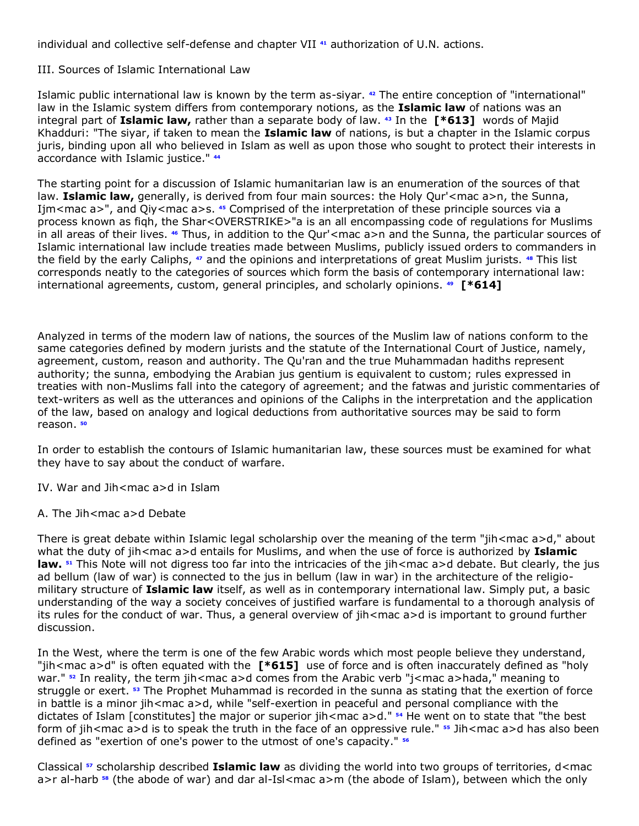individual and collective self-defense and chapter VII **[41](http://www.lexis.com/research/retrieve?_m=47973e549231c520dbe09e2cd0971a2c&docnum=1&_fmtstr=FULL&_startdoc=1&wchp=dGLbVzz-zSkAA&_md5=0f232df1e532c2bc94176067a855cfb4&focBudTerms=&focBudSel=all#n41#n41)** authorization of U.N. actions.

III. Sources of Islamic International Law

Islamic public international law is known by the term as-siyar. **[42](http://www.lexis.com/research/retrieve?_m=47973e549231c520dbe09e2cd0971a2c&docnum=1&_fmtstr=FULL&_startdoc=1&wchp=dGLbVzz-zSkAA&_md5=0f232df1e532c2bc94176067a855cfb4&focBudTerms=&focBudSel=all#n42#n42)** The entire conception of "international" law in the Islamic system differs from contemporary notions, as the **Islamic law** of nations was an integral part of **Islamic law,** rather than a separate body of law. **[43](http://www.lexis.com/research/retrieve?_m=47973e549231c520dbe09e2cd0971a2c&docnum=1&_fmtstr=FULL&_startdoc=1&wchp=dGLbVzz-zSkAA&_md5=0f232df1e532c2bc94176067a855cfb4&focBudTerms=&focBudSel=all#n43#n43)** In the **[\*613]** words of Majid Khadduri: "The siyar, if taken to mean the **Islamic law** of nations, is but a chapter in the Islamic corpus juris, binding upon all who believed in Islam as well as upon those who sought to protect their interests in accordance with Islamic justice." **[44](http://www.lexis.com/research/retrieve?_m=47973e549231c520dbe09e2cd0971a2c&docnum=1&_fmtstr=FULL&_startdoc=1&wchp=dGLbVzz-zSkAA&_md5=0f232df1e532c2bc94176067a855cfb4&focBudTerms=&focBudSel=all#n44#n44)**

The starting point for a discussion of Islamic humanitarian law is an enumeration of the sources of that law. **Islamic law,** generally, is derived from four main sources: the Holy Qur'<mac a>n, the Sunna, Ijm<mac a>", and Qiy<mac a>s. [45](http://www.lexis.com/research/retrieve?_m=47973e549231c520dbe09e2cd0971a2c&docnum=1&_fmtstr=FULL&_startdoc=1&wchp=dGLbVzz-zSkAA&_md5=0f232df1e532c2bc94176067a855cfb4&focBudTerms=&focBudSel=all#n45#n45) Comprised of the interpretation of these principle sources via a process known as fiqh, the Shar<OVERSTRIKE>"a is an all encompassing code of regulations for Muslims in all areas of their lives. **[46](http://www.lexis.com/research/retrieve?_m=47973e549231c520dbe09e2cd0971a2c&docnum=1&_fmtstr=FULL&_startdoc=1&wchp=dGLbVzz-zSkAA&_md5=0f232df1e532c2bc94176067a855cfb4&focBudTerms=&focBudSel=all#n46#n46)** Thus, in addition to the Qur'<mac a>n and the Sunna, the particular sources of Islamic international law include treaties made between Muslims, publicly issued orders to commanders in the field by the early Caliphs, **[47](http://www.lexis.com/research/retrieve?_m=47973e549231c520dbe09e2cd0971a2c&docnum=1&_fmtstr=FULL&_startdoc=1&wchp=dGLbVzz-zSkAA&_md5=0f232df1e532c2bc94176067a855cfb4&focBudTerms=&focBudSel=all#n47#n47)** and the opinions and interpretations of great Muslim jurists. **[48](http://www.lexis.com/research/retrieve?_m=47973e549231c520dbe09e2cd0971a2c&docnum=1&_fmtstr=FULL&_startdoc=1&wchp=dGLbVzz-zSkAA&_md5=0f232df1e532c2bc94176067a855cfb4&focBudTerms=&focBudSel=all#n48#n48)** This list corresponds neatly to the categories of sources which form the basis of contemporary international law: international agreements, custom, general principles, and scholarly opinions. **[49](http://www.lexis.com/research/retrieve?_m=47973e549231c520dbe09e2cd0971a2c&docnum=1&_fmtstr=FULL&_startdoc=1&wchp=dGLbVzz-zSkAA&_md5=0f232df1e532c2bc94176067a855cfb4&focBudTerms=&focBudSel=all#n49#n49) [\*614]**

Analyzed in terms of the modern law of nations, the sources of the Muslim law of nations conform to the same categories defined by modern jurists and the statute of the International Court of Justice, namely, agreement, custom, reason and authority. The Qu'ran and the true Muhammadan hadiths represent authority; the sunna, embodying the Arabian jus gentium is equivalent to custom; rules expressed in treaties with non-Muslims fall into the category of agreement; and the fatwas and juristic commentaries of text-writers as well as the utterances and opinions of the Caliphs in the interpretation and the application of the law, based on analogy and logical deductions from authoritative sources may be said to form reason. **[50](http://www.lexis.com/research/retrieve?_m=47973e549231c520dbe09e2cd0971a2c&docnum=1&_fmtstr=FULL&_startdoc=1&wchp=dGLbVzz-zSkAA&_md5=0f232df1e532c2bc94176067a855cfb4&focBudTerms=&focBudSel=all#n50#n50)**

In order to establish the contours of Islamic humanitarian law, these sources must be examined for what they have to say about the conduct of warfare.

IV. War and Jih<mac a>d in Islam

A. The Jih<mac a>d Debate

There is great debate within Islamic legal scholarship over the meaning of the term "jih<mac a>d," about what the duty of jih<mac a>d entails for Muslims, and when the use of force is authorized by **Islamic law. [51](http://www.lexis.com/research/retrieve?_m=47973e549231c520dbe09e2cd0971a2c&docnum=1&_fmtstr=FULL&_startdoc=1&wchp=dGLbVzz-zSkAA&_md5=0f232df1e532c2bc94176067a855cfb4&focBudTerms=&focBudSel=all#n51#n51)** This Note will not digress too far into the intricacies of the jih<mac a>d debate. But clearly, the jus ad bellum (law of war) is connected to the jus in bellum (law in war) in the architecture of the religiomilitary structure of **Islamic law** itself, as well as in contemporary international law. Simply put, a basic understanding of the way a society conceives of justified warfare is fundamental to a thorough analysis of its rules for the conduct of war. Thus, a general overview of jih<mac a>d is important to ground further discussion.

In the West, where the term is one of the few Arabic words which most people believe they understand, "jih<mac a>d" is often equated with the **[\*615]** use of force and is often inaccurately defined as "holy war." <sup>[52](http://www.lexis.com/research/retrieve?_m=47973e549231c520dbe09e2cd0971a2c&docnum=1&_fmtstr=FULL&_startdoc=1&wchp=dGLbVzz-zSkAA&_md5=0f232df1e532c2bc94176067a855cfb4&focBudTerms=&focBudSel=all#n52#n52)</sup> In reality, the term jih<mac a>d comes from the Arabic verb "j<mac a>hada," meaning to struggle or exert. **[53](http://www.lexis.com/research/retrieve?_m=47973e549231c520dbe09e2cd0971a2c&docnum=1&_fmtstr=FULL&_startdoc=1&wchp=dGLbVzz-zSkAA&_md5=0f232df1e532c2bc94176067a855cfb4&focBudTerms=&focBudSel=all#n53#n53)** The Prophet Muhammad is recorded in the sunna as stating that the exertion of force in battle is a minor jih<mac a>d, while "self-exertion in peaceful and personal compliance with the dictates of Islam [constitutes] the major or superior jih<mac a>d." **[54](http://www.lexis.com/research/retrieve?_m=47973e549231c520dbe09e2cd0971a2c&docnum=1&_fmtstr=FULL&_startdoc=1&wchp=dGLbVzz-zSkAA&_md5=0f232df1e532c2bc94176067a855cfb4&focBudTerms=&focBudSel=all#n54#n54)** He went on to state that "the best form of jih<mac a>d is to speak the truth in the face of an oppressive rule." **[55](http://www.lexis.com/research/retrieve?_m=47973e549231c520dbe09e2cd0971a2c&docnum=1&_fmtstr=FULL&_startdoc=1&wchp=dGLbVzz-zSkAA&_md5=0f232df1e532c2bc94176067a855cfb4&focBudTerms=&focBudSel=all#n55#n55)** Jih<mac a>d has also been defined as "exertion of one's power to the utmost of one's capacity." **[56](http://www.lexis.com/research/retrieve?_m=47973e549231c520dbe09e2cd0971a2c&docnum=1&_fmtstr=FULL&_startdoc=1&wchp=dGLbVzz-zSkAA&_md5=0f232df1e532c2bc94176067a855cfb4&focBudTerms=&focBudSel=all#n56#n56)**

Classical **[57](http://www.lexis.com/research/retrieve?_m=47973e549231c520dbe09e2cd0971a2c&docnum=1&_fmtstr=FULL&_startdoc=1&wchp=dGLbVzz-zSkAA&_md5=0f232df1e532c2bc94176067a855cfb4&focBudTerms=&focBudSel=all#n57#n57)** scholarship described **Islamic law** as dividing the world into two groups of territories, d<mac a>r al-harb**<sup>58</sup>** (the abode of war) and dar al-Isl<mac a>m (the abode of Islam), between which the only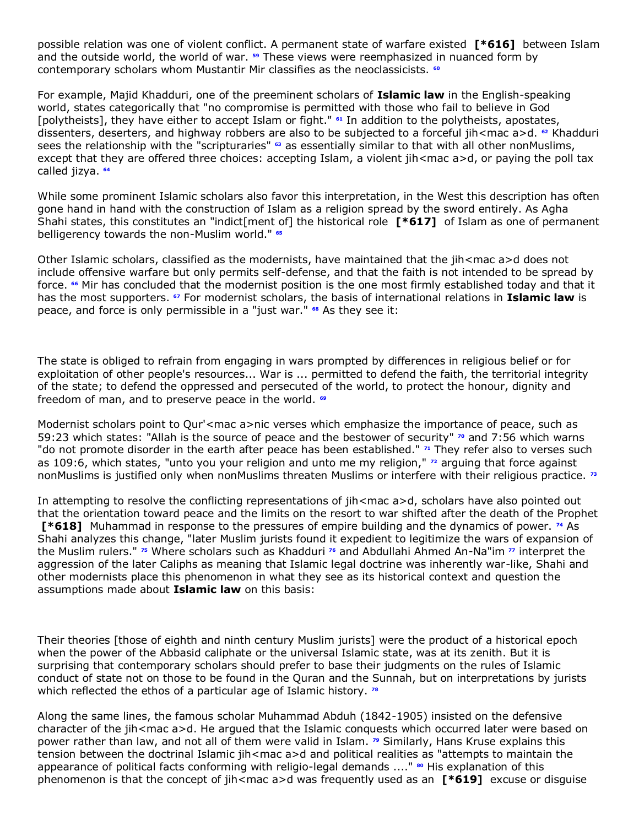possible relation was one of violent conflict. A permanent state of warfare existed **[\*616]** between Islam and the outside world, the world of war. **[59](http://www.lexis.com/research/retrieve?_m=47973e549231c520dbe09e2cd0971a2c&docnum=1&_fmtstr=FULL&_startdoc=1&wchp=dGLbVzz-zSkAA&_md5=0f232df1e532c2bc94176067a855cfb4&focBudTerms=&focBudSel=all#n59#n59)** These views were reemphasized in nuanced form by contemporary scholars whom Mustantir Mir classifies as the neoclassicists. **[60](http://www.lexis.com/research/retrieve?_m=47973e549231c520dbe09e2cd0971a2c&docnum=1&_fmtstr=FULL&_startdoc=1&wchp=dGLbVzz-zSkAA&_md5=0f232df1e532c2bc94176067a855cfb4&focBudTerms=&focBudSel=all#n60#n60)**

For example, Majid Khadduri, one of the preeminent scholars of **Islamic law** in the English-speaking world, states categorically that "no compromise is permitted with those who fail to believe in God [polytheists], they have either to accept Islam or fight." **[61](http://www.lexis.com/research/retrieve?_m=47973e549231c520dbe09e2cd0971a2c&docnum=1&_fmtstr=FULL&_startdoc=1&wchp=dGLbVzz-zSkAA&_md5=0f232df1e532c2bc94176067a855cfb4&focBudTerms=&focBudSel=all#n61#n61)** In addition to the polytheists, apostates, dissenters, deserters, and highway robbers are also to be subjected to a forceful jih<mac a>d. **[62](http://www.lexis.com/research/retrieve?_m=47973e549231c520dbe09e2cd0971a2c&docnum=1&_fmtstr=FULL&_startdoc=1&wchp=dGLbVzz-zSkAA&_md5=0f232df1e532c2bc94176067a855cfb4&focBudTerms=&focBudSel=all#n62#n62)** Khadduri sees the relationship with the "scripturaries" **[63](http://www.lexis.com/research/retrieve?_m=47973e549231c520dbe09e2cd0971a2c&docnum=1&_fmtstr=FULL&_startdoc=1&wchp=dGLbVzz-zSkAA&_md5=0f232df1e532c2bc94176067a855cfb4&focBudTerms=&focBudSel=all#n63#n63)** as essentially similar to that with all other nonMuslims, except that they are offered three choices: accepting Islam, a violent jih<mac a>d, or paying the poll tax called jizya. **[64](http://www.lexis.com/research/retrieve?_m=47973e549231c520dbe09e2cd0971a2c&docnum=1&_fmtstr=FULL&_startdoc=1&wchp=dGLbVzz-zSkAA&_md5=0f232df1e532c2bc94176067a855cfb4&focBudTerms=&focBudSel=all#n64#n64)**

While some prominent Islamic scholars also favor this interpretation, in the West this description has often gone hand in hand with the construction of Islam as a religion spread by the sword entirely. As Agha Shahi states, this constitutes an "indict[ment of] the historical role **[\*617]** of Islam as one of permanent belligerency towards the non-Muslim world." **[65](http://www.lexis.com/research/retrieve?_m=47973e549231c520dbe09e2cd0971a2c&docnum=1&_fmtstr=FULL&_startdoc=1&wchp=dGLbVzz-zSkAA&_md5=0f232df1e532c2bc94176067a855cfb4&focBudTerms=&focBudSel=all#n65#n65)**

Other Islamic scholars, classified as the modernists, have maintained that the jih<mac a>d does not include offensive warfare but only permits self-defense, and that the faith is not intended to be spread by force. **[66](http://www.lexis.com/research/retrieve?_m=47973e549231c520dbe09e2cd0971a2c&docnum=1&_fmtstr=FULL&_startdoc=1&wchp=dGLbVzz-zSkAA&_md5=0f232df1e532c2bc94176067a855cfb4&focBudTerms=&focBudSel=all#n66#n66)** Mir has concluded that the modernist position is the one most firmly established today and that it has the most supporters. **[67](http://www.lexis.com/research/retrieve?_m=47973e549231c520dbe09e2cd0971a2c&docnum=1&_fmtstr=FULL&_startdoc=1&wchp=dGLbVzz-zSkAA&_md5=0f232df1e532c2bc94176067a855cfb4&focBudTerms=&focBudSel=all#n67#n67)** For modernist scholars, the basis of international relations in **Islamic law** is peace, and force is only permissible in a "just war." **[68](http://www.lexis.com/research/retrieve?_m=47973e549231c520dbe09e2cd0971a2c&docnum=1&_fmtstr=FULL&_startdoc=1&wchp=dGLbVzz-zSkAA&_md5=0f232df1e532c2bc94176067a855cfb4&focBudTerms=&focBudSel=all#n68#n68)** As they see it:

The state is obliged to refrain from engaging in wars prompted by differences in religious belief or for exploitation of other people's resources... War is ... permitted to defend the faith, the territorial integrity of the state; to defend the oppressed and persecuted of the world, to protect the honour, dignity and freedom of man, and to preserve peace in the world. **[69](http://www.lexis.com/research/retrieve?_m=47973e549231c520dbe09e2cd0971a2c&docnum=1&_fmtstr=FULL&_startdoc=1&wchp=dGLbVzz-zSkAA&_md5=0f232df1e532c2bc94176067a855cfb4&focBudTerms=&focBudSel=all#n69#n69)**

Modernist scholars point to Qur'<mac a>nic verses which emphasize the importance of peace, such as 59:23 which states: "Allah is the source of peace and the bestower of security" **[70](http://www.lexis.com/research/retrieve?_m=47973e549231c520dbe09e2cd0971a2c&docnum=1&_fmtstr=FULL&_startdoc=1&wchp=dGLbVzz-zSkAA&_md5=0f232df1e532c2bc94176067a855cfb4&focBudTerms=&focBudSel=all#n70#n70)** and 7:56 which warns "do not promote disorder in the earth after peace has been established." **[71](http://www.lexis.com/research/retrieve?_m=47973e549231c520dbe09e2cd0971a2c&docnum=1&_fmtstr=FULL&_startdoc=1&wchp=dGLbVzz-zSkAA&_md5=0f232df1e532c2bc94176067a855cfb4&focBudTerms=&focBudSel=all#n71#n71)** They refer also to verses such as 109:6, which states, "unto you your religion and unto me my religion," **[72](http://www.lexis.com/research/retrieve?_m=47973e549231c520dbe09e2cd0971a2c&docnum=1&_fmtstr=FULL&_startdoc=1&wchp=dGLbVzz-zSkAA&_md5=0f232df1e532c2bc94176067a855cfb4&focBudTerms=&focBudSel=all#n72#n72)** arguing that force against nonMuslims is justified only when nonMuslims threaten Muslims or interfere with their religious practice. **[73](http://www.lexis.com/research/retrieve?_m=47973e549231c520dbe09e2cd0971a2c&docnum=1&_fmtstr=FULL&_startdoc=1&wchp=dGLbVzz-zSkAA&_md5=0f232df1e532c2bc94176067a855cfb4&focBudTerms=&focBudSel=all#n73#n73)**

In attempting to resolve the conflicting representations of jih<mac a>d, scholars have also pointed out that the orientation toward peace and the limits on the resort to war shifted after the death of the Prophet **[\*618]** Muhammad in response to the pressures of empire building and the dynamics of power. **[74](http://www.lexis.com/research/retrieve?_m=47973e549231c520dbe09e2cd0971a2c&docnum=1&_fmtstr=FULL&_startdoc=1&wchp=dGLbVzz-zSkAA&_md5=0f232df1e532c2bc94176067a855cfb4&focBudTerms=&focBudSel=all#n74#n74)** As Shahi analyzes this change, "later Muslim jurists found it expedient to legitimize the wars of expansion of the Muslim rulers." **[75](http://www.lexis.com/research/retrieve?_m=47973e549231c520dbe09e2cd0971a2c&docnum=1&_fmtstr=FULL&_startdoc=1&wchp=dGLbVzz-zSkAA&_md5=0f232df1e532c2bc94176067a855cfb4&focBudTerms=&focBudSel=all#n75#n75)** Where scholars such as Khadduri **[76](http://www.lexis.com/research/retrieve?_m=47973e549231c520dbe09e2cd0971a2c&docnum=1&_fmtstr=FULL&_startdoc=1&wchp=dGLbVzz-zSkAA&_md5=0f232df1e532c2bc94176067a855cfb4&focBudTerms=&focBudSel=all#n76#n76)** and Abdullahi Ahmed An-Na"im **[77](http://www.lexis.com/research/retrieve?_m=47973e549231c520dbe09e2cd0971a2c&docnum=1&_fmtstr=FULL&_startdoc=1&wchp=dGLbVzz-zSkAA&_md5=0f232df1e532c2bc94176067a855cfb4&focBudTerms=&focBudSel=all#n77#n77)** interpret the aggression of the later Caliphs as meaning that Islamic legal doctrine was inherently war-like, Shahi and other modernists place this phenomenon in what they see as its historical context and question the assumptions made about **Islamic law** on this basis:

Their theories [those of eighth and ninth century Muslim jurists] were the product of a historical epoch when the power of the Abbasid caliphate or the universal Islamic state, was at its zenith. But it is surprising that contemporary scholars should prefer to base their judgments on the rules of Islamic conduct of state not on those to be found in the Quran and the Sunnah, but on interpretations by jurists which reflected the ethos of a particular age of Islamic history. **[78](http://www.lexis.com/research/retrieve?_m=47973e549231c520dbe09e2cd0971a2c&docnum=1&_fmtstr=FULL&_startdoc=1&wchp=dGLbVzz-zSkAA&_md5=0f232df1e532c2bc94176067a855cfb4&focBudTerms=&focBudSel=all#n78#n78)**

Along the same lines, the famous scholar Muhammad Abduh (1842-1905) insisted on the defensive character of the jih<mac a>d. He argued that the Islamic conquests which occurred later were based on power rather than law, and not all of them were valid in Islam. **[79](http://www.lexis.com/research/retrieve?_m=47973e549231c520dbe09e2cd0971a2c&docnum=1&_fmtstr=FULL&_startdoc=1&wchp=dGLbVzz-zSkAA&_md5=0f232df1e532c2bc94176067a855cfb4&focBudTerms=&focBudSel=all#n79#n79)** Similarly, Hans Kruse explains this tension between the doctrinal Islamic jih<mac a>d and political realities as "attempts to maintain the appearance of political facts conforming with religio-legal demands ...." <sup>[80](http://www.lexis.com/research/retrieve?_m=47973e549231c520dbe09e2cd0971a2c&docnum=1&_fmtstr=FULL&_startdoc=1&wchp=dGLbVzz-zSkAA&_md5=0f232df1e532c2bc94176067a855cfb4&focBudTerms=&focBudSel=all#n80#n80)</sup> His explanation of this phenomenon is that the concept of jih<mac a>d was frequently used as an **[\*619]** excuse or disguise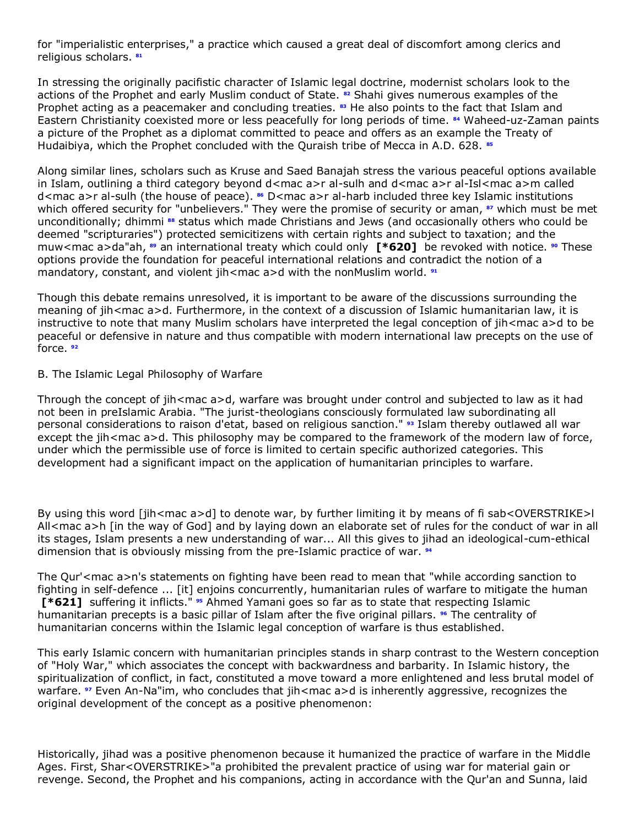for "imperialistic enterprises," a practice which caused a great deal of discomfort among clerics and religious scholars. **[81](http://www.lexis.com/research/retrieve?_m=47973e549231c520dbe09e2cd0971a2c&docnum=1&_fmtstr=FULL&_startdoc=1&wchp=dGLbVzz-zSkAA&_md5=0f232df1e532c2bc94176067a855cfb4&focBudTerms=&focBudSel=all#n81#n81)**

In stressing the originally pacifistic character of Islamic legal doctrine, modernist scholars look to the actions of the Prophet and early Muslim conduct of State. **[82](http://www.lexis.com/research/retrieve?_m=47973e549231c520dbe09e2cd0971a2c&docnum=1&_fmtstr=FULL&_startdoc=1&wchp=dGLbVzz-zSkAA&_md5=0f232df1e532c2bc94176067a855cfb4&focBudTerms=&focBudSel=all#n82#n82)** Shahi gives numerous examples of the Prophet acting as a peacemaker and concluding treaties. **[83](http://www.lexis.com/research/retrieve?_m=47973e549231c520dbe09e2cd0971a2c&docnum=1&_fmtstr=FULL&_startdoc=1&wchp=dGLbVzz-zSkAA&_md5=0f232df1e532c2bc94176067a855cfb4&focBudTerms=&focBudSel=all#n83#n83)** He also points to the fact that Islam and Eastern Christianity coexisted more or less peacefully for long periods of time. **[84](http://www.lexis.com/research/retrieve?_m=47973e549231c520dbe09e2cd0971a2c&docnum=1&_fmtstr=FULL&_startdoc=1&wchp=dGLbVzz-zSkAA&_md5=0f232df1e532c2bc94176067a855cfb4&focBudTerms=&focBudSel=all#n84#n84)** Waheed-uz-Zaman paints a picture of the Prophet as a diplomat committed to peace and offers as an example the Treaty of Hudaibiya, which the Prophet concluded with the Quraish tribe of Mecca in A.D. 628. **[85](http://www.lexis.com/research/retrieve?_m=47973e549231c520dbe09e2cd0971a2c&docnum=1&_fmtstr=FULL&_startdoc=1&wchp=dGLbVzz-zSkAA&_md5=0f232df1e532c2bc94176067a855cfb4&focBudTerms=&focBudSel=all#n85#n85)**

Along similar lines, scholars such as Kruse and Saed Banajah stress the various peaceful options available in Islam, outlining a third category beyond d<mac a>r al-sulh and d<mac a>r al-Isl<mac a>m called d<mac a>r al-sulh (the house of peace). **[86](http://www.lexis.com/research/retrieve?_m=47973e549231c520dbe09e2cd0971a2c&docnum=1&_fmtstr=FULL&_startdoc=1&wchp=dGLbVzz-zSkAA&_md5=0f232df1e532c2bc94176067a855cfb4&focBudTerms=&focBudSel=all#n86#n86)** D<mac a>r al-harb included three key Islamic institutions which offered security for "unbelievers." They were the promise of security or aman, **[87](http://www.lexis.com/research/retrieve?_m=47973e549231c520dbe09e2cd0971a2c&docnum=1&_fmtstr=FULL&_startdoc=1&wchp=dGLbVzz-zSkAA&_md5=0f232df1e532c2bc94176067a855cfb4&focBudTerms=&focBudSel=all#n87#n87)** which must be met unconditionally; dhimmi **[88](http://www.lexis.com/research/retrieve?_m=47973e549231c520dbe09e2cd0971a2c&docnum=1&_fmtstr=FULL&_startdoc=1&wchp=dGLbVzz-zSkAA&_md5=0f232df1e532c2bc94176067a855cfb4&focBudTerms=&focBudSel=all#n88#n88)** status which made Christians and Jews (and occasionally others who could be deemed "scripturaries") protected semicitizens with certain rights and subject to taxation; and the muw<mac a>da"ah, **[89](http://www.lexis.com/research/retrieve?_m=47973e549231c520dbe09e2cd0971a2c&docnum=1&_fmtstr=FULL&_startdoc=1&wchp=dGLbVzz-zSkAA&_md5=0f232df1e532c2bc94176067a855cfb4&focBudTerms=&focBudSel=all#n89#n89)** an international treaty which could only **[\*620]** be revoked with notice. **[90](http://www.lexis.com/research/retrieve?_m=47973e549231c520dbe09e2cd0971a2c&docnum=1&_fmtstr=FULL&_startdoc=1&wchp=dGLbVzz-zSkAA&_md5=0f232df1e532c2bc94176067a855cfb4&focBudTerms=&focBudSel=all#n90#n90)** These options provide the foundation for peaceful international relations and contradict the notion of a mandatory, constant, and violent jih<mac a>d with the nonMuslim world. **[91](http://www.lexis.com/research/retrieve?_m=47973e549231c520dbe09e2cd0971a2c&docnum=1&_fmtstr=FULL&_startdoc=1&wchp=dGLbVzz-zSkAA&_md5=0f232df1e532c2bc94176067a855cfb4&focBudTerms=&focBudSel=all#n91#n91)**

Though this debate remains unresolved, it is important to be aware of the discussions surrounding the meaning of jih<mac a>d. Furthermore, in the context of a discussion of Islamic humanitarian law, it is instructive to note that many Muslim scholars have interpreted the legal conception of jih<mac a>d to be peaceful or defensive in nature and thus compatible with modern international law precepts on the use of force. **[92](http://www.lexis.com/research/retrieve?_m=47973e549231c520dbe09e2cd0971a2c&docnum=1&_fmtstr=FULL&_startdoc=1&wchp=dGLbVzz-zSkAA&_md5=0f232df1e532c2bc94176067a855cfb4&focBudTerms=&focBudSel=all#n92#n92)**

#### B. The Islamic Legal Philosophy of Warfare

Through the concept of jih<mac a>d, warfare was brought under control and subjected to law as it had not been in preIslamic Arabia. "The jurist-theologians consciously formulated law subordinating all personal considerations to raison d'etat, based on religious sanction." **[93](http://www.lexis.com/research/retrieve?_m=47973e549231c520dbe09e2cd0971a2c&docnum=1&_fmtstr=FULL&_startdoc=1&wchp=dGLbVzz-zSkAA&_md5=0f232df1e532c2bc94176067a855cfb4&focBudTerms=&focBudSel=all#n93#n93)** Islam thereby outlawed all war except the jih<mac a>d. This philosophy may be compared to the framework of the modern law of force, under which the permissible use of force is limited to certain specific authorized categories. This development had a significant impact on the application of humanitarian principles to warfare.

By using this word [jih<mac a>d] to denote war, by further limiting it by means of fi sab<OVERSTRIKE>l All<mac a>h [in the way of God] and by laying down an elaborate set of rules for the conduct of war in all its stages, Islam presents a new understanding of war... All this gives to jihad an ideological-cum-ethical dimension that is obviously missing from the pre-Islamic practice of war. **[94](http://www.lexis.com/research/retrieve?_m=47973e549231c520dbe09e2cd0971a2c&docnum=1&_fmtstr=FULL&_startdoc=1&wchp=dGLbVzz-zSkAA&_md5=0f232df1e532c2bc94176067a855cfb4&focBudTerms=&focBudSel=all#n94#n94)**

The Qur'<mac a>n's statements on fighting have been read to mean that "while according sanction to fighting in self-defence ... [it] enjoins concurrently, humanitarian rules of warfare to mitigate the human **[\*621]** suffering it inflicts." **[95](http://www.lexis.com/research/retrieve?_m=47973e549231c520dbe09e2cd0971a2c&docnum=1&_fmtstr=FULL&_startdoc=1&wchp=dGLbVzz-zSkAA&_md5=0f232df1e532c2bc94176067a855cfb4&focBudTerms=&focBudSel=all#n95#n95)** Ahmed Yamani goes so far as to state that respecting Islamic humanitarian precepts is a basic pillar of Islam after the five original pillars. **[96](http://www.lexis.com/research/retrieve?_m=47973e549231c520dbe09e2cd0971a2c&docnum=1&_fmtstr=FULL&_startdoc=1&wchp=dGLbVzz-zSkAA&_md5=0f232df1e532c2bc94176067a855cfb4&focBudTerms=&focBudSel=all#n96#n96)** The centrality of humanitarian concerns within the Islamic legal conception of warfare is thus established.

This early Islamic concern with humanitarian principles stands in sharp contrast to the Western conception of "Holy War," which associates the concept with backwardness and barbarity. In Islamic history, the spiritualization of conflict, in fact, constituted a move toward a more enlightened and less brutal model of warfare. *<sup>[97](http://www.lexis.com/research/retrieve?_m=47973e549231c520dbe09e2cd0971a2c&docnum=1&_fmtstr=FULL&_startdoc=1&wchp=dGLbVzz-zSkAA&_md5=0f232df1e532c2bc94176067a855cfb4&focBudTerms=&focBudSel=all#n97#n97)</sup>* Even An-Na"im, who concludes that jih<mac a>d is inherently aggressive, recognizes the original development of the concept as a positive phenomenon:

Historically, jihad was a positive phenomenon because it humanized the practice of warfare in the Middle Ages. First, Shar<OVERSTRIKE>"a prohibited the prevalent practice of using war for material gain or revenge. Second, the Prophet and his companions, acting in accordance with the Qur'an and Sunna, laid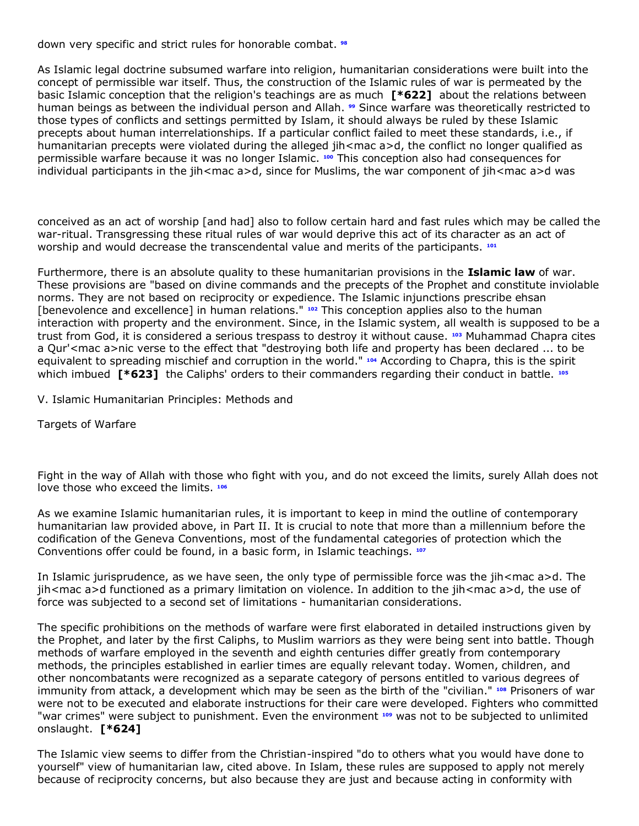down very specific and strict rules for honorable combat. **[98](http://www.lexis.com/research/retrieve?_m=47973e549231c520dbe09e2cd0971a2c&docnum=1&_fmtstr=FULL&_startdoc=1&wchp=dGLbVzz-zSkAA&_md5=0f232df1e532c2bc94176067a855cfb4&focBudTerms=&focBudSel=all#n98#n98)**

As Islamic legal doctrine subsumed warfare into religion, humanitarian considerations were built into the concept of permissible war itself. Thus, the construction of the Islamic rules of war is permeated by the basic Islamic conception that the religion's teachings are as much **[\*622]** about the relations between human beings as between the individual person and Allah. **[99](http://www.lexis.com/research/retrieve?_m=47973e549231c520dbe09e2cd0971a2c&docnum=1&_fmtstr=FULL&_startdoc=1&wchp=dGLbVzz-zSkAA&_md5=0f232df1e532c2bc94176067a855cfb4&focBudTerms=&focBudSel=all#n99#n99)** Since warfare was theoretically restricted to those types of conflicts and settings permitted by Islam, it should always be ruled by these Islamic precepts about human interrelationships. If a particular conflict failed to meet these standards, i.e., if humanitarian precepts were violated during the alleged jih<mac a>d, the conflict no longer qualified as permissible warfare because it was no longer Islamic. **[100](http://www.lexis.com/research/retrieve?_m=47973e549231c520dbe09e2cd0971a2c&docnum=1&_fmtstr=FULL&_startdoc=1&wchp=dGLbVzz-zSkAA&_md5=0f232df1e532c2bc94176067a855cfb4&focBudTerms=&focBudSel=all#n100#n100)** This conception also had consequences for individual participants in the jih<mac a>d, since for Muslims, the war component of jih<mac a>d was

conceived as an act of worship [and had] also to follow certain hard and fast rules which may be called the war-ritual. Transgressing these ritual rules of war would deprive this act of its character as an act of worship and would decrease the transcendental value and merits of the participants. **[101](http://www.lexis.com/research/retrieve?_m=47973e549231c520dbe09e2cd0971a2c&docnum=1&_fmtstr=FULL&_startdoc=1&wchp=dGLbVzz-zSkAA&_md5=0f232df1e532c2bc94176067a855cfb4&focBudTerms=&focBudSel=all#n101#n101)**

Furthermore, there is an absolute quality to these humanitarian provisions in the **Islamic law** of war. These provisions are "based on divine commands and the precepts of the Prophet and constitute inviolable norms. They are not based on reciprocity or expedience. The Islamic injunctions prescribe ehsan [benevolence and excellence] in human relations." **[102](http://www.lexis.com/research/retrieve?_m=47973e549231c520dbe09e2cd0971a2c&docnum=1&_fmtstr=FULL&_startdoc=1&wchp=dGLbVzz-zSkAA&_md5=0f232df1e532c2bc94176067a855cfb4&focBudTerms=&focBudSel=all#n102#n102)** This conception applies also to the human interaction with property and the environment. Since, in the Islamic system, all wealth is supposed to be a trust from God, it is considered a serious trespass to destroy it without cause. **[103](http://www.lexis.com/research/retrieve?_m=47973e549231c520dbe09e2cd0971a2c&docnum=1&_fmtstr=FULL&_startdoc=1&wchp=dGLbVzz-zSkAA&_md5=0f232df1e532c2bc94176067a855cfb4&focBudTerms=&focBudSel=all#n103#n103)** Muhammad Chapra cites a Qur'<mac a>nic verse to the effect that "destroying both life and property has been declared ... to be equivalent to spreading mischief and corruption in the world." **[104](http://www.lexis.com/research/retrieve?_m=47973e549231c520dbe09e2cd0971a2c&docnum=1&_fmtstr=FULL&_startdoc=1&wchp=dGLbVzz-zSkAA&_md5=0f232df1e532c2bc94176067a855cfb4&focBudTerms=&focBudSel=all#n104#n104)** According to Chapra, this is the spirit which imbued **[\*623]** the Caliphs' orders to their commanders regarding their conduct in battle. **[105](http://www.lexis.com/research/retrieve?_m=47973e549231c520dbe09e2cd0971a2c&docnum=1&_fmtstr=FULL&_startdoc=1&wchp=dGLbVzz-zSkAA&_md5=0f232df1e532c2bc94176067a855cfb4&focBudTerms=&focBudSel=all#n105#n105)**

V. Islamic Humanitarian Principles: Methods and

Targets of Warfare

Fight in the way of Allah with those who fight with you, and do not exceed the limits, surely Allah does not love those who exceed the limits. **[106](http://www.lexis.com/research/retrieve?_m=47973e549231c520dbe09e2cd0971a2c&docnum=1&_fmtstr=FULL&_startdoc=1&wchp=dGLbVzz-zSkAA&_md5=0f232df1e532c2bc94176067a855cfb4&focBudTerms=&focBudSel=all#n106#n106)**

As we examine Islamic humanitarian rules, it is important to keep in mind the outline of contemporary humanitarian law provided above, in Part II. It is crucial to note that more than a millennium before the codification of the Geneva Conventions, most of the fundamental categories of protection which the Conventions offer could be found, in a basic form, in Islamic teachings. **[107](http://www.lexis.com/research/retrieve?_m=47973e549231c520dbe09e2cd0971a2c&docnum=1&_fmtstr=FULL&_startdoc=1&wchp=dGLbVzz-zSkAA&_md5=0f232df1e532c2bc94176067a855cfb4&focBudTerms=&focBudSel=all#n107#n107)**

In Islamic jurisprudence, as we have seen, the only type of permissible force was the jih<mac a>d. The jih<mac a>d functioned as a primary limitation on violence. In addition to the jih<mac a>d, the use of force was subjected to a second set of limitations - humanitarian considerations.

The specific prohibitions on the methods of warfare were first elaborated in detailed instructions given by the Prophet, and later by the first Caliphs, to Muslim warriors as they were being sent into battle. Though methods of warfare employed in the seventh and eighth centuries differ greatly from contemporary methods, the principles established in earlier times are equally relevant today. Women, children, and other noncombatants were recognized as a separate category of persons entitled to various degrees of immunity from attack, a development which may be seen as the birth of the "civilian." **[108](http://www.lexis.com/research/retrieve?_m=47973e549231c520dbe09e2cd0971a2c&docnum=1&_fmtstr=FULL&_startdoc=1&wchp=dGLbVzz-zSkAA&_md5=0f232df1e532c2bc94176067a855cfb4&focBudTerms=&focBudSel=all#n108#n108)** Prisoners of war were not to be executed and elaborate instructions for their care were developed. Fighters who committed "war crimes" were subject to punishment. Even the environment **[109](http://www.lexis.com/research/retrieve?_m=47973e549231c520dbe09e2cd0971a2c&docnum=1&_fmtstr=FULL&_startdoc=1&wchp=dGLbVzz-zSkAA&_md5=0f232df1e532c2bc94176067a855cfb4&focBudTerms=&focBudSel=all#n109#n109)** was not to be subjected to unlimited onslaught. **[\*624]**

The Islamic view seems to differ from the Christian-inspired "do to others what you would have done to yourself" view of humanitarian law, cited above. In Islam, these rules are supposed to apply not merely because of reciprocity concerns, but also because they are just and because acting in conformity with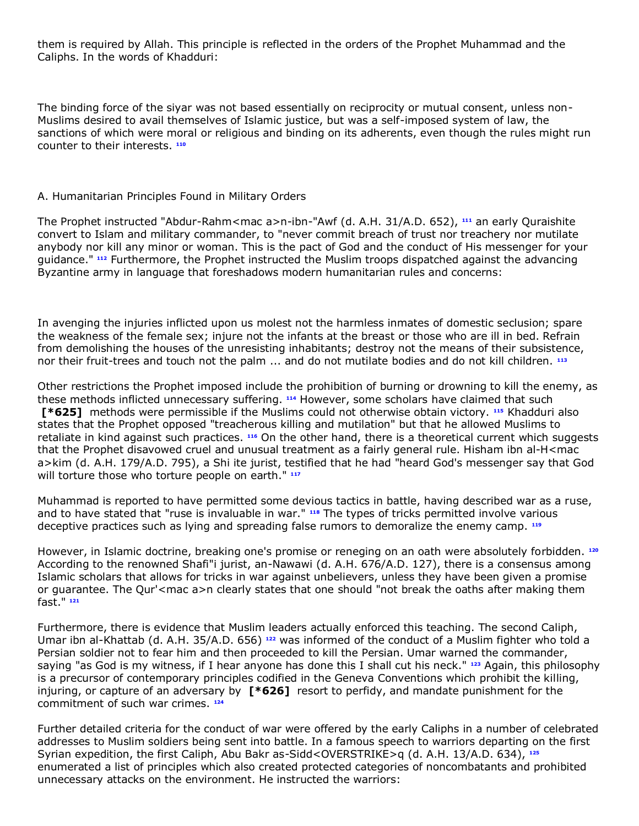them is required by Allah. This principle is reflected in the orders of the Prophet Muhammad and the Caliphs. In the words of Khadduri:

The binding force of the siyar was not based essentially on reciprocity or mutual consent, unless non-Muslims desired to avail themselves of Islamic justice, but was a self-imposed system of law, the sanctions of which were moral or religious and binding on its adherents, even though the rules might run counter to their interests. **[110](http://www.lexis.com/research/retrieve?_m=47973e549231c520dbe09e2cd0971a2c&docnum=1&_fmtstr=FULL&_startdoc=1&wchp=dGLbVzz-zSkAA&_md5=0f232df1e532c2bc94176067a855cfb4&focBudTerms=&focBudSel=all#n110#n110)**

### A. Humanitarian Principles Found in Military Orders

The Prophet instructed "Abdur-Rahm<mac a>n-ibn-"Awf (d. A.H. 31/A.D. 652), **[111](http://www.lexis.com/research/retrieve?_m=47973e549231c520dbe09e2cd0971a2c&docnum=1&_fmtstr=FULL&_startdoc=1&wchp=dGLbVzz-zSkAA&_md5=0f232df1e532c2bc94176067a855cfb4&focBudTerms=&focBudSel=all#n111#n111)** an early Quraishite convert to Islam and military commander, to "never commit breach of trust nor treachery nor mutilate anybody nor kill any minor or woman. This is the pact of God and the conduct of His messenger for your guidance." **[112](http://www.lexis.com/research/retrieve?_m=47973e549231c520dbe09e2cd0971a2c&docnum=1&_fmtstr=FULL&_startdoc=1&wchp=dGLbVzz-zSkAA&_md5=0f232df1e532c2bc94176067a855cfb4&focBudTerms=&focBudSel=all#n112#n112)** Furthermore, the Prophet instructed the Muslim troops dispatched against the advancing Byzantine army in language that foreshadows modern humanitarian rules and concerns:

In avenging the injuries inflicted upon us molest not the harmless inmates of domestic seclusion; spare the weakness of the female sex; injure not the infants at the breast or those who are ill in bed. Refrain from demolishing the houses of the unresisting inhabitants; destroy not the means of their subsistence, nor their fruit-trees and touch not the palm ... and do not mutilate bodies and do not kill children. **[113](http://www.lexis.com/research/retrieve?_m=47973e549231c520dbe09e2cd0971a2c&docnum=1&_fmtstr=FULL&_startdoc=1&wchp=dGLbVzz-zSkAA&_md5=0f232df1e532c2bc94176067a855cfb4&focBudTerms=&focBudSel=all#n113#n113)**

Other restrictions the Prophet imposed include the prohibition of burning or drowning to kill the enemy, as these methods inflicted unnecessary suffering. **[114](http://www.lexis.com/research/retrieve?_m=47973e549231c520dbe09e2cd0971a2c&docnum=1&_fmtstr=FULL&_startdoc=1&wchp=dGLbVzz-zSkAA&_md5=0f232df1e532c2bc94176067a855cfb4&focBudTerms=&focBudSel=all#n114#n114)** However, some scholars have claimed that such **[\*625]** methods were permissible if the Muslims could not otherwise obtain victory. **[115](http://www.lexis.com/research/retrieve?_m=47973e549231c520dbe09e2cd0971a2c&docnum=1&_fmtstr=FULL&_startdoc=1&wchp=dGLbVzz-zSkAA&_md5=0f232df1e532c2bc94176067a855cfb4&focBudTerms=&focBudSel=all#n115#n115)** Khadduri also states that the Prophet opposed "treacherous killing and mutilation" but that he allowed Muslims to retaliate in kind against such practices. **[116](http://www.lexis.com/research/retrieve?_m=47973e549231c520dbe09e2cd0971a2c&docnum=1&_fmtstr=FULL&_startdoc=1&wchp=dGLbVzz-zSkAA&_md5=0f232df1e532c2bc94176067a855cfb4&focBudTerms=&focBudSel=all#n116#n116)** On the other hand, there is a theoretical current which suggests that the Prophet disavowed cruel and unusual treatment as a fairly general rule. Hisham ibn al-H<mac a>kim (d. A.H. 179/A.D. 795), a Shi ite jurist, testified that he had "heard God's messenger say that God will torture those who torture people on earth." **[117](http://www.lexis.com/research/retrieve?_m=47973e549231c520dbe09e2cd0971a2c&docnum=1&_fmtstr=FULL&_startdoc=1&wchp=dGLbVzz-zSkAA&_md5=0f232df1e532c2bc94176067a855cfb4&focBudTerms=&focBudSel=all#n117#n117)**

Muhammad is reported to have permitted some devious tactics in battle, having described war as a ruse, and to have stated that "ruse is invaluable in war." **[118](http://www.lexis.com/research/retrieve?_m=47973e549231c520dbe09e2cd0971a2c&docnum=1&_fmtstr=FULL&_startdoc=1&wchp=dGLbVzz-zSkAA&_md5=0f232df1e532c2bc94176067a855cfb4&focBudTerms=&focBudSel=all#n118#n118)** The types of tricks permitted involve various deceptive practices such as lying and spreading false rumors to demoralize the enemy camp. **[119](http://www.lexis.com/research/retrieve?_m=47973e549231c520dbe09e2cd0971a2c&docnum=1&_fmtstr=FULL&_startdoc=1&wchp=dGLbVzz-zSkAA&_md5=0f232df1e532c2bc94176067a855cfb4&focBudTerms=&focBudSel=all#n119#n119)**

However, in Islamic doctrine, breaking one's promise or reneging on an oath were absolutely forbidden. **[120](http://www.lexis.com/research/retrieve?_m=47973e549231c520dbe09e2cd0971a2c&docnum=1&_fmtstr=FULL&_startdoc=1&wchp=dGLbVzz-zSkAA&_md5=0f232df1e532c2bc94176067a855cfb4&focBudTerms=&focBudSel=all#n120#n120)** According to the renowned Shafi"i jurist, an-Nawawi (d. A.H. 676/A.D. 127), there is a consensus among Islamic scholars that allows for tricks in war against unbelievers, unless they have been given a promise or guarantee. The Qur'<mac a>n clearly states that one should "not break the oaths after making them fast." **[121](http://www.lexis.com/research/retrieve?_m=47973e549231c520dbe09e2cd0971a2c&docnum=1&_fmtstr=FULL&_startdoc=1&wchp=dGLbVzz-zSkAA&_md5=0f232df1e532c2bc94176067a855cfb4&focBudTerms=&focBudSel=all#n121#n121)**

Furthermore, there is evidence that Muslim leaders actually enforced this teaching. The second Caliph, Umar ibn al-Khattab (d. A.H. 35/A.D. 656) **[122](http://www.lexis.com/research/retrieve?_m=47973e549231c520dbe09e2cd0971a2c&docnum=1&_fmtstr=FULL&_startdoc=1&wchp=dGLbVzz-zSkAA&_md5=0f232df1e532c2bc94176067a855cfb4&focBudTerms=&focBudSel=all#n122#n122)** was informed of the conduct of a Muslim fighter who told a Persian soldier not to fear him and then proceeded to kill the Persian. Umar warned the commander, saying "as God is my witness, if I hear anyone has done this I shall cut his neck." **[123](http://www.lexis.com/research/retrieve?_m=47973e549231c520dbe09e2cd0971a2c&docnum=1&_fmtstr=FULL&_startdoc=1&wchp=dGLbVzz-zSkAA&_md5=0f232df1e532c2bc94176067a855cfb4&focBudTerms=&focBudSel=all#n123#n123)** Again, this philosophy is a precursor of contemporary principles codified in the Geneva Conventions which prohibit the killing, injuring, or capture of an adversary by **[\*626]** resort to perfidy, and mandate punishment for the commitment of such war crimes. **[124](http://www.lexis.com/research/retrieve?_m=47973e549231c520dbe09e2cd0971a2c&docnum=1&_fmtstr=FULL&_startdoc=1&wchp=dGLbVzz-zSkAA&_md5=0f232df1e532c2bc94176067a855cfb4&focBudTerms=&focBudSel=all#n124#n124)**

Further detailed criteria for the conduct of war were offered by the early Caliphs in a number of celebrated addresses to Muslim soldiers being sent into battle. In a famous speech to warriors departing on the first Syrian expedition, the first Caliph, Abu Bakr as-Sidd<OVERSTRIKE>q (d. A.H. 13/A.D. 634), **[125](http://www.lexis.com/research/retrieve?_m=47973e549231c520dbe09e2cd0971a2c&docnum=1&_fmtstr=FULL&_startdoc=1&wchp=dGLbVzz-zSkAA&_md5=0f232df1e532c2bc94176067a855cfb4&focBudTerms=&focBudSel=all#n125#n125)** enumerated a list of principles which also created protected categories of noncombatants and prohibited unnecessary attacks on the environment. He instructed the warriors: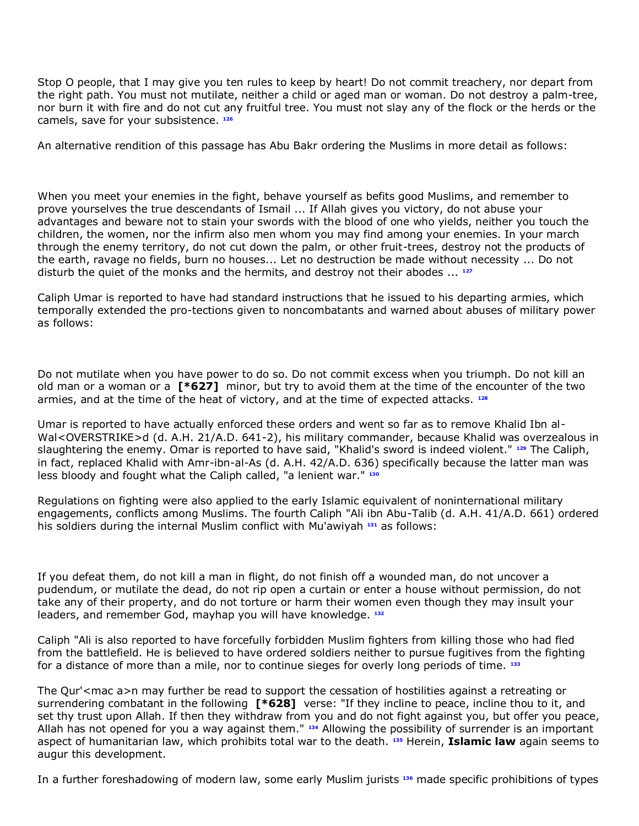Stop O people, that I may give you ten rules to keep by heart! Do not commit treachery, nor depart from the right path. You must not mutilate, neither a child or aged man or woman. Do not destroy a palm-tree, nor burn it with fire and do not cut any fruitful tree. You must not slay any of the flock or the herds or the camels, save for your subsistence. **[126](http://www.lexis.com/research/retrieve?_m=47973e549231c520dbe09e2cd0971a2c&docnum=1&_fmtstr=FULL&_startdoc=1&wchp=dGLbVzz-zSkAA&_md5=0f232df1e532c2bc94176067a855cfb4&focBudTerms=&focBudSel=all#n126#n126)**

An alternative rendition of this passage has Abu Bakr ordering the Muslims in more detail as follows:

When you meet your enemies in the fight, behave yourself as befits good Muslims, and remember to prove yourselves the true descendants of Ismail ... If Allah gives you victory, do not abuse your advantages and beware not to stain your swords with the blood of one who yields, neither you touch the children, the women, nor the infirm also men whom you may find among your enemies. In your march through the enemy territory, do not cut down the palm, or other fruit-trees, destroy not the products of the earth, ravage no fields, burn no houses... Let no destruction be made without necessity ... Do not disturb the quiet of the monks and the hermits, and destroy not their abodes ... **[127](http://www.lexis.com/research/retrieve?_m=47973e549231c520dbe09e2cd0971a2c&docnum=1&_fmtstr=FULL&_startdoc=1&wchp=dGLbVzz-zSkAA&_md5=0f232df1e532c2bc94176067a855cfb4&focBudTerms=&focBudSel=all#n127#n127)**

Caliph Umar is reported to have had standard instructions that he issued to his departing armies, which temporally extended the pro-tections given to noncombatants and warned about abuses of military power as follows:

Do not mutilate when you have power to do so. Do not commit excess when you triumph. Do not kill an old man or a woman or a **[\*627]** minor, but try to avoid them at the time of the encounter of the two armies, and at the time of the heat of victory, and at the time of expected attacks. **[128](http://www.lexis.com/research/retrieve?_m=47973e549231c520dbe09e2cd0971a2c&docnum=1&_fmtstr=FULL&_startdoc=1&wchp=dGLbVzz-zSkAA&_md5=0f232df1e532c2bc94176067a855cfb4&focBudTerms=&focBudSel=all#n128#n128)**

Umar is reported to have actually enforced these orders and went so far as to remove Khalid Ibn al-Wal<OVERSTRIKE>d (d. A.H. 21/A.D. 641-2), his military commander, because Khalid was overzealous in slaughtering the enemy. Omar is reported to have said, "Khalid's sword is indeed violent." **[129](http://www.lexis.com/research/retrieve?_m=47973e549231c520dbe09e2cd0971a2c&docnum=1&_fmtstr=FULL&_startdoc=1&wchp=dGLbVzz-zSkAA&_md5=0f232df1e532c2bc94176067a855cfb4&focBudTerms=&focBudSel=all#n129#n129)** The Caliph, in fact, replaced Khalid with Amr-ibn-al-As (d. A.H. 42/A.D. 636) specifically because the latter man was less bloody and fought what the Caliph called, "a lenient war." **[130](http://www.lexis.com/research/retrieve?_m=47973e549231c520dbe09e2cd0971a2c&docnum=1&_fmtstr=FULL&_startdoc=1&wchp=dGLbVzz-zSkAA&_md5=0f232df1e532c2bc94176067a855cfb4&focBudTerms=&focBudSel=all#n130#n130)**

Regulations on fighting were also applied to the early Islamic equivalent of noninternational military engagements, conflicts among Muslims. The fourth Caliph "Ali ibn Abu-Talib (d. A.H. 41/A.D. 661) ordered his soldiers during the internal Muslim conflict with Mu'awiyah **[131](http://www.lexis.com/research/retrieve?_m=47973e549231c520dbe09e2cd0971a2c&docnum=1&_fmtstr=FULL&_startdoc=1&wchp=dGLbVzz-zSkAA&_md5=0f232df1e532c2bc94176067a855cfb4&focBudTerms=&focBudSel=all#n131#n131)** as follows:

If you defeat them, do not kill a man in flight, do not finish off a wounded man, do not uncover a pudendum, or mutilate the dead, do not rip open a curtain or enter a house without permission, do not take any of their property, and do not torture or harm their women even though they may insult your leaders, and remember God, mayhap you will have knowledge. **[132](http://www.lexis.com/research/retrieve?_m=47973e549231c520dbe09e2cd0971a2c&docnum=1&_fmtstr=FULL&_startdoc=1&wchp=dGLbVzz-zSkAA&_md5=0f232df1e532c2bc94176067a855cfb4&focBudTerms=&focBudSel=all#n132#n132)**

Caliph "Ali is also reported to have forcefully forbidden Muslim fighters from killing those who had fled from the battlefield. He is believed to have ordered soldiers neither to pursue fugitives from the fighting for a distance of more than a mile, nor to continue sieges for overly long periods of time. **[133](http://www.lexis.com/research/retrieve?_m=47973e549231c520dbe09e2cd0971a2c&docnum=1&_fmtstr=FULL&_startdoc=1&wchp=dGLbVzz-zSkAA&_md5=0f232df1e532c2bc94176067a855cfb4&focBudTerms=&focBudSel=all#n133#n133)**

The Qur'<mac a>n may further be read to support the cessation of hostilities against a retreating or surrendering combatant in the following **[\*628]** verse: "If they incline to peace, incline thou to it, and set thy trust upon Allah. If then they withdraw from you and do not fight against you, but offer you peace, Allah has not opened for you a way against them." **[134](http://www.lexis.com/research/retrieve?_m=47973e549231c520dbe09e2cd0971a2c&docnum=1&_fmtstr=FULL&_startdoc=1&wchp=dGLbVzz-zSkAA&_md5=0f232df1e532c2bc94176067a855cfb4&focBudTerms=&focBudSel=all#n134#n134)** Allowing the possibility of surrender is an important aspect of humanitarian law, which prohibits total war to the death. **[135](http://www.lexis.com/research/retrieve?_m=47973e549231c520dbe09e2cd0971a2c&docnum=1&_fmtstr=FULL&_startdoc=1&wchp=dGLbVzz-zSkAA&_md5=0f232df1e532c2bc94176067a855cfb4&focBudTerms=&focBudSel=all#n135#n135)** Herein, **Islamic law** again seems to augur this development.

In a further foreshadowing of modern law, some early Muslim jurists **[136](http://www.lexis.com/research/retrieve?_m=47973e549231c520dbe09e2cd0971a2c&docnum=1&_fmtstr=FULL&_startdoc=1&wchp=dGLbVzz-zSkAA&_md5=0f232df1e532c2bc94176067a855cfb4&focBudTerms=&focBudSel=all#n136#n136)** made specific prohibitions of types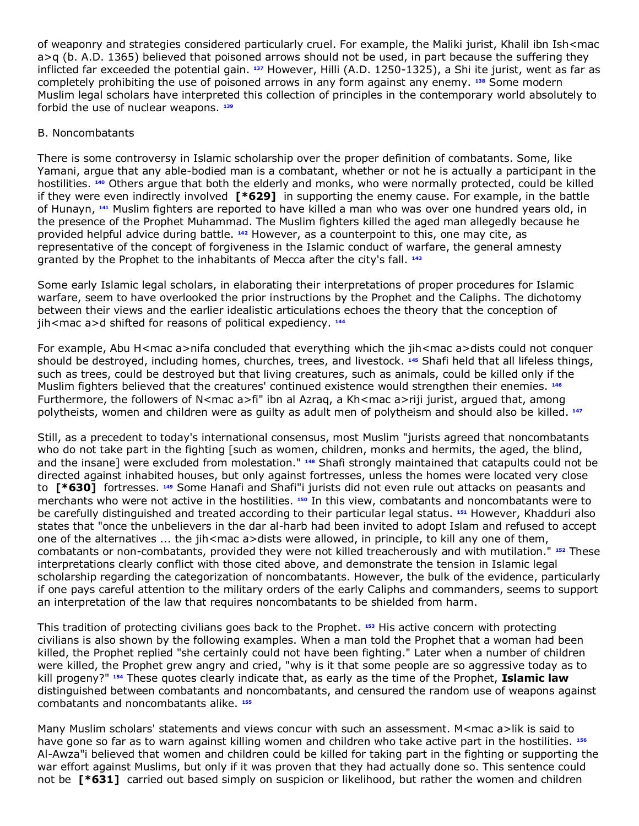of weaponry and strategies considered particularly cruel. For example, the Maliki jurist, Khalil ibn Ish<mac  $a>q$  (b. A.D. 1365) believed that poisoned arrows should not be used, in part because the suffering they inflicted far exceeded the potential gain. **[137](http://www.lexis.com/research/retrieve?_m=47973e549231c520dbe09e2cd0971a2c&docnum=1&_fmtstr=FULL&_startdoc=1&wchp=dGLbVzz-zSkAA&_md5=0f232df1e532c2bc94176067a855cfb4&focBudTerms=&focBudSel=all#n137#n137)** However, Hilli (A.D. 1250-1325), a Shi ite jurist, went as far as completely prohibiting the use of poisoned arrows in any form against any enemy. **[138](http://www.lexis.com/research/retrieve?_m=47973e549231c520dbe09e2cd0971a2c&docnum=1&_fmtstr=FULL&_startdoc=1&wchp=dGLbVzz-zSkAA&_md5=0f232df1e532c2bc94176067a855cfb4&focBudTerms=&focBudSel=all#n138#n138)** Some modern Muslim legal scholars have interpreted this collection of principles in the contemporary world absolutely to forbid the use of nuclear weapons. **[139](http://www.lexis.com/research/retrieve?_m=47973e549231c520dbe09e2cd0971a2c&docnum=1&_fmtstr=FULL&_startdoc=1&wchp=dGLbVzz-zSkAA&_md5=0f232df1e532c2bc94176067a855cfb4&focBudTerms=&focBudSel=all#n139#n139)**

## B. Noncombatants

There is some controversy in Islamic scholarship over the proper definition of combatants. Some, like Yamani, argue that any able-bodied man is a combatant, whether or not he is actually a participant in the hostilities. **[140](http://www.lexis.com/research/retrieve?_m=47973e549231c520dbe09e2cd0971a2c&docnum=1&_fmtstr=FULL&_startdoc=1&wchp=dGLbVzz-zSkAA&_md5=0f232df1e532c2bc94176067a855cfb4&focBudTerms=&focBudSel=all#n140#n140)** Others argue that both the elderly and monks, who were normally protected, could be killed if they were even indirectly involved **[\*629]** in supporting the enemy cause. For example, in the battle of Hunayn, **[141](http://www.lexis.com/research/retrieve?_m=47973e549231c520dbe09e2cd0971a2c&docnum=1&_fmtstr=FULL&_startdoc=1&wchp=dGLbVzz-zSkAA&_md5=0f232df1e532c2bc94176067a855cfb4&focBudTerms=&focBudSel=all#n141#n141)** Muslim fighters are reported to have killed a man who was over one hundred years old, in the presence of the Prophet Muhammad. The Muslim fighters killed the aged man allegedly because he provided helpful advice during battle. **[142](http://www.lexis.com/research/retrieve?_m=47973e549231c520dbe09e2cd0971a2c&docnum=1&_fmtstr=FULL&_startdoc=1&wchp=dGLbVzz-zSkAA&_md5=0f232df1e532c2bc94176067a855cfb4&focBudTerms=&focBudSel=all#n142#n142)** However, as a counterpoint to this, one may cite, as representative of the concept of forgiveness in the Islamic conduct of warfare, the general amnesty granted by the Prophet to the inhabitants of Mecca after the city's fall. **[143](http://www.lexis.com/research/retrieve?_m=47973e549231c520dbe09e2cd0971a2c&docnum=1&_fmtstr=FULL&_startdoc=1&wchp=dGLbVzz-zSkAA&_md5=0f232df1e532c2bc94176067a855cfb4&focBudTerms=&focBudSel=all#n143#n143)**

Some early Islamic legal scholars, in elaborating their interpretations of proper procedures for Islamic warfare, seem to have overlooked the prior instructions by the Prophet and the Caliphs. The dichotomy between their views and the earlier idealistic articulations echoes the theory that the conception of jih<mac a>d shifted for reasons of political expediency. <sup>[144](http://www.lexis.com/research/retrieve?_m=47973e549231c520dbe09e2cd0971a2c&docnum=1&_fmtstr=FULL&_startdoc=1&wchp=dGLbVzz-zSkAA&_md5=0f232df1e532c2bc94176067a855cfb4&focBudTerms=&focBudSel=all#n144#n144)</sup>

For example, Abu H<mac a>nifa concluded that everything which the jih<mac a>dists could not conquer should be destroyed, including homes, churches, trees, and livestock. **[145](http://www.lexis.com/research/retrieve?_m=47973e549231c520dbe09e2cd0971a2c&docnum=1&_fmtstr=FULL&_startdoc=1&wchp=dGLbVzz-zSkAA&_md5=0f232df1e532c2bc94176067a855cfb4&focBudTerms=&focBudSel=all#n145#n145)** Shafi held that all lifeless things, such as trees, could be destroyed but that living creatures, such as animals, could be killed only if the Muslim fighters believed that the creatures' continued existence would strengthen their enemies. **[146](http://www.lexis.com/research/retrieve?_m=47973e549231c520dbe09e2cd0971a2c&docnum=1&_fmtstr=FULL&_startdoc=1&wchp=dGLbVzz-zSkAA&_md5=0f232df1e532c2bc94176067a855cfb4&focBudTerms=&focBudSel=all#n146#n146)** Furthermore, the followers of N<mac a>fi" ibn al Azraq, a Kh<mac a>riji jurist, argued that, among polytheists, women and children were as guilty as adult men of polytheism and should also be killed. **[147](http://www.lexis.com/research/retrieve?_m=47973e549231c520dbe09e2cd0971a2c&docnum=1&_fmtstr=FULL&_startdoc=1&wchp=dGLbVzz-zSkAA&_md5=0f232df1e532c2bc94176067a855cfb4&focBudTerms=&focBudSel=all#n147#n147)**

Still, as a precedent to today's international consensus, most Muslim "jurists agreed that noncombatants who do not take part in the fighting [such as women, children, monks and hermits, the aged, the blind, and the insane] were excluded from molestation." **[148](http://www.lexis.com/research/retrieve?_m=47973e549231c520dbe09e2cd0971a2c&docnum=1&_fmtstr=FULL&_startdoc=1&wchp=dGLbVzz-zSkAA&_md5=0f232df1e532c2bc94176067a855cfb4&focBudTerms=&focBudSel=all#n148#n148)** Shafi strongly maintained that catapults could not be directed against inhabited houses, but only against fortresses, unless the homes were located very close to **[\*630]** fortresses. **[149](http://www.lexis.com/research/retrieve?_m=47973e549231c520dbe09e2cd0971a2c&docnum=1&_fmtstr=FULL&_startdoc=1&wchp=dGLbVzz-zSkAA&_md5=0f232df1e532c2bc94176067a855cfb4&focBudTerms=&focBudSel=all#n149#n149)** Some Hanafi and Shafi"i jurists did not even rule out attacks on peasants and merchants who were not active in the hostilities. **[150](http://www.lexis.com/research/retrieve?_m=47973e549231c520dbe09e2cd0971a2c&docnum=1&_fmtstr=FULL&_startdoc=1&wchp=dGLbVzz-zSkAA&_md5=0f232df1e532c2bc94176067a855cfb4&focBudTerms=&focBudSel=all#n150#n150)** In this view, combatants and noncombatants were to be carefully distinguished and treated according to their particular legal status. **[151](http://www.lexis.com/research/retrieve?_m=47973e549231c520dbe09e2cd0971a2c&docnum=1&_fmtstr=FULL&_startdoc=1&wchp=dGLbVzz-zSkAA&_md5=0f232df1e532c2bc94176067a855cfb4&focBudTerms=&focBudSel=all#n151#n151)** However, Khadduri also states that "once the unbelievers in the dar al-harb had been invited to adopt Islam and refused to accept one of the alternatives ... the jih<mac a>dists were allowed, in principle, to kill any one of them, combatants or non-combatants, provided they were not killed treacherously and with mutilation." **[152](http://www.lexis.com/research/retrieve?_m=47973e549231c520dbe09e2cd0971a2c&docnum=1&_fmtstr=FULL&_startdoc=1&wchp=dGLbVzz-zSkAA&_md5=0f232df1e532c2bc94176067a855cfb4&focBudTerms=&focBudSel=all#n152#n152)** These interpretations clearly conflict with those cited above, and demonstrate the tension in Islamic legal scholarship regarding the categorization of noncombatants. However, the bulk of the evidence, particularly if one pays careful attention to the military orders of the early Caliphs and commanders, seems to support an interpretation of the law that requires noncombatants to be shielded from harm.

This tradition of protecting civilians goes back to the Prophet. **[153](http://www.lexis.com/research/retrieve?_m=47973e549231c520dbe09e2cd0971a2c&docnum=1&_fmtstr=FULL&_startdoc=1&wchp=dGLbVzz-zSkAA&_md5=0f232df1e532c2bc94176067a855cfb4&focBudTerms=&focBudSel=all#n153#n153)** His active concern with protecting civilians is also shown by the following examples. When a man told the Prophet that a woman had been killed, the Prophet replied "she certainly could not have been fighting." Later when a number of children were killed, the Prophet grew angry and cried, "why is it that some people are so aggressive today as to kill progeny?" **[154](http://www.lexis.com/research/retrieve?_m=47973e549231c520dbe09e2cd0971a2c&docnum=1&_fmtstr=FULL&_startdoc=1&wchp=dGLbVzz-zSkAA&_md5=0f232df1e532c2bc94176067a855cfb4&focBudTerms=&focBudSel=all#n154#n154)** These quotes clearly indicate that, as early as the time of the Prophet, **Islamic law** distinguished between combatants and noncombatants, and censured the random use of weapons against combatants and noncombatants alike. **[155](http://www.lexis.com/research/retrieve?_m=47973e549231c520dbe09e2cd0971a2c&docnum=1&_fmtstr=FULL&_startdoc=1&wchp=dGLbVzz-zSkAA&_md5=0f232df1e532c2bc94176067a855cfb4&focBudTerms=&focBudSel=all#n155#n155)**

Many Muslim scholars' statements and views concur with such an assessment. M<mac a>lik is said to have gone so far as to warn against killing women and children who take active part in the hostilities. **[156](http://www.lexis.com/research/retrieve?_m=47973e549231c520dbe09e2cd0971a2c&docnum=1&_fmtstr=FULL&_startdoc=1&wchp=dGLbVzz-zSkAA&_md5=0f232df1e532c2bc94176067a855cfb4&focBudTerms=&focBudSel=all#n156#n156)** Al-Awza"i believed that women and children could be killed for taking part in the fighting or supporting the war effort against Muslims, but only if it was proven that they had actually done so. This sentence could not be **[\*631]** carried out based simply on suspicion or likelihood, but rather the women and children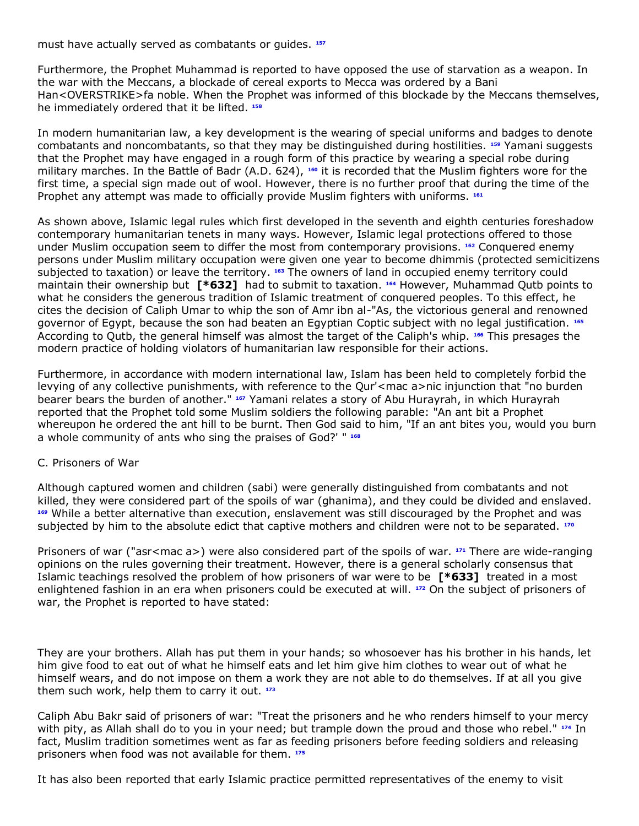must have actually served as combatants or guides. **[157](http://www.lexis.com/research/retrieve?_m=47973e549231c520dbe09e2cd0971a2c&docnum=1&_fmtstr=FULL&_startdoc=1&wchp=dGLbVzz-zSkAA&_md5=0f232df1e532c2bc94176067a855cfb4&focBudTerms=&focBudSel=all#n157#n157)**

Furthermore, the Prophet Muhammad is reported to have opposed the use of starvation as a weapon. In the war with the Meccans, a blockade of cereal exports to Mecca was ordered by a Bani Han<OVERSTRIKE>fa noble. When the Prophet was informed of this blockade by the Meccans themselves, he immediately ordered that it be lifted. **[158](http://www.lexis.com/research/retrieve?_m=47973e549231c520dbe09e2cd0971a2c&docnum=1&_fmtstr=FULL&_startdoc=1&wchp=dGLbVzz-zSkAA&_md5=0f232df1e532c2bc94176067a855cfb4&focBudTerms=&focBudSel=all#n158#n158)**

In modern humanitarian law, a key development is the wearing of special uniforms and badges to denote combatants and noncombatants, so that they may be distinguished during hostilities. **[159](http://www.lexis.com/research/retrieve?_m=47973e549231c520dbe09e2cd0971a2c&docnum=1&_fmtstr=FULL&_startdoc=1&wchp=dGLbVzz-zSkAA&_md5=0f232df1e532c2bc94176067a855cfb4&focBudTerms=&focBudSel=all#n159#n159)** Yamani suggests that the Prophet may have engaged in a rough form of this practice by wearing a special robe during military marches. In the Battle of Badr (A.D. 624), **[160](http://www.lexis.com/research/retrieve?_m=47973e549231c520dbe09e2cd0971a2c&docnum=1&_fmtstr=FULL&_startdoc=1&wchp=dGLbVzz-zSkAA&_md5=0f232df1e532c2bc94176067a855cfb4&focBudTerms=&focBudSel=all#n160#n160)** it is recorded that the Muslim fighters wore for the first time, a special sign made out of wool. However, there is no further proof that during the time of the Prophet any attempt was made to officially provide Muslim fighters with uniforms. **[161](http://www.lexis.com/research/retrieve?_m=47973e549231c520dbe09e2cd0971a2c&docnum=1&_fmtstr=FULL&_startdoc=1&wchp=dGLbVzz-zSkAA&_md5=0f232df1e532c2bc94176067a855cfb4&focBudTerms=&focBudSel=all#n161#n161)**

As shown above, Islamic legal rules which first developed in the seventh and eighth centuries foreshadow contemporary humanitarian tenets in many ways. However, Islamic legal protections offered to those under Muslim occupation seem to differ the most from contemporary provisions. **[162](http://www.lexis.com/research/retrieve?_m=47973e549231c520dbe09e2cd0971a2c&docnum=1&_fmtstr=FULL&_startdoc=1&wchp=dGLbVzz-zSkAA&_md5=0f232df1e532c2bc94176067a855cfb4&focBudTerms=&focBudSel=all#n162#n162)** Conquered enemy persons under Muslim military occupation were given one year to become dhimmis (protected semicitizens subjected to taxation) or leave the territory. **[163](http://www.lexis.com/research/retrieve?_m=47973e549231c520dbe09e2cd0971a2c&docnum=1&_fmtstr=FULL&_startdoc=1&wchp=dGLbVzz-zSkAA&_md5=0f232df1e532c2bc94176067a855cfb4&focBudTerms=&focBudSel=all#n163#n163)** The owners of land in occupied enemy territory could maintain their ownership but **[\*632]** had to submit to taxation. **[164](http://www.lexis.com/research/retrieve?_m=47973e549231c520dbe09e2cd0971a2c&docnum=1&_fmtstr=FULL&_startdoc=1&wchp=dGLbVzz-zSkAA&_md5=0f232df1e532c2bc94176067a855cfb4&focBudTerms=&focBudSel=all#n164#n164)** However, Muhammad Qutb points to what he considers the generous tradition of Islamic treatment of conquered peoples. To this effect, he cites the decision of Caliph Umar to whip the son of Amr ibn al-"As, the victorious general and renowned governor of Egypt, because the son had beaten an Egyptian Coptic subject with no legal justification. **[165](http://www.lexis.com/research/retrieve?_m=47973e549231c520dbe09e2cd0971a2c&docnum=1&_fmtstr=FULL&_startdoc=1&wchp=dGLbVzz-zSkAA&_md5=0f232df1e532c2bc94176067a855cfb4&focBudTerms=&focBudSel=all#n165#n165)** According to Qutb, the general himself was almost the target of the Caliph's whip. **[166](http://www.lexis.com/research/retrieve?_m=47973e549231c520dbe09e2cd0971a2c&docnum=1&_fmtstr=FULL&_startdoc=1&wchp=dGLbVzz-zSkAA&_md5=0f232df1e532c2bc94176067a855cfb4&focBudTerms=&focBudSel=all#n166#n166)** This presages the modern practice of holding violators of humanitarian law responsible for their actions.

Furthermore, in accordance with modern international law, Islam has been held to completely forbid the levying of any collective punishments, with reference to the Qur'<mac a>nic injunction that "no burden bearer bears the burden of another." **[167](http://www.lexis.com/research/retrieve?_m=47973e549231c520dbe09e2cd0971a2c&docnum=1&_fmtstr=FULL&_startdoc=1&wchp=dGLbVzz-zSkAA&_md5=0f232df1e532c2bc94176067a855cfb4&focBudTerms=&focBudSel=all#n167#n167)** Yamani relates a story of Abu Hurayrah, in which Hurayrah reported that the Prophet told some Muslim soldiers the following parable: "An ant bit a Prophet whereupon he ordered the ant hill to be burnt. Then God said to him, "If an ant bites you, would you burn a whole community of ants who sing the praises of God?' " **[168](http://www.lexis.com/research/retrieve?_m=47973e549231c520dbe09e2cd0971a2c&docnum=1&_fmtstr=FULL&_startdoc=1&wchp=dGLbVzz-zSkAA&_md5=0f232df1e532c2bc94176067a855cfb4&focBudTerms=&focBudSel=all#n168#n168)**

### C. Prisoners of War

Although captured women and children (sabi) were generally distinguished from combatants and not killed, they were considered part of the spoils of war (ghanima), and they could be divided and enslaved. **[169](http://www.lexis.com/research/retrieve?_m=47973e549231c520dbe09e2cd0971a2c&docnum=1&_fmtstr=FULL&_startdoc=1&wchp=dGLbVzz-zSkAA&_md5=0f232df1e532c2bc94176067a855cfb4&focBudTerms=&focBudSel=all#n169#n169)** While a better alternative than execution, enslavement was still discouraged by the Prophet and was subjected by him to the absolute edict that captive mothers and children were not to be separated. **[170](http://www.lexis.com/research/retrieve?_m=47973e549231c520dbe09e2cd0971a2c&docnum=1&_fmtstr=FULL&_startdoc=1&wchp=dGLbVzz-zSkAA&_md5=0f232df1e532c2bc94176067a855cfb4&focBudTerms=&focBudSel=all#n170#n170)**

Prisoners of war ("asr<mac a>) were also considered part of the spoils of war. **[171](http://www.lexis.com/research/retrieve?_m=47973e549231c520dbe09e2cd0971a2c&docnum=1&_fmtstr=FULL&_startdoc=1&wchp=dGLbVzz-zSkAA&_md5=0f232df1e532c2bc94176067a855cfb4&focBudTerms=&focBudSel=all#n171#n171)** There are wide-ranging opinions on the rules governing their treatment. However, there is a general scholarly consensus that Islamic teachings resolved the problem of how prisoners of war were to be **[\*633]** treated in a most enlightened fashion in an era when prisoners could be executed at will. **[172](http://www.lexis.com/research/retrieve?_m=47973e549231c520dbe09e2cd0971a2c&docnum=1&_fmtstr=FULL&_startdoc=1&wchp=dGLbVzz-zSkAA&_md5=0f232df1e532c2bc94176067a855cfb4&focBudTerms=&focBudSel=all#n172#n172)** On the subject of prisoners of war, the Prophet is reported to have stated:

They are your brothers. Allah has put them in your hands; so whosoever has his brother in his hands, let him give food to eat out of what he himself eats and let him give him clothes to wear out of what he himself wears, and do not impose on them a work they are not able to do themselves. If at all you give them such work, help them to carry it out. **[173](http://www.lexis.com/research/retrieve?_m=47973e549231c520dbe09e2cd0971a2c&docnum=1&_fmtstr=FULL&_startdoc=1&wchp=dGLbVzz-zSkAA&_md5=0f232df1e532c2bc94176067a855cfb4&focBudTerms=&focBudSel=all#n173#n173)**

Caliph Abu Bakr said of prisoners of war: "Treat the prisoners and he who renders himself to your mercy with pity, as Allah shall do to you in your need; but trample down the proud and those who rebel." **[174](http://www.lexis.com/research/retrieve?_m=47973e549231c520dbe09e2cd0971a2c&docnum=1&_fmtstr=FULL&_startdoc=1&wchp=dGLbVzz-zSkAA&_md5=0f232df1e532c2bc94176067a855cfb4&focBudTerms=&focBudSel=all#n174#n174)** In fact, Muslim tradition sometimes went as far as feeding prisoners before feeding soldiers and releasing prisoners when food was not available for them. **[175](http://www.lexis.com/research/retrieve?_m=47973e549231c520dbe09e2cd0971a2c&docnum=1&_fmtstr=FULL&_startdoc=1&wchp=dGLbVzz-zSkAA&_md5=0f232df1e532c2bc94176067a855cfb4&focBudTerms=&focBudSel=all#n175#n175)**

It has also been reported that early Islamic practice permitted representatives of the enemy to visit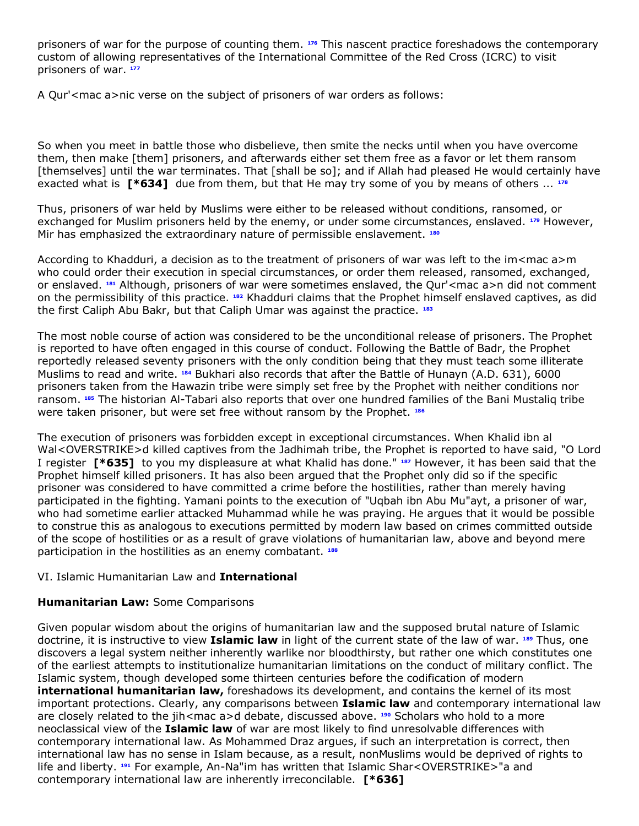prisoners of war for the purpose of counting them. **[176](http://www.lexis.com/research/retrieve?_m=47973e549231c520dbe09e2cd0971a2c&docnum=1&_fmtstr=FULL&_startdoc=1&wchp=dGLbVzz-zSkAA&_md5=0f232df1e532c2bc94176067a855cfb4&focBudTerms=&focBudSel=all#n176#n176)** This nascent practice foreshadows the contemporary custom of allowing representatives of the International Committee of the Red Cross (ICRC) to visit prisoners of war. **[177](http://www.lexis.com/research/retrieve?_m=47973e549231c520dbe09e2cd0971a2c&docnum=1&_fmtstr=FULL&_startdoc=1&wchp=dGLbVzz-zSkAA&_md5=0f232df1e532c2bc94176067a855cfb4&focBudTerms=&focBudSel=all#n177#n177)**

A Qur'<mac a>nic verse on the subject of prisoners of war orders as follows:

So when you meet in battle those who disbelieve, then smite the necks until when you have overcome them, then make [them] prisoners, and afterwards either set them free as a favor or let them ransom [themselves] until the war terminates. That [shall be so]; and if Allah had pleased He would certainly have exacted what is **[\*634]** due from them, but that He may try some of you by means of others ... **[178](http://www.lexis.com/research/retrieve?_m=47973e549231c520dbe09e2cd0971a2c&docnum=1&_fmtstr=FULL&_startdoc=1&wchp=dGLbVzz-zSkAA&_md5=0f232df1e532c2bc94176067a855cfb4&focBudTerms=&focBudSel=all#n178#n178)**

Thus, prisoners of war held by Muslims were either to be released without conditions, ransomed, or exchanged for Muslim prisoners held by the enemy, or under some circumstances, enslaved. **[179](http://www.lexis.com/research/retrieve?_m=47973e549231c520dbe09e2cd0971a2c&docnum=1&_fmtstr=FULL&_startdoc=1&wchp=dGLbVzz-zSkAA&_md5=0f232df1e532c2bc94176067a855cfb4&focBudTerms=&focBudSel=all#n179#n179)** However, Mir has emphasized the extraordinary nature of permissible enslavement. **[180](http://www.lexis.com/research/retrieve?_m=47973e549231c520dbe09e2cd0971a2c&docnum=1&_fmtstr=FULL&_startdoc=1&wchp=dGLbVzz-zSkAA&_md5=0f232df1e532c2bc94176067a855cfb4&focBudTerms=&focBudSel=all#n180#n180)**

According to Khadduri, a decision as to the treatment of prisoners of war was left to the im<mac a>m who could order their execution in special circumstances, or order them released, ransomed, exchanged, or enslaved. **[181](http://www.lexis.com/research/retrieve?_m=47973e549231c520dbe09e2cd0971a2c&docnum=1&_fmtstr=FULL&_startdoc=1&wchp=dGLbVzz-zSkAA&_md5=0f232df1e532c2bc94176067a855cfb4&focBudTerms=&focBudSel=all#n181#n181)** Although, prisoners of war were sometimes enslaved, the Qur'<mac a>n did not comment on the permissibility of this practice. **[182](http://www.lexis.com/research/retrieve?_m=47973e549231c520dbe09e2cd0971a2c&docnum=1&_fmtstr=FULL&_startdoc=1&wchp=dGLbVzz-zSkAA&_md5=0f232df1e532c2bc94176067a855cfb4&focBudTerms=&focBudSel=all#n182#n182)** Khadduri claims that the Prophet himself enslaved captives, as did the first Caliph Abu Bakr, but that Caliph Umar was against the practice. **[183](http://www.lexis.com/research/retrieve?_m=47973e549231c520dbe09e2cd0971a2c&docnum=1&_fmtstr=FULL&_startdoc=1&wchp=dGLbVzz-zSkAA&_md5=0f232df1e532c2bc94176067a855cfb4&focBudTerms=&focBudSel=all#n183#n183)**

The most noble course of action was considered to be the unconditional release of prisoners. The Prophet is reported to have often engaged in this course of conduct. Following the Battle of Badr, the Prophet reportedly released seventy prisoners with the only condition being that they must teach some illiterate Muslims to read and write. **[184](http://www.lexis.com/research/retrieve?_m=47973e549231c520dbe09e2cd0971a2c&docnum=1&_fmtstr=FULL&_startdoc=1&wchp=dGLbVzz-zSkAA&_md5=0f232df1e532c2bc94176067a855cfb4&focBudTerms=&focBudSel=all#n184#n184)** Bukhari also records that after the Battle of Hunayn (A.D. 631), 6000 prisoners taken from the Hawazin tribe were simply set free by the Prophet with neither conditions nor ransom. **[185](http://www.lexis.com/research/retrieve?_m=47973e549231c520dbe09e2cd0971a2c&docnum=1&_fmtstr=FULL&_startdoc=1&wchp=dGLbVzz-zSkAA&_md5=0f232df1e532c2bc94176067a855cfb4&focBudTerms=&focBudSel=all#n185#n185)** The historian Al-Tabari also reports that over one hundred families of the Bani Mustaliq tribe were taken prisoner, but were set free without ransom by the Prophet. **[186](http://www.lexis.com/research/retrieve?_m=47973e549231c520dbe09e2cd0971a2c&docnum=1&_fmtstr=FULL&_startdoc=1&wchp=dGLbVzz-zSkAA&_md5=0f232df1e532c2bc94176067a855cfb4&focBudTerms=&focBudSel=all#n186#n186)**

The execution of prisoners was forbidden except in exceptional circumstances. When Khalid ibn al Wal<OVERSTRIKE>d killed captives from the Jadhimah tribe, the Prophet is reported to have said, "O Lord I register **[\*635]** to you my displeasure at what Khalid has done." **[187](http://www.lexis.com/research/retrieve?_m=47973e549231c520dbe09e2cd0971a2c&docnum=1&_fmtstr=FULL&_startdoc=1&wchp=dGLbVzz-zSkAA&_md5=0f232df1e532c2bc94176067a855cfb4&focBudTerms=&focBudSel=all#n187#n187)** However, it has been said that the Prophet himself killed prisoners. It has also been argued that the Prophet only did so if the specific prisoner was considered to have committed a crime before the hostilities, rather than merely having participated in the fighting. Yamani points to the execution of "Uqbah ibn Abu Mu"ayt, a prisoner of war, who had sometime earlier attacked Muhammad while he was praying. He argues that it would be possible to construe this as analogous to executions permitted by modern law based on crimes committed outside of the scope of hostilities or as a result of grave violations of humanitarian law, above and beyond mere participation in the hostilities as an enemy combatant. **[188](http://www.lexis.com/research/retrieve?_m=47973e549231c520dbe09e2cd0971a2c&docnum=1&_fmtstr=FULL&_startdoc=1&wchp=dGLbVzz-zSkAA&_md5=0f232df1e532c2bc94176067a855cfb4&focBudTerms=&focBudSel=all#n188#n188)**

### VI. Islamic Humanitarian Law and **International**

# **Humanitarian Law:** Some Comparisons

Given popular wisdom about the origins of humanitarian law and the supposed brutal nature of Islamic doctrine, it is instructive to view **Islamic law** in light of the current state of the law of war. **[189](http://www.lexis.com/research/retrieve?_m=47973e549231c520dbe09e2cd0971a2c&docnum=1&_fmtstr=FULL&_startdoc=1&wchp=dGLbVzz-zSkAA&_md5=0f232df1e532c2bc94176067a855cfb4&focBudTerms=&focBudSel=all#n189#n189)** Thus, one discovers a legal system neither inherently warlike nor bloodthirsty, but rather one which constitutes one of the earliest attempts to institutionalize humanitarian limitations on the conduct of military conflict. The Islamic system, though developed some thirteen centuries before the codification of modern **international humanitarian law,** foreshadows its development, and contains the kernel of its most important protections. Clearly, any comparisons between **Islamic law** and contemporary international law are closely related to the jih<mac a>d debate, discussed above. <sup>[190](http://www.lexis.com/research/retrieve?_m=47973e549231c520dbe09e2cd0971a2c&docnum=1&_fmtstr=FULL&_startdoc=1&wchp=dGLbVzz-zSkAA&_md5=0f232df1e532c2bc94176067a855cfb4&focBudTerms=&focBudSel=all#n190#n190)</sup> Scholars who hold to a more neoclassical view of the **Islamic law** of war are most likely to find unresolvable differences with contemporary international law. As Mohammed Draz argues, if such an interpretation is correct, then international law has no sense in Islam because, as a result, nonMuslims would be deprived of rights to life and liberty. **[191](http://www.lexis.com/research/retrieve?_m=47973e549231c520dbe09e2cd0971a2c&docnum=1&_fmtstr=FULL&_startdoc=1&wchp=dGLbVzz-zSkAA&_md5=0f232df1e532c2bc94176067a855cfb4&focBudTerms=&focBudSel=all#n191#n191)** For example, An-Na"im has written that Islamic Shar<OVERSTRIKE>"a and contemporary international law are inherently irreconcilable. **[\*636]**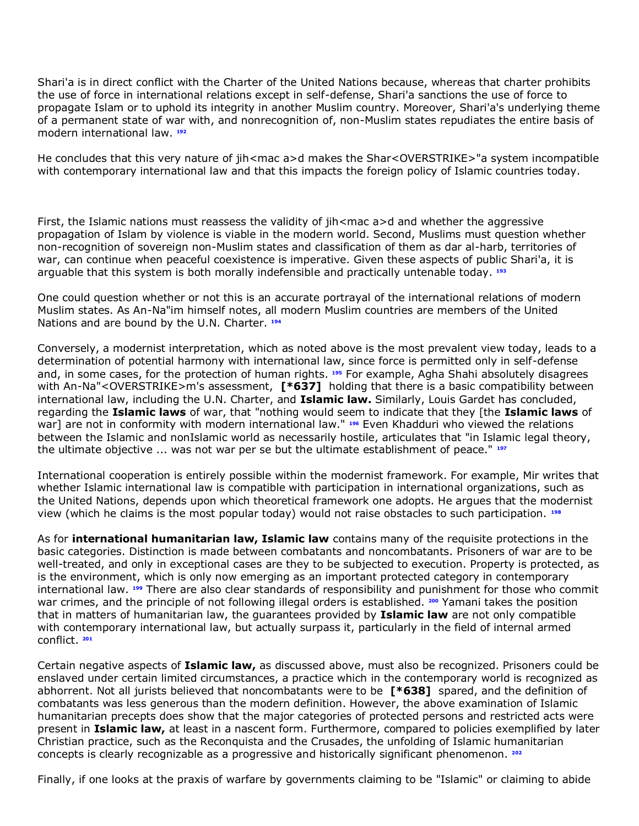Shari'a is in direct conflict with the Charter of the United Nations because, whereas that charter prohibits the use of force in international relations except in self-defense, Shari'a sanctions the use of force to propagate Islam or to uphold its integrity in another Muslim country. Moreover, Shari'a's underlying theme of a permanent state of war with, and nonrecognition of, non-Muslim states repudiates the entire basis of modern international law. **[192](http://www.lexis.com/research/retrieve?_m=47973e549231c520dbe09e2cd0971a2c&docnum=1&_fmtstr=FULL&_startdoc=1&wchp=dGLbVzz-zSkAA&_md5=0f232df1e532c2bc94176067a855cfb4&focBudTerms=&focBudSel=all#n192#n192)**

He concludes that this very nature of jih<mac a>d makes the Shar<OVERSTRIKE>"a system incompatible with contemporary international law and that this impacts the foreign policy of Islamic countries today.

First, the Islamic nations must reassess the validity of jih<mac a>d and whether the aggressive propagation of Islam by violence is viable in the modern world. Second, Muslims must question whether non-recognition of sovereign non-Muslim states and classification of them as dar al-harb, territories of war, can continue when peaceful coexistence is imperative. Given these aspects of public Shari'a, it is arguable that this system is both morally indefensible and practically untenable today. **[193](http://www.lexis.com/research/retrieve?_m=47973e549231c520dbe09e2cd0971a2c&docnum=1&_fmtstr=FULL&_startdoc=1&wchp=dGLbVzz-zSkAA&_md5=0f232df1e532c2bc94176067a855cfb4&focBudTerms=&focBudSel=all#n193#n193)**

One could question whether or not this is an accurate portrayal of the international relations of modern Muslim states. As An-Na"im himself notes, all modern Muslim countries are members of the United Nations and are bound by the U.N. Charter. **[194](http://www.lexis.com/research/retrieve?_m=47973e549231c520dbe09e2cd0971a2c&docnum=1&_fmtstr=FULL&_startdoc=1&wchp=dGLbVzz-zSkAA&_md5=0f232df1e532c2bc94176067a855cfb4&focBudTerms=&focBudSel=all#n194#n194)**

Conversely, a modernist interpretation, which as noted above is the most prevalent view today, leads to a determination of potential harmony with international law, since force is permitted only in self-defense and, in some cases, for the protection of human rights. **[195](http://www.lexis.com/research/retrieve?_m=47973e549231c520dbe09e2cd0971a2c&docnum=1&_fmtstr=FULL&_startdoc=1&wchp=dGLbVzz-zSkAA&_md5=0f232df1e532c2bc94176067a855cfb4&focBudTerms=&focBudSel=all#n195#n195)** For example, Agha Shahi absolutely disagrees with An-Na"<OVERSTRIKE>m's assessment, **[\*637]** holding that there is a basic compatibility between international law, including the U.N. Charter, and **Islamic law.** Similarly, Louis Gardet has concluded, regarding the **Islamic laws** of war, that "nothing would seem to indicate that they [the **Islamic laws** of war] are not in conformity with modern international law." **[196](http://www.lexis.com/research/retrieve?_m=47973e549231c520dbe09e2cd0971a2c&docnum=1&_fmtstr=FULL&_startdoc=1&wchp=dGLbVzz-zSkAA&_md5=0f232df1e532c2bc94176067a855cfb4&focBudTerms=&focBudSel=all#n196#n196)** Even Khadduri who viewed the relations between the Islamic and nonIslamic world as necessarily hostile, articulates that "in Islamic legal theory, the ultimate objective ... was not war per se but the ultimate establishment of peace." **[197](http://www.lexis.com/research/retrieve?_m=47973e549231c520dbe09e2cd0971a2c&docnum=1&_fmtstr=FULL&_startdoc=1&wchp=dGLbVzz-zSkAA&_md5=0f232df1e532c2bc94176067a855cfb4&focBudTerms=&focBudSel=all#n197#n197)**

International cooperation is entirely possible within the modernist framework. For example, Mir writes that whether Islamic international law is compatible with participation in international organizations, such as the United Nations, depends upon which theoretical framework one adopts. He argues that the modernist view (which he claims is the most popular today) would not raise obstacles to such participation. **[198](http://www.lexis.com/research/retrieve?_m=47973e549231c520dbe09e2cd0971a2c&docnum=1&_fmtstr=FULL&_startdoc=1&wchp=dGLbVzz-zSkAA&_md5=0f232df1e532c2bc94176067a855cfb4&focBudTerms=&focBudSel=all#n198#n198)**

As for **international humanitarian law, Islamic law** contains many of the requisite protections in the basic categories. Distinction is made between combatants and noncombatants. Prisoners of war are to be well-treated, and only in exceptional cases are they to be subjected to execution. Property is protected, as is the environment, which is only now emerging as an important protected category in contemporary international law. **[199](http://www.lexis.com/research/retrieve?_m=47973e549231c520dbe09e2cd0971a2c&docnum=1&_fmtstr=FULL&_startdoc=1&wchp=dGLbVzz-zSkAA&_md5=0f232df1e532c2bc94176067a855cfb4&focBudTerms=&focBudSel=all#n199#n199)** There are also clear standards of responsibility and punishment for those who commit war crimes, and the principle of not following illegal orders is established. **[200](http://www.lexis.com/research/retrieve?_m=47973e549231c520dbe09e2cd0971a2c&docnum=1&_fmtstr=FULL&_startdoc=1&wchp=dGLbVzz-zSkAA&_md5=0f232df1e532c2bc94176067a855cfb4&focBudTerms=&focBudSel=all#n200#n200)** Yamani takes the position that in matters of humanitarian law, the guarantees provided by **Islamic law** are not only compatible with contemporary international law, but actually surpass it, particularly in the field of internal armed conflict. **[201](http://www.lexis.com/research/retrieve?_m=47973e549231c520dbe09e2cd0971a2c&docnum=1&_fmtstr=FULL&_startdoc=1&wchp=dGLbVzz-zSkAA&_md5=0f232df1e532c2bc94176067a855cfb4&focBudTerms=&focBudSel=all#n201#n201)**

Certain negative aspects of **Islamic law,** as discussed above, must also be recognized. Prisoners could be enslaved under certain limited circumstances, a practice which in the contemporary world is recognized as abhorrent. Not all jurists believed that noncombatants were to be **[\*638]** spared, and the definition of combatants was less generous than the modern definition. However, the above examination of Islamic humanitarian precepts does show that the major categories of protected persons and restricted acts were present in **Islamic law,** at least in a nascent form. Furthermore, compared to policies exemplified by later Christian practice, such as the Reconquista and the Crusades, the unfolding of Islamic humanitarian concepts is clearly recognizable as a progressive and historically significant phenomenon. **[202](http://www.lexis.com/research/retrieve?_m=47973e549231c520dbe09e2cd0971a2c&docnum=1&_fmtstr=FULL&_startdoc=1&wchp=dGLbVzz-zSkAA&_md5=0f232df1e532c2bc94176067a855cfb4&focBudTerms=&focBudSel=all#n202#n202)**

Finally, if one looks at the praxis of warfare by governments claiming to be "Islamic" or claiming to abide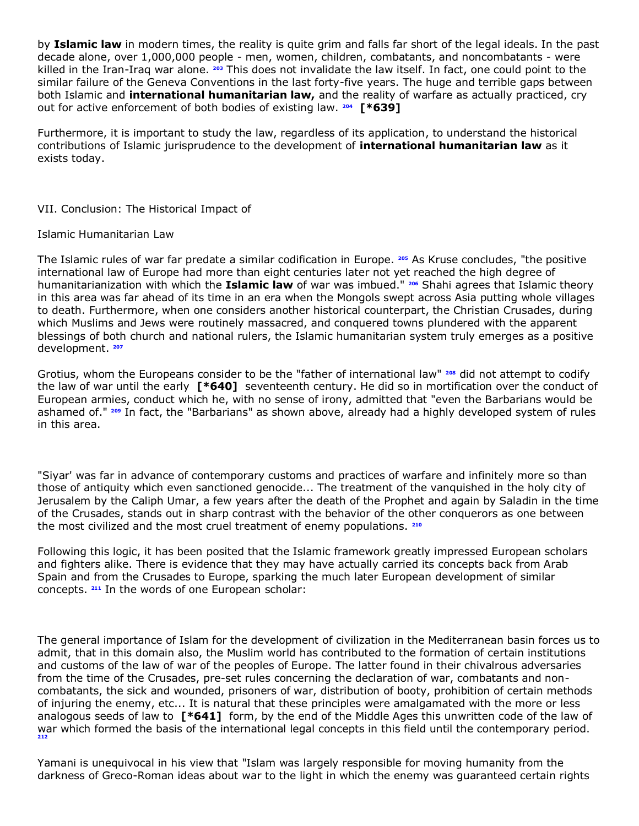by **Islamic law** in modern times, the reality is quite grim and falls far short of the legal ideals. In the past decade alone, over 1,000,000 people - men, women, children, combatants, and noncombatants - were killed in the Iran-Iraq war alone. **[203](http://www.lexis.com/research/retrieve?_m=47973e549231c520dbe09e2cd0971a2c&docnum=1&_fmtstr=FULL&_startdoc=1&wchp=dGLbVzz-zSkAA&_md5=0f232df1e532c2bc94176067a855cfb4&focBudTerms=&focBudSel=all#n203#n203)** This does not invalidate the law itself. In fact, one could point to the similar failure of the Geneva Conventions in the last forty-five years. The huge and terrible gaps between both Islamic and **international humanitarian law,** and the reality of warfare as actually practiced, cry out for active enforcement of both bodies of existing law. **[204](http://www.lexis.com/research/retrieve?_m=47973e549231c520dbe09e2cd0971a2c&docnum=1&_fmtstr=FULL&_startdoc=1&wchp=dGLbVzz-zSkAA&_md5=0f232df1e532c2bc94176067a855cfb4&focBudTerms=&focBudSel=all#n204#n204) [\*639]**

Furthermore, it is important to study the law, regardless of its application, to understand the historical contributions of Islamic jurisprudence to the development of **international humanitarian law** as it exists today.

VII. Conclusion: The Historical Impact of

#### Islamic Humanitarian Law

The Islamic rules of war far predate a similar codification in Europe. **[205](http://www.lexis.com/research/retrieve?_m=47973e549231c520dbe09e2cd0971a2c&docnum=1&_fmtstr=FULL&_startdoc=1&wchp=dGLbVzz-zSkAA&_md5=0f232df1e532c2bc94176067a855cfb4&focBudTerms=&focBudSel=all#n205#n205)** As Kruse concludes, "the positive international law of Europe had more than eight centuries later not yet reached the high degree of humanitarianization with which the **Islamic law** of war was imbued." **[206](http://www.lexis.com/research/retrieve?_m=47973e549231c520dbe09e2cd0971a2c&docnum=1&_fmtstr=FULL&_startdoc=1&wchp=dGLbVzz-zSkAA&_md5=0f232df1e532c2bc94176067a855cfb4&focBudTerms=&focBudSel=all#n206#n206)** Shahi agrees that Islamic theory in this area was far ahead of its time in an era when the Mongols swept across Asia putting whole villages to death. Furthermore, when one considers another historical counterpart, the Christian Crusades, during which Muslims and Jews were routinely massacred, and conquered towns plundered with the apparent blessings of both church and national rulers, the Islamic humanitarian system truly emerges as a positive development. **[207](http://www.lexis.com/research/retrieve?_m=47973e549231c520dbe09e2cd0971a2c&docnum=1&_fmtstr=FULL&_startdoc=1&wchp=dGLbVzz-zSkAA&_md5=0f232df1e532c2bc94176067a855cfb4&focBudTerms=&focBudSel=all#n207#n207)**

Grotius, whom the Europeans consider to be the "father of international law" **[208](http://www.lexis.com/research/retrieve?_m=47973e549231c520dbe09e2cd0971a2c&docnum=1&_fmtstr=FULL&_startdoc=1&wchp=dGLbVzz-zSkAA&_md5=0f232df1e532c2bc94176067a855cfb4&focBudTerms=&focBudSel=all#n208#n208)** did not attempt to codify the law of war until the early **[\*640]** seventeenth century. He did so in mortification over the conduct of European armies, conduct which he, with no sense of irony, admitted that "even the Barbarians would be ashamed of." **[209](http://www.lexis.com/research/retrieve?_m=47973e549231c520dbe09e2cd0971a2c&docnum=1&_fmtstr=FULL&_startdoc=1&wchp=dGLbVzz-zSkAA&_md5=0f232df1e532c2bc94176067a855cfb4&focBudTerms=&focBudSel=all#n209#n209)** In fact, the "Barbarians" as shown above, already had a highly developed system of rules in this area.

"Siyar' was far in advance of contemporary customs and practices of warfare and infinitely more so than those of antiquity which even sanctioned genocide... The treatment of the vanquished in the holy city of Jerusalem by the Caliph Umar, a few years after the death of the Prophet and again by Saladin in the time of the Crusades, stands out in sharp contrast with the behavior of the other conquerors as one between the most civilized and the most cruel treatment of enemy populations. **[210](http://www.lexis.com/research/retrieve?_m=47973e549231c520dbe09e2cd0971a2c&docnum=1&_fmtstr=FULL&_startdoc=1&wchp=dGLbVzz-zSkAA&_md5=0f232df1e532c2bc94176067a855cfb4&focBudTerms=&focBudSel=all#n210#n210)**

Following this logic, it has been posited that the Islamic framework greatly impressed European scholars and fighters alike. There is evidence that they may have actually carried its concepts back from Arab Spain and from the Crusades to Europe, sparking the much later European development of similar concepts. **[211](http://www.lexis.com/research/retrieve?_m=47973e549231c520dbe09e2cd0971a2c&docnum=1&_fmtstr=FULL&_startdoc=1&wchp=dGLbVzz-zSkAA&_md5=0f232df1e532c2bc94176067a855cfb4&focBudTerms=&focBudSel=all#n211#n211)** In the words of one European scholar:

The general importance of Islam for the development of civilization in the Mediterranean basin forces us to admit, that in this domain also, the Muslim world has contributed to the formation of certain institutions and customs of the law of war of the peoples of Europe. The latter found in their chivalrous adversaries from the time of the Crusades, pre-set rules concerning the declaration of war, combatants and noncombatants, the sick and wounded, prisoners of war, distribution of booty, prohibition of certain methods of injuring the enemy, etc... It is natural that these principles were amalgamated with the more or less analogous seeds of law to **[\*641]** form, by the end of the Middle Ages this unwritten code of the law of war which formed the basis of the international legal concepts in this field until the contemporary period. **[212](http://www.lexis.com/research/retrieve?_m=47973e549231c520dbe09e2cd0971a2c&docnum=1&_fmtstr=FULL&_startdoc=1&wchp=dGLbVzz-zSkAA&_md5=0f232df1e532c2bc94176067a855cfb4&focBudTerms=&focBudSel=all#n212#n212)**

Yamani is unequivocal in his view that "Islam was largely responsible for moving humanity from the darkness of Greco-Roman ideas about war to the light in which the enemy was guaranteed certain rights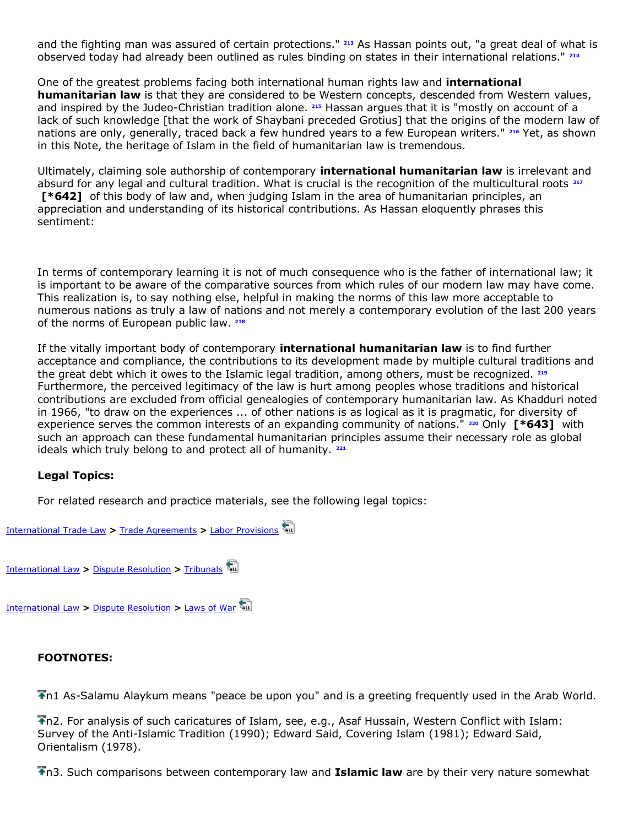and the fighting man was assured of certain protections." **[213](http://www.lexis.com/research/retrieve?_m=47973e549231c520dbe09e2cd0971a2c&docnum=1&_fmtstr=FULL&_startdoc=1&wchp=dGLbVzz-zSkAA&_md5=0f232df1e532c2bc94176067a855cfb4&focBudTerms=&focBudSel=all#n213#n213)** As Hassan points out, "a great deal of what is observed today had already been outlined as rules binding on states in their international relations." **[214](http://www.lexis.com/research/retrieve?_m=47973e549231c520dbe09e2cd0971a2c&docnum=1&_fmtstr=FULL&_startdoc=1&wchp=dGLbVzz-zSkAA&_md5=0f232df1e532c2bc94176067a855cfb4&focBudTerms=&focBudSel=all#n214#n214)**

One of the greatest problems facing both international human rights law and **international humanitarian law** is that they are considered to be Western concepts, descended from Western values, and inspired by the Judeo-Christian tradition alone. **[215](http://www.lexis.com/research/retrieve?_m=47973e549231c520dbe09e2cd0971a2c&docnum=1&_fmtstr=FULL&_startdoc=1&wchp=dGLbVzz-zSkAA&_md5=0f232df1e532c2bc94176067a855cfb4&focBudTerms=&focBudSel=all#n215#n215)** Hassan argues that it is "mostly on account of a lack of such knowledge [that the work of Shaybani preceded Grotius] that the origins of the modern law of nations are only, generally, traced back a few hundred years to a few European writers." **[216](http://www.lexis.com/research/retrieve?_m=47973e549231c520dbe09e2cd0971a2c&docnum=1&_fmtstr=FULL&_startdoc=1&wchp=dGLbVzz-zSkAA&_md5=0f232df1e532c2bc94176067a855cfb4&focBudTerms=&focBudSel=all#n216#n216)** Yet, as shown in this Note, the heritage of Islam in the field of humanitarian law is tremendous.

Ultimately, claiming sole authorship of contemporary **international humanitarian law** is irrelevant and absurd for any legal and cultural tradition. What is crucial is the recognition of the multicultural roots **[217](http://www.lexis.com/research/retrieve?_m=47973e549231c520dbe09e2cd0971a2c&docnum=1&_fmtstr=FULL&_startdoc=1&wchp=dGLbVzz-zSkAA&_md5=0f232df1e532c2bc94176067a855cfb4&focBudTerms=&focBudSel=all#n217#n217) [\*642]** of this body of law and, when judging Islam in the area of humanitarian principles, an appreciation and understanding of its historical contributions. As Hassan eloquently phrases this sentiment:

In terms of contemporary learning it is not of much consequence who is the father of international law; it is important to be aware of the comparative sources from which rules of our modern law may have come. This realization is, to say nothing else, helpful in making the norms of this law more acceptable to numerous nations as truly a law of nations and not merely a contemporary evolution of the last 200 years of the norms of European public law. **[218](http://www.lexis.com/research/retrieve?_m=47973e549231c520dbe09e2cd0971a2c&docnum=1&_fmtstr=FULL&_startdoc=1&wchp=dGLbVzz-zSkAA&_md5=0f232df1e532c2bc94176067a855cfb4&focBudTerms=&focBudSel=all#n218#n218)**

If the vitally important body of contemporary **international humanitarian law** is to find further acceptance and compliance, the contributions to its development made by multiple cultural traditions and the great debt which it owes to the Islamic legal tradition, among others, must be recognized. **[219](http://www.lexis.com/research/retrieve?_m=47973e549231c520dbe09e2cd0971a2c&docnum=1&_fmtstr=FULL&_startdoc=1&wchp=dGLbVzz-zSkAA&_md5=0f232df1e532c2bc94176067a855cfb4&focBudTerms=&focBudSel=all#n219#n219)** Furthermore, the perceived legitimacy of the law is hurt among peoples whose traditions and historical contributions are excluded from official genealogies of contemporary humanitarian law. As Khadduri noted in 1966, "to draw on the experiences ... of other nations is as logical as it is pragmatic, for diversity of experience serves the common interests of an expanding community of nations." **[220](http://www.lexis.com/research/retrieve?_m=47973e549231c520dbe09e2cd0971a2c&docnum=1&_fmtstr=FULL&_startdoc=1&wchp=dGLbVzz-zSkAA&_md5=0f232df1e532c2bc94176067a855cfb4&focBudTerms=&focBudSel=all#n220#n220)** Only **[\*643]** with such an approach can these fundamental humanitarian principles assume their necessary role as global ideals which truly belong to and protect all of humanity. **[221](http://www.lexis.com/research/retrieve?_m=47973e549231c520dbe09e2cd0971a2c&docnum=1&_fmtstr=FULL&_startdoc=1&wchp=dGLbVzz-zSkAA&_md5=0f232df1e532c2bc94176067a855cfb4&focBudTerms=&focBudSel=all#n221#n221)**

# **Legal Topics:**

For related research and practice materials, see the following legal topics:



### **FOOTNOTES:**

n1 As-Salamu Alaykum means "peace be upon you" and is a greeting frequently used in the Arab World.

n2. For analysis of such caricatures of Islam, see, e.g., Asaf Hussain, Western Conflict with Islam: Survey of the Anti-Islamic Tradition (1990); Edward Said, Covering Islam (1981); Edward Said, Orientalism (1978).

n3. Such comparisons between contemporary law and **Islamic law** are by their very nature somewhat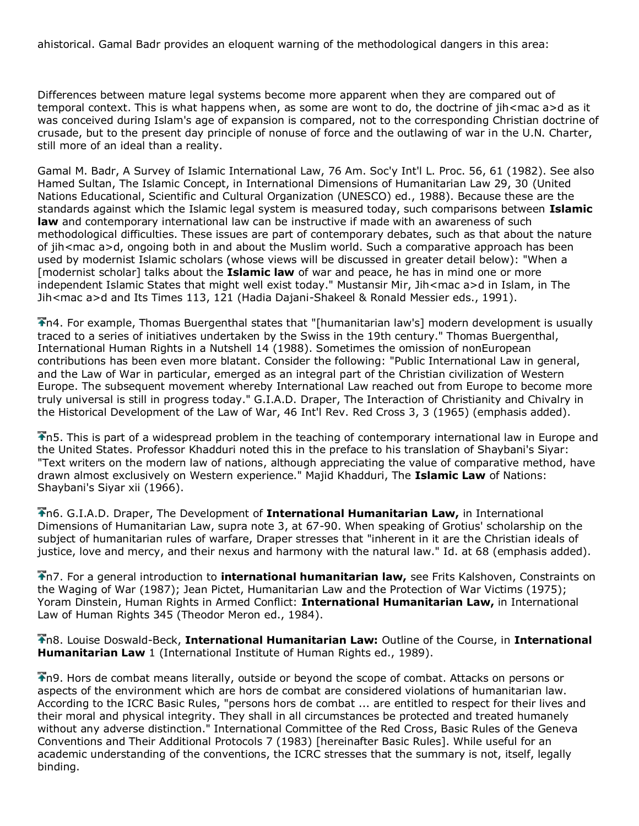ahistorical. Gamal Badr provides an eloquent warning of the methodological dangers in this area:

Differences between mature legal systems become more apparent when they are compared out of temporal context. This is what happens when, as some are wont to do, the doctrine of jih<mac a>d as it was conceived during Islam's age of expansion is compared, not to the corresponding Christian doctrine of crusade, but to the present day principle of nonuse of force and the outlawing of war in the U.N. Charter, still more of an ideal than a reality.

Gamal M. Badr, A Survey of Islamic International Law, 76 Am. Soc'y Int'l L. Proc. 56, 61 (1982). See also Hamed Sultan, The Islamic Concept, in International Dimensions of Humanitarian Law 29, 30 (United Nations Educational, Scientific and Cultural Organization (UNESCO) ed., 1988). Because these are the standards against which the Islamic legal system is measured today, such comparisons between **Islamic law** and contemporary international law can be instructive if made with an awareness of such methodological difficulties. These issues are part of contemporary debates, such as that about the nature of jih<mac a>d, ongoing both in and about the Muslim world. Such a comparative approach has been used by modernist Islamic scholars (whose views will be discussed in greater detail below): "When a [modernist scholar] talks about the **Islamic law** of war and peace, he has in mind one or more independent Islamic States that might well exist today." Mustansir Mir, Jih<mac a>d in Islam, in The Jih<mac a>d and Its Times 113, 121 (Hadia Dajani-Shakeel & Ronald Messier eds., 1991).

n4. For example, Thomas Buergenthal states that "[humanitarian law's] modern development is usually traced to a series of initiatives undertaken by the Swiss in the 19th century." Thomas Buergenthal, International Human Rights in a Nutshell 14 (1988). Sometimes the omission of nonEuropean contributions has been even more blatant. Consider the following: "Public International Law in general, and the Law of War in particular, emerged as an integral part of the Christian civilization of Western Europe. The subsequent movement whereby International Law reached out from Europe to become more truly universal is still in progress today." G.I.A.D. Draper, The Interaction of Christianity and Chivalry in the Historical Development of the Law of War, 46 Int'l Rev. Red Cross 3, 3 (1965) (emphasis added).

n5. This is part of a widespread problem in the teaching of contemporary international law in Europe and the United States. Professor Khadduri noted this in the preface to his translation of Shaybani's Siyar: "Text writers on the modern law of nations, although appreciating the value of comparative method, have drawn almost exclusively on Western experience." Majid Khadduri, The **Islamic Law** of Nations: Shaybani's Siyar xii (1966).

n6. G.I.A.D. Draper, The Development of **International Humanitarian Law,** in International Dimensions of Humanitarian Law, supra note 3, at 67-90. When speaking of Grotius' scholarship on the subject of humanitarian rules of warfare, Draper stresses that "inherent in it are the Christian ideals of justice, love and mercy, and their nexus and harmony with the natural law." Id. at 68 (emphasis added).

n7. For a general introduction to **international humanitarian law,** see Frits Kalshoven, Constraints on the Waging of War (1987); Jean Pictet, Humanitarian Law and the Protection of War Victims (1975); Yoram Dinstein, Human Rights in Armed Conflict: **International Humanitarian Law,** in International Law of Human Rights 345 (Theodor Meron ed., 1984).

n8. Louise Doswald-Beck, **International Humanitarian Law:** Outline of the Course, in **International Humanitarian Law** 1 (International Institute of Human Rights ed., 1989).

n9. Hors de combat means literally, outside or beyond the scope of combat. Attacks on persons or aspects of the environment which are hors de combat are considered violations of humanitarian law. According to the ICRC Basic Rules, "persons hors de combat ... are entitled to respect for their lives and their moral and physical integrity. They shall in all circumstances be protected and treated humanely without any adverse distinction." International Committee of the Red Cross, Basic Rules of the Geneva Conventions and Their Additional Protocols 7 (1983) [hereinafter Basic Rules]. While useful for an academic understanding of the conventions, the ICRC stresses that the summary is not, itself, legally binding.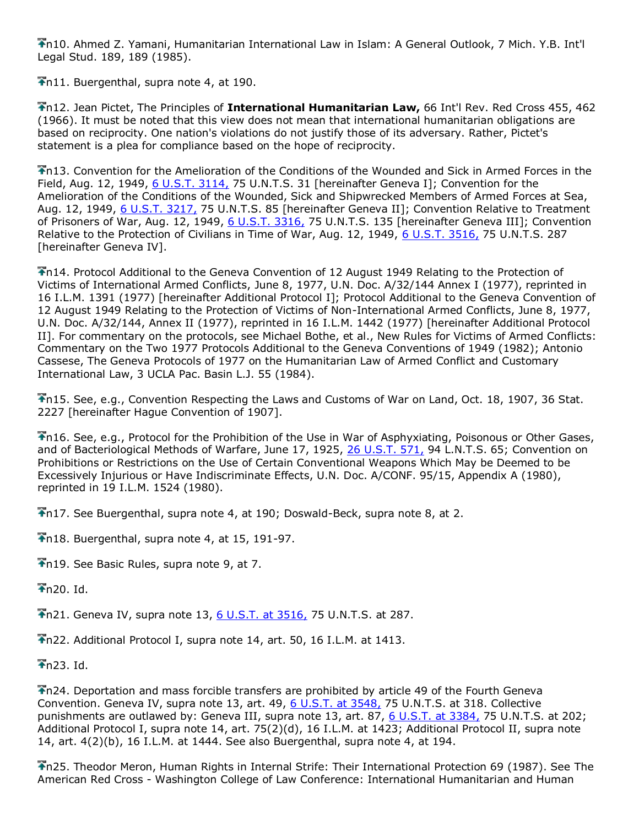n10. Ahmed Z. Yamani, Humanitarian International Law in Islam: A General Outlook, 7 Mich. Y.B. Int'l Legal Stud. 189, 189 (1985).

Th11. Buergenthal, supra note 4, at 190.

n12. Jean Pictet, The Principles of **International Humanitarian Law,** 66 Int'l Rev. Red Cross 455, 462 (1966). It must be noted that this view does not mean that international humanitarian obligations are based on reciprocity. One nation's violations do not justify those of its adversary. Rather, Pictet's statement is a plea for compliance based on the hope of reciprocity.

n13. Convention for the Amelioration of the Conditions of the Wounded and Sick in Armed Forces in the Field, Aug. 12, 1949, [6 U.S.T. 3114,](http://www.lexis.com/research/buttonTFLink?_m=1b4c68542c8bcfbd131f10c2c8299360&_xfercite=%3ccite%20cc%3d%22USA%22%3e%3c%21%5bCDATA%5b15%20Mich.%20J.%20Int%27l%20L.%20605%5d%5d%3e%3c%2fcite%3e&_butType=3&_butStat=2&_butNum=223&_butInline=1&_butinfo=%3ccite%20cc%3d%22USA%22%3e%3c%21%5bCDATA%5b6%20U.S.T.%203114%5d%5d%3e%3c%2fcite%3e&_fmtstr=FULL&docnum=1&_startdoc=1&wchp=dGLbVzz-zSkAA&_md5=4e02433fc35f8cd2c10efbf3ec79e794) 75 U.N.T.S. 31 [hereinafter Geneva I]; Convention for the Amelioration of the Conditions of the Wounded, Sick and Shipwrecked Members of Armed Forces at Sea, Aug. 12, 1949, [6 U.S.T. 3217,](http://www.lexis.com/research/buttonTFLink?_m=1b4c68542c8bcfbd131f10c2c8299360&_xfercite=%3ccite%20cc%3d%22USA%22%3e%3c%21%5bCDATA%5b15%20Mich.%20J.%20Int%27l%20L.%20605%5d%5d%3e%3c%2fcite%3e&_butType=3&_butStat=2&_butNum=224&_butInline=1&_butinfo=%3ccite%20cc%3d%22USA%22%3e%3c%21%5bCDATA%5b6%20U.S.T.%203217%5d%5d%3e%3c%2fcite%3e&_fmtstr=FULL&docnum=1&_startdoc=1&wchp=dGLbVzz-zSkAA&_md5=58ce83218ca03d2fb48e1180fe7e009b) 75 U.N.T.S. 85 [hereinafter Geneva II]; Convention Relative to Treatment of Prisoners of War, Aug. 12, 1949, [6 U.S.T. 3316,](http://www.lexis.com/research/buttonTFLink?_m=1b4c68542c8bcfbd131f10c2c8299360&_xfercite=%3ccite%20cc%3d%22USA%22%3e%3c%21%5bCDATA%5b15%20Mich.%20J.%20Int%27l%20L.%20605%5d%5d%3e%3c%2fcite%3e&_butType=3&_butStat=2&_butNum=225&_butInline=1&_butinfo=%3ccite%20cc%3d%22USA%22%3e%3c%21%5bCDATA%5b6%20U.S.T.%203316%5d%5d%3e%3c%2fcite%3e&_fmtstr=FULL&docnum=1&_startdoc=1&wchp=dGLbVzz-zSkAA&_md5=405b3f9a1808aab610beeabec2050bde) 75 U.N.T.S. 135 [hereinafter Geneva III]; Convention Relative to the Protection of Civilians in Time of War, Aug. 12, 1949, [6 U.S.T. 3516,](http://www.lexis.com/research/buttonTFLink?_m=1b4c68542c8bcfbd131f10c2c8299360&_xfercite=%3ccite%20cc%3d%22USA%22%3e%3c%21%5bCDATA%5b15%20Mich.%20J.%20Int%27l%20L.%20605%5d%5d%3e%3c%2fcite%3e&_butType=3&_butStat=2&_butNum=226&_butInline=1&_butinfo=%3ccite%20cc%3d%22USA%22%3e%3c%21%5bCDATA%5b6%20U.S.T.%203516%5d%5d%3e%3c%2fcite%3e&_fmtstr=FULL&docnum=1&_startdoc=1&wchp=dGLbVzz-zSkAA&_md5=a2deacdfba5c52099f6b1679c01c0ed1) 75 U.N.T.S. 287 [hereinafter Geneva IV].

n14. Protocol Additional to the Geneva Convention of 12 August 1949 Relating to the Protection of Victims of International Armed Conflicts, June 8, 1977, U.N. Doc. A/32/144 Annex I (1977), reprinted in 16 I.L.M. 1391 (1977) [hereinafter Additional Protocol I]; Protocol Additional to the Geneva Convention of 12 August 1949 Relating to the Protection of Victims of Non-International Armed Conflicts, June 8, 1977, U.N. Doc. A/32/144, Annex II (1977), reprinted in 16 I.L.M. 1442 (1977) [hereinafter Additional Protocol II]. For commentary on the protocols, see Michael Bothe, et al., New Rules for Victims of Armed Conflicts: Commentary on the Two 1977 Protocols Additional to the Geneva Conventions of 1949 (1982); Antonio Cassese, The Geneva Protocols of 1977 on the Humanitarian Law of Armed Conflict and Customary International Law, 3 UCLA Pac. Basin L.J. 55 (1984).

n15. See, e.g., Convention Respecting the Laws and Customs of War on Land, Oct. 18, 1907, 36 Stat. 2227 [hereinafter Hague Convention of 1907].

n16. See, e.g., Protocol for the Prohibition of the Use in War of Asphyxiating, Poisonous or Other Gases, and of Bacteriological Methods of Warfare, June 17, 1925, [26 U.S.T. 571,](http://www.lexis.com/research/buttonTFLink?_m=1b4c68542c8bcfbd131f10c2c8299360&_xfercite=%3ccite%20cc%3d%22USA%22%3e%3c%21%5bCDATA%5b15%20Mich.%20J.%20Int%27l%20L.%20605%5d%5d%3e%3c%2fcite%3e&_butType=3&_butStat=2&_butNum=230&_butInline=1&_butinfo=%3ccite%20cc%3d%22USA%22%3e%3c%21%5bCDATA%5b26%20U.S.T.%20571%5d%5d%3e%3c%2fcite%3e&_fmtstr=FULL&docnum=1&_startdoc=1&wchp=dGLbVzz-zSkAA&_md5=4ecf2ac395b0e284bd453a157a43a26c) 94 L.N.T.S. 65; Convention on Prohibitions or Restrictions on the Use of Certain Conventional Weapons Which May be Deemed to be Excessively Injurious or Have Indiscriminate Effects, U.N. Doc. A/CONF. 95/15, Appendix A (1980), reprinted in 19 I.L.M. 1524 (1980).

n17. See Buergenthal, supra note 4, at 190; Doswald-Beck, supra note 8, at 2.

n18. Buergenthal, supra note 4, at 15, 191-97.

Th19. See Basic Rules, supra note 9, at 7.

 $+$ n20. Id.

 $\overline{P}$ n21. Geneva IV, supra note 13, [6 U.S.T. at 3516,](http://www.lexis.com/research/buttonTFLink?_m=1b4c68542c8bcfbd131f10c2c8299360&_xfercite=%3ccite%20cc%3d%22USA%22%3e%3c%21%5bCDATA%5b15%20Mich.%20J.%20Int%27l%20L.%20605%5d%5d%3e%3c%2fcite%3e&_butType=3&_butStat=2&_butNum=232&_butInline=1&_butinfo=%3ccite%20cc%3d%22USA%22%3e%3c%21%5bCDATA%5b6%20U.S.T.%203516%5d%5d%3e%3c%2fcite%3e&_fmtstr=FULL&docnum=1&_startdoc=1&wchp=dGLbVzz-zSkAA&_md5=e9c04b1f0022bf49dab67a3aaaa9a626) 75 U.N.T.S. at 287.

n22. Additional Protocol I, supra note 14, art. 50, 16 I.L.M. at 1413.

 $\bigstar$ n23. Id.

n24. Deportation and mass forcible transfers are prohibited by article 49 of the Fourth Geneva Convention. Geneva IV, supra note 13, art. 49, [6 U.S.T. at 3548,](http://www.lexis.com/research/buttonTFLink?_m=1b4c68542c8bcfbd131f10c2c8299360&_xfercite=%3ccite%20cc%3d%22USA%22%3e%3c%21%5bCDATA%5b15%20Mich.%20J.%20Int%27l%20L.%20605%5d%5d%3e%3c%2fcite%3e&_butType=3&_butStat=2&_butNum=234&_butInline=1&_butinfo=%3ccite%20cc%3d%22USA%22%3e%3c%21%5bCDATA%5b6%20U.S.T.%203516%2cat%203548%5d%5d%3e%3c%2fcite%3e&_fmtstr=FULL&docnum=1&_startdoc=1&wchp=dGLbVzz-zSkAA&_md5=e65ee3f48cc907864ccbc66bec15e4a2) 75 U.N.T.S. at 318. Collective punishments are outlawed by: Geneva III, supra note 13, art. 87, [6 U.S.T. at 3384,](http://www.lexis.com/research/buttonTFLink?_m=1b4c68542c8bcfbd131f10c2c8299360&_xfercite=%3ccite%20cc%3d%22USA%22%3e%3c%21%5bCDATA%5b15%20Mich.%20J.%20Int%27l%20L.%20605%5d%5d%3e%3c%2fcite%3e&_butType=3&_butStat=2&_butNum=235&_butInline=1&_butinfo=%3ccite%20cc%3d%22USA%22%3e%3c%21%5bCDATA%5b6%20U.S.T.%203316%2cat%203384%5d%5d%3e%3c%2fcite%3e&_fmtstr=FULL&docnum=1&_startdoc=1&wchp=dGLbVzz-zSkAA&_md5=dee1e3743582acbc517a4c416cd95e52) 75 U.N.T.S. at 202; Additional Protocol I, supra note 14, art. 75(2)(d), 16 I.L.M. at 1423; Additional Protocol II, supra note 14, art. 4(2)(b), 16 I.L.M. at 1444. See also Buergenthal, supra note 4, at 194.

n25. Theodor Meron, Human Rights in Internal Strife: Their International Protection 69 (1987). See The American Red Cross - Washington College of Law Conference: International Humanitarian and Human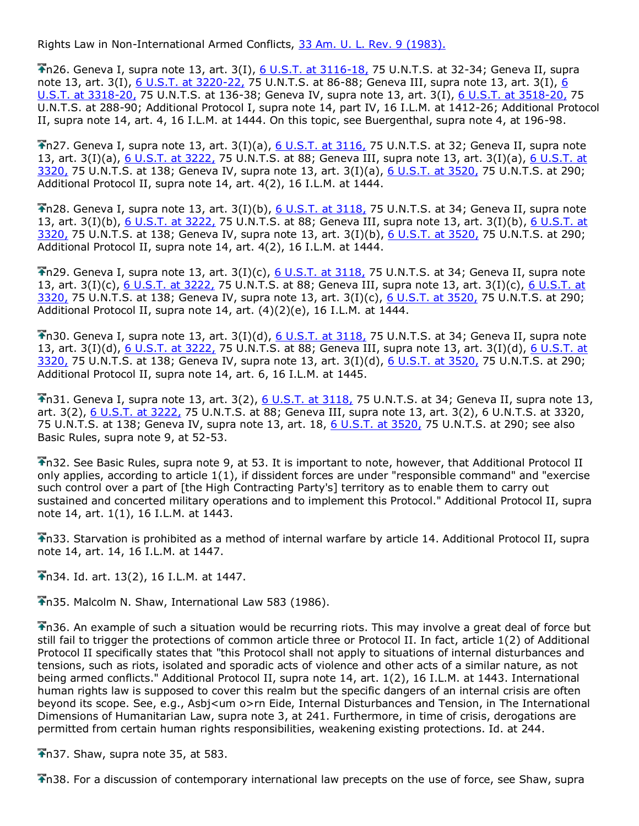Rights Law in Non-International Armed Conflicts, [33 Am. U. L. Rev. 9 \(1983\).](http://www.lexis.com/research/buttonTFLink?_m=1b4c68542c8bcfbd131f10c2c8299360&_xfercite=%3ccite%20cc%3d%22USA%22%3e%3c%21%5bCDATA%5b15%20Mich.%20J.%20Int%27l%20L.%20605%5d%5d%3e%3c%2fcite%3e&_butType=3&_butStat=2&_butNum=238&_butInline=1&_butinfo=%3ccite%20cc%3d%22USA%22%3e%3c%21%5bCDATA%5b33%20Am.%20U.L.%20Rev.%209%5d%5d%3e%3c%2fcite%3e&_fmtstr=FULL&docnum=1&_startdoc=1&wchp=dGLbVzz-zSkAA&_md5=5c3d55c36f64cd486ad4eaed7d8816a9)

n26. Geneva I, supra note 13, art. 3(I), [6 U.S.T. at 3116-18,](http://www.lexis.com/research/buttonTFLink?_m=1b4c68542c8bcfbd131f10c2c8299360&_xfercite=%3ccite%20cc%3d%22USA%22%3e%3c%21%5bCDATA%5b15%20Mich.%20J.%20Int%27l%20L.%20605%5d%5d%3e%3c%2fcite%3e&_butType=3&_butStat=2&_butNum=239&_butInline=1&_butinfo=%3ccite%20cc%3d%22USA%22%3e%3c%21%5bCDATA%5b6%20U.S.T.%203114%2cat%203116%5d%5d%3e%3c%2fcite%3e&_fmtstr=FULL&docnum=1&_startdoc=1&wchp=dGLbVzz-zSkAA&_md5=71a46408e6658b16799d202ea9f5b7bf) 75 U.N.T.S. at 32-34; Geneva II, supra note 13, art. 3(I), [6 U.S.T. at 3220-22,](http://www.lexis.com/research/buttonTFLink?_m=1b4c68542c8bcfbd131f10c2c8299360&_xfercite=%3ccite%20cc%3d%22USA%22%3e%3c%21%5bCDATA%5b15%20Mich.%20J.%20Int%27l%20L.%20605%5d%5d%3e%3c%2fcite%3e&_butType=3&_butStat=2&_butNum=240&_butInline=1&_butinfo=%3ccite%20cc%3d%22USA%22%3e%3c%21%5bCDATA%5b6%20U.S.T.%203217%2cat%203220%5d%5d%3e%3c%2fcite%3e&_fmtstr=FULL&docnum=1&_startdoc=1&wchp=dGLbVzz-zSkAA&_md5=9246b0a6722ec1cff6c0dd4659a6fbe7) 75 U.N.T.S. at 86-88; Geneva III, supra note 13, art. 3(I), 6 [U.S.T. at 3318-20,](http://www.lexis.com/research/buttonTFLink?_m=1b4c68542c8bcfbd131f10c2c8299360&_xfercite=%3ccite%20cc%3d%22USA%22%3e%3c%21%5bCDATA%5b15%20Mich.%20J.%20Int%27l%20L.%20605%5d%5d%3e%3c%2fcite%3e&_butType=3&_butStat=2&_butNum=241&_butInline=1&_butinfo=%3ccite%20cc%3d%22USA%22%3e%3c%21%5bCDATA%5b6%20U.S.T.%203316%2cat%203318%5d%5d%3e%3c%2fcite%3e&_fmtstr=FULL&docnum=1&_startdoc=1&wchp=dGLbVzz-zSkAA&_md5=a93bf0592c75f60295dfc99d2d7d6997) 75 U.N.T.S. at 136-38; Geneva IV, supra note 13, art. 3(I), [6 U.S.T. at 3518-20,](http://www.lexis.com/research/buttonTFLink?_m=1b4c68542c8bcfbd131f10c2c8299360&_xfercite=%3ccite%20cc%3d%22USA%22%3e%3c%21%5bCDATA%5b15%20Mich.%20J.%20Int%27l%20L.%20605%5d%5d%3e%3c%2fcite%3e&_butType=3&_butStat=2&_butNum=242&_butInline=1&_butinfo=%3ccite%20cc%3d%22USA%22%3e%3c%21%5bCDATA%5b6%20U.S.T.%203516%2cat%203518%5d%5d%3e%3c%2fcite%3e&_fmtstr=FULL&docnum=1&_startdoc=1&wchp=dGLbVzz-zSkAA&_md5=76183a6037c476e71d7ab438abe30f6e) 75 U.N.T.S. at 288-90; Additional Protocol I, supra note 14, part IV, 16 I.L.M. at 1412-26; Additional Protocol II, supra note 14, art. 4, 16 I.L.M. at 1444. On this topic, see Buergenthal, supra note 4, at 196-98.

n27. Geneva I, supra note 13, art. 3(I)(a), [6 U.S.T. at 3116,](http://www.lexis.com/research/buttonTFLink?_m=1b4c68542c8bcfbd131f10c2c8299360&_xfercite=%3ccite%20cc%3d%22USA%22%3e%3c%21%5bCDATA%5b15%20Mich.%20J.%20Int%27l%20L.%20605%5d%5d%3e%3c%2fcite%3e&_butType=3&_butStat=2&_butNum=245&_butInline=1&_butinfo=%3ccite%20cc%3d%22USA%22%3e%3c%21%5bCDATA%5b6%20U.S.T.%203114%2cat%203116%5d%5d%3e%3c%2fcite%3e&_fmtstr=FULL&docnum=1&_startdoc=1&wchp=dGLbVzz-zSkAA&_md5=bb93106c40a1b9b0aa5719ba14cc3bd2) 75 U.N.T.S. at 32; Geneva II, supra note 13, art. 3(I)(a), [6 U.S.T. at 3222,](http://www.lexis.com/research/buttonTFLink?_m=1b4c68542c8bcfbd131f10c2c8299360&_xfercite=%3ccite%20cc%3d%22USA%22%3e%3c%21%5bCDATA%5b15%20Mich.%20J.%20Int%27l%20L.%20605%5d%5d%3e%3c%2fcite%3e&_butType=3&_butStat=2&_butNum=246&_butInline=1&_butinfo=%3ccite%20cc%3d%22USA%22%3e%3c%21%5bCDATA%5b6%20U.S.T.%203217%2cat%203222%5d%5d%3e%3c%2fcite%3e&_fmtstr=FULL&docnum=1&_startdoc=1&wchp=dGLbVzz-zSkAA&_md5=9156c575a56ceb0b48a96f24777766a8) 75 U.N.T.S. at 88; Geneva III, supra note 13, art. 3(I)(a), 6 U.S.T. at [3320,](http://www.lexis.com/research/buttonTFLink?_m=1b4c68542c8bcfbd131f10c2c8299360&_xfercite=%3ccite%20cc%3d%22USA%22%3e%3c%21%5bCDATA%5b15%20Mich.%20J.%20Int%27l%20L.%20605%5d%5d%3e%3c%2fcite%3e&_butType=3&_butStat=2&_butNum=247&_butInline=1&_butinfo=%3ccite%20cc%3d%22USA%22%3e%3c%21%5bCDATA%5b6%20U.S.T.%203316%2cat%203320%5d%5d%3e%3c%2fcite%3e&_fmtstr=FULL&docnum=1&_startdoc=1&wchp=dGLbVzz-zSkAA&_md5=4d5e2c71595c671f82f47877f1068290) 75 U.N.T.S. at 138; Geneva IV, supra note 13, art. 3(I)(a), [6 U.S.T. at 3520,](http://www.lexis.com/research/buttonTFLink?_m=1b4c68542c8bcfbd131f10c2c8299360&_xfercite=%3ccite%20cc%3d%22USA%22%3e%3c%21%5bCDATA%5b15%20Mich.%20J.%20Int%27l%20L.%20605%5d%5d%3e%3c%2fcite%3e&_butType=3&_butStat=2&_butNum=248&_butInline=1&_butinfo=%3ccite%20cc%3d%22USA%22%3e%3c%21%5bCDATA%5b6%20U.S.T.%203516%2cat%203520%5d%5d%3e%3c%2fcite%3e&_fmtstr=FULL&docnum=1&_startdoc=1&wchp=dGLbVzz-zSkAA&_md5=a150f43052a39324611da992b572ba32) 75 U.N.T.S. at 290; Additional Protocol II, supra note 14, art. 4(2), 16 I.L.M. at 1444.

 $\overline{\bullet}$ n28. Geneva I, supra note 13, art. 3(I)(b), [6 U.S.T. at 3118,](http://www.lexis.com/research/buttonTFLink?_m=1b4c68542c8bcfbd131f10c2c8299360&_xfercite=%3ccite%20cc%3d%22USA%22%3e%3c%21%5bCDATA%5b15%20Mich.%20J.%20Int%27l%20L.%20605%5d%5d%3e%3c%2fcite%3e&_butType=3&_butStat=2&_butNum=250&_butInline=1&_butinfo=%3ccite%20cc%3d%22USA%22%3e%3c%21%5bCDATA%5b6%20U.S.T.%203114%2cat%203118%5d%5d%3e%3c%2fcite%3e&_fmtstr=FULL&docnum=1&_startdoc=1&wchp=dGLbVzz-zSkAA&_md5=81bd598e2fccd2cee93579c9d86a62a6) 75 U.N.T.S. at 34; Geneva II, supra note 13, art. 3(I)(b), [6 U.S.T. at 3222,](http://www.lexis.com/research/buttonTFLink?_m=1b4c68542c8bcfbd131f10c2c8299360&_xfercite=%3ccite%20cc%3d%22USA%22%3e%3c%21%5bCDATA%5b15%20Mich.%20J.%20Int%27l%20L.%20605%5d%5d%3e%3c%2fcite%3e&_butType=3&_butStat=2&_butNum=251&_butInline=1&_butinfo=%3ccite%20cc%3d%22USA%22%3e%3c%21%5bCDATA%5b6%20U.S.T.%203217%2cat%203222%5d%5d%3e%3c%2fcite%3e&_fmtstr=FULL&docnum=1&_startdoc=1&wchp=dGLbVzz-zSkAA&_md5=291316f1bc90e81d94efd1efb4097d03) 75 U.N.T.S. at 88; Geneva III, supra note 13, art. 3(I)(b), 6 U.S.T. at [3320,](http://www.lexis.com/research/buttonTFLink?_m=1b4c68542c8bcfbd131f10c2c8299360&_xfercite=%3ccite%20cc%3d%22USA%22%3e%3c%21%5bCDATA%5b15%20Mich.%20J.%20Int%27l%20L.%20605%5d%5d%3e%3c%2fcite%3e&_butType=3&_butStat=2&_butNum=252&_butInline=1&_butinfo=%3ccite%20cc%3d%22USA%22%3e%3c%21%5bCDATA%5b6%20U.S.T.%203316%2cat%203320%5d%5d%3e%3c%2fcite%3e&_fmtstr=FULL&docnum=1&_startdoc=1&wchp=dGLbVzz-zSkAA&_md5=b00ee3d7e15cbd5f02d987a1753ad2ce) 75 U.N.T.S. at 138; Geneva IV, supra note 13, art. 3(I)(b), [6 U.S.T. at 3520,](http://www.lexis.com/research/buttonTFLink?_m=1b4c68542c8bcfbd131f10c2c8299360&_xfercite=%3ccite%20cc%3d%22USA%22%3e%3c%21%5bCDATA%5b15%20Mich.%20J.%20Int%27l%20L.%20605%5d%5d%3e%3c%2fcite%3e&_butType=3&_butStat=2&_butNum=253&_butInline=1&_butinfo=%3ccite%20cc%3d%22USA%22%3e%3c%21%5bCDATA%5b6%20U.S.T.%203516%2cat%203520%5d%5d%3e%3c%2fcite%3e&_fmtstr=FULL&docnum=1&_startdoc=1&wchp=dGLbVzz-zSkAA&_md5=f1b4b8849a7cbd84a36c1db5b0423967) 75 U.N.T.S. at 290; Additional Protocol II, supra note 14, art. 4(2), 16 I.L.M. at 1444.

 $\overline{1}$ n29. Geneva I, supra note 13, art. 3(I)(c), [6 U.S.T. at 3118,](http://www.lexis.com/research/buttonTFLink?_m=1b4c68542c8bcfbd131f10c2c8299360&_xfercite=%3ccite%20cc%3d%22USA%22%3e%3c%21%5bCDATA%5b15%20Mich.%20J.%20Int%27l%20L.%20605%5d%5d%3e%3c%2fcite%3e&_butType=3&_butStat=2&_butNum=255&_butInline=1&_butinfo=%3ccite%20cc%3d%22USA%22%3e%3c%21%5bCDATA%5b6%20U.S.T.%203114%2cat%203118%5d%5d%3e%3c%2fcite%3e&_fmtstr=FULL&docnum=1&_startdoc=1&wchp=dGLbVzz-zSkAA&_md5=3583d853788b69ba462a4c6968d4c4ca) 75 U.N.T.S. at 34; Geneva II, supra note 13, art. 3(I)(c), [6 U.S.T. at 3222,](http://www.lexis.com/research/buttonTFLink?_m=1b4c68542c8bcfbd131f10c2c8299360&_xfercite=%3ccite%20cc%3d%22USA%22%3e%3c%21%5bCDATA%5b15%20Mich.%20J.%20Int%27l%20L.%20605%5d%5d%3e%3c%2fcite%3e&_butType=3&_butStat=2&_butNum=256&_butInline=1&_butinfo=%3ccite%20cc%3d%22USA%22%3e%3c%21%5bCDATA%5b6%20U.S.T.%203217%2cat%203222%5d%5d%3e%3c%2fcite%3e&_fmtstr=FULL&docnum=1&_startdoc=1&wchp=dGLbVzz-zSkAA&_md5=a23831b63962bf9826553f3ceecd53a3) 75 U.N.T.S. at 88; Geneva III, supra note 13, art. 3(I)(c), 6 U.S.T. at [3320,](http://www.lexis.com/research/buttonTFLink?_m=1b4c68542c8bcfbd131f10c2c8299360&_xfercite=%3ccite%20cc%3d%22USA%22%3e%3c%21%5bCDATA%5b15%20Mich.%20J.%20Int%27l%20L.%20605%5d%5d%3e%3c%2fcite%3e&_butType=3&_butStat=2&_butNum=257&_butInline=1&_butinfo=%3ccite%20cc%3d%22USA%22%3e%3c%21%5bCDATA%5b6%20U.S.T.%203316%2cat%203320%5d%5d%3e%3c%2fcite%3e&_fmtstr=FULL&docnum=1&_startdoc=1&wchp=dGLbVzz-zSkAA&_md5=8a07d7fa52aa2944d4c0f1ed85951de6) 75 U.N.T.S. at 138; Geneva IV, supra note 13, art. 3(I)(c), [6 U.S.T. at 3520,](http://www.lexis.com/research/buttonTFLink?_m=1b4c68542c8bcfbd131f10c2c8299360&_xfercite=%3ccite%20cc%3d%22USA%22%3e%3c%21%5bCDATA%5b15%20Mich.%20J.%20Int%27l%20L.%20605%5d%5d%3e%3c%2fcite%3e&_butType=3&_butStat=2&_butNum=258&_butInline=1&_butinfo=%3ccite%20cc%3d%22USA%22%3e%3c%21%5bCDATA%5b6%20U.S.T.%203516%2cat%203520%5d%5d%3e%3c%2fcite%3e&_fmtstr=FULL&docnum=1&_startdoc=1&wchp=dGLbVzz-zSkAA&_md5=c6d428872303c8c8e787c40d7cbb1da0) 75 U.N.T.S. at 290; Additional Protocol II, supra note 14, art. (4)(2)(e), 16 I.L.M. at 1444.

 $\overline{1}$  n30. Geneva I, supra note 13, art. 3(I)(d),  $6$  U.S.T. at 3118, 75 U.N.T.S. at 34; Geneva II, supra note 13, art. 3(I)(d), [6 U.S.T. at 3222,](http://www.lexis.com/research/buttonTFLink?_m=1b4c68542c8bcfbd131f10c2c8299360&_xfercite=%3ccite%20cc%3d%22USA%22%3e%3c%21%5bCDATA%5b15%20Mich.%20J.%20Int%27l%20L.%20605%5d%5d%3e%3c%2fcite%3e&_butType=3&_butStat=2&_butNum=261&_butInline=1&_butinfo=%3ccite%20cc%3d%22USA%22%3e%3c%21%5bCDATA%5b6%20U.S.T.%203217%2cat%203222%5d%5d%3e%3c%2fcite%3e&_fmtstr=FULL&docnum=1&_startdoc=1&wchp=dGLbVzz-zSkAA&_md5=e64640bfdaf1a19af434c065546d9157) 75 U.N.T.S. at 88; Geneva III, supra note 13, art. 3(I)(d), 6 U.S.T. at [3320,](http://www.lexis.com/research/buttonTFLink?_m=1b4c68542c8bcfbd131f10c2c8299360&_xfercite=%3ccite%20cc%3d%22USA%22%3e%3c%21%5bCDATA%5b15%20Mich.%20J.%20Int%27l%20L.%20605%5d%5d%3e%3c%2fcite%3e&_butType=3&_butStat=2&_butNum=262&_butInline=1&_butinfo=%3ccite%20cc%3d%22USA%22%3e%3c%21%5bCDATA%5b6%20U.S.T.%203316%2cat%203320%5d%5d%3e%3c%2fcite%3e&_fmtstr=FULL&docnum=1&_startdoc=1&wchp=dGLbVzz-zSkAA&_md5=90ba6f1f586d916ed4b99e78183b99cd) 75 U.N.T.S. at 138; Geneva IV, supra note 13, art. 3(I)(d), [6 U.S.T. at 3520,](http://www.lexis.com/research/buttonTFLink?_m=1b4c68542c8bcfbd131f10c2c8299360&_xfercite=%3ccite%20cc%3d%22USA%22%3e%3c%21%5bCDATA%5b15%20Mich.%20J.%20Int%27l%20L.%20605%5d%5d%3e%3c%2fcite%3e&_butType=3&_butStat=2&_butNum=263&_butInline=1&_butinfo=%3ccite%20cc%3d%22USA%22%3e%3c%21%5bCDATA%5b6%20U.S.T.%203516%2cat%203520%5d%5d%3e%3c%2fcite%3e&_fmtstr=FULL&docnum=1&_startdoc=1&wchp=dGLbVzz-zSkAA&_md5=7f3a9bf34fb3a084dc1abd47ec36d498) 75 U.N.T.S. at 290; Additional Protocol II, supra note 14, art. 6, 16 I.L.M. at 1445.

 $\overline{1}$ n31. Geneva I, supra note 13, art. 3(2), [6 U.S.T. at 3118,](http://www.lexis.com/research/buttonTFLink?_m=1b4c68542c8bcfbd131f10c2c8299360&_xfercite=%3ccite%20cc%3d%22USA%22%3e%3c%21%5bCDATA%5b15%20Mich.%20J.%20Int%27l%20L.%20605%5d%5d%3e%3c%2fcite%3e&_butType=3&_butStat=2&_butNum=265&_butInline=1&_butinfo=%3ccite%20cc%3d%22USA%22%3e%3c%21%5bCDATA%5b6%20U.S.T.%203114%2cat%203118%5d%5d%3e%3c%2fcite%3e&_fmtstr=FULL&docnum=1&_startdoc=1&wchp=dGLbVzz-zSkAA&_md5=0728f97a581c75171987e37bc43225c2) 75 U.N.T.S. at 34; Geneva II, supra note 13, art. 3(2), [6 U.S.T.](http://www.lexis.com/research/buttonTFLink?_m=1b4c68542c8bcfbd131f10c2c8299360&_xfercite=%3ccite%20cc%3d%22USA%22%3e%3c%21%5bCDATA%5b15%20Mich.%20J.%20Int%27l%20L.%20605%5d%5d%3e%3c%2fcite%3e&_butType=3&_butStat=2&_butNum=266&_butInline=1&_butinfo=%3ccite%20cc%3d%22USA%22%3e%3c%21%5bCDATA%5b6%20U.S.T.%203217%2cat%203222%5d%5d%3e%3c%2fcite%3e&_fmtstr=FULL&docnum=1&_startdoc=1&wchp=dGLbVzz-zSkAA&_md5=04e2163c342c85ea9b9b5b39135a2277) at 3222, 75 U.N.T.S. at 88; Geneva III, supra note 13, art. 3(2), 6 U.N.T.S. at 3320, 75 U.N.T.S. at 138; Geneva IV, supra note 13, art. 18, [6 U.S.T. at 3520,](http://www.lexis.com/research/buttonTFLink?_m=1b4c68542c8bcfbd131f10c2c8299360&_xfercite=%3ccite%20cc%3d%22USA%22%3e%3c%21%5bCDATA%5b15%20Mich.%20J.%20Int%27l%20L.%20605%5d%5d%3e%3c%2fcite%3e&_butType=3&_butStat=2&_butNum=267&_butInline=1&_butinfo=%3ccite%20cc%3d%22USA%22%3e%3c%21%5bCDATA%5b6%20U.S.T.%203516%2cat%203520%5d%5d%3e%3c%2fcite%3e&_fmtstr=FULL&docnum=1&_startdoc=1&wchp=dGLbVzz-zSkAA&_md5=7ce169222077953913f16e87935efd06) 75 U.N.T.S. at 290; see also Basic Rules, supra note 9, at 52-53.

n32. See Basic Rules, supra note 9, at 53. It is important to note, however, that Additional Protocol II only applies, according to article 1(1), if dissident forces are under "responsible command" and "exercise such control over a part of [the High Contracting Party's] territory as to enable them to carry out sustained and concerted military operations and to implement this Protocol." Additional Protocol II, supra note 14, art. 1(1), 16 I.L.M. at 1443.

n33. Starvation is prohibited as a method of internal warfare by article 14. Additional Protocol II, supra note 14, art. 14, 16 I.L.M. at 1447.

n34. Id. art. 13(2), 16 I.L.M. at 1447.

n35. Malcolm N. Shaw, International Law 583 (1986).

n36. An example of such a situation would be recurring riots. This may involve a great deal of force but still fail to trigger the protections of common article three or Protocol II. In fact, article 1(2) of Additional Protocol II specifically states that "this Protocol shall not apply to situations of internal disturbances and tensions, such as riots, isolated and sporadic acts of violence and other acts of a similar nature, as not being armed conflicts." Additional Protocol II, supra note 14, art. 1(2), 16 I.L.M. at 1443. International human rights law is supposed to cover this realm but the specific dangers of an internal crisis are often beyond its scope. See, e.g., Asbj<um o>rn Eide, Internal Disturbances and Tension, in The International Dimensions of Humanitarian Law, supra note 3, at 241. Furthermore, in time of crisis, derogations are permitted from certain human rights responsibilities, weakening existing protections. Id. at 244.

 $\overline{\text{In}}$  37. Shaw, supra note 35, at 583.

n38. For a discussion of contemporary international law precepts on the use of force, see Shaw, supra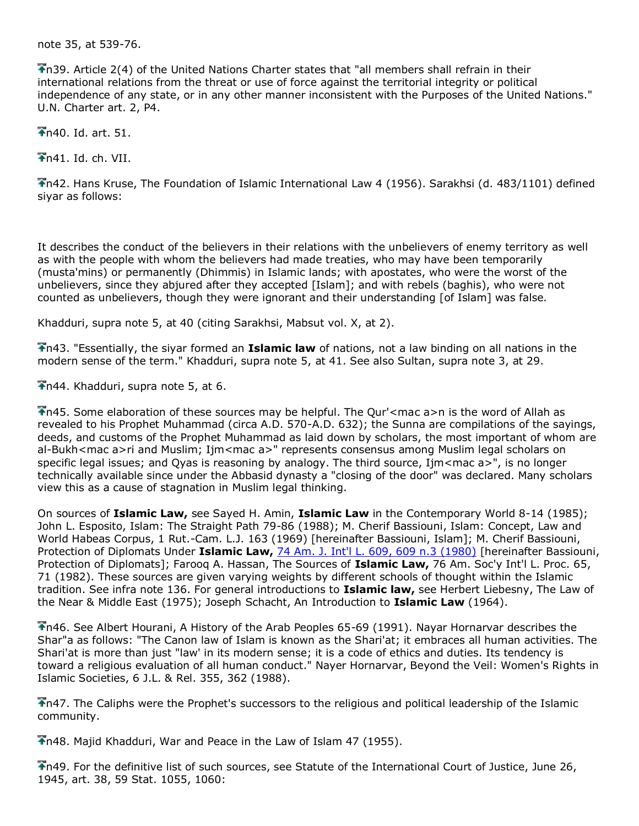note 35, at 539-76.

n39. Article 2(4) of the United Nations Charter states that "all members shall refrain in their international relations from the threat or use of force against the territorial integrity or political independence of any state, or in any other manner inconsistent with the Purposes of the United Nations." U.N. Charter art. 2, P4.

n40. Id. art. 51.

 $\bigstar$ n41. Id. ch. VII.

n42. Hans Kruse, The Foundation of Islamic International Law 4 (1956). Sarakhsi (d. 483/1101) defined siyar as follows:

It describes the conduct of the believers in their relations with the unbelievers of enemy territory as well as with the people with whom the believers had made treaties, who may have been temporarily (musta'mins) or permanently (Dhimmis) in Islamic lands; with apostates, who were the worst of the unbelievers, since they abjured after they accepted [Islam]; and with rebels (baghis), who were not counted as unbelievers, though they were ignorant and their understanding [of Islam] was false.

Khadduri, supra note 5, at 40 (citing Sarakhsi, Mabsut vol. X, at 2).

n43. "Essentially, the siyar formed an **Islamic law** of nations, not a law binding on all nations in the modern sense of the term." Khadduri, supra note 5, at 41. See also Sultan, supra note 3, at 29.

n44. Khadduri, supra note 5, at 6.

 $\Gamma$ n45. Some elaboration of these sources may be helpful. The Qur' < mac a>n is the word of Allah as revealed to his Prophet Muhammad (circa A.D. 570-A.D. 632); the Sunna are compilations of the sayings, deeds, and customs of the Prophet Muhammad as laid down by scholars, the most important of whom are al-Bukh<mac a>ri and Muslim; Ijm<mac a>" represents consensus among Muslim legal scholars on specific legal issues; and Oyas is reasoning by analogy. The third source, Ijm<mac a>", is no longer technically available since under the Abbasid dynasty a "closing of the door" was declared. Many scholars view this as a cause of stagnation in Muslim legal thinking.

On sources of **Islamic Law,** see Sayed H. Amin, **Islamic Law** in the Contemporary World 8-14 (1985); John L. Esposito, Islam: The Straight Path 79-86 (1988); M. Cherif Bassiouni, Islam: Concept, Law and World Habeas Corpus, 1 Rut.-Cam. L.J. 163 (1969) [hereinafter Bassiouni, Islam]; M. Cherif Bassiouni, Protection of Diplomats Under **Islamic Law,** [74 Am. J. Int'l L. 609, 609 n.3 \(1980\)](http://www.lexis.com/research/buttonTFLink?_m=1b4c68542c8bcfbd131f10c2c8299360&_xfercite=%3ccite%20cc%3d%22USA%22%3e%3c%21%5bCDATA%5b15%20Mich.%20J.%20Int%27l%20L.%20605%5d%5d%3e%3c%2fcite%3e&_butType=3&_butStat=2&_butNum=273&_butInline=1&_butinfo=%3ccite%20cc%3d%22USA%22%3e%3c%21%5bCDATA%5b74%20A.J.I.L.%20609%5d%5d%3e%3c%2fcite%3e&_fmtstr=FULL&docnum=1&_startdoc=1&wchp=dGLbVzz-zSkAA&_md5=caf2decfdf96c34f930f40ca800e45da) [hereinafter Bassiouni, Protection of Diplomats]; Farooq A. Hassan, The Sources of **Islamic Law,** 76 Am. Soc'y Int'l L. Proc. 65, 71 (1982). These sources are given varying weights by different schools of thought within the Islamic tradition. See infra note 136. For general introductions to **Islamic law,** see Herbert Liebesny, The Law of the Near & Middle East (1975); Joseph Schacht, An Introduction to **Islamic Law** (1964).

n46. See Albert Hourani, A History of the Arab Peoples 65-69 (1991). Nayar Hornarvar describes the Shar"a as follows: "The Canon law of Islam is known as the Shari'at; it embraces all human activities. The Shari'at is more than just "law' in its modern sense; it is a code of ethics and duties. Its tendency is toward a religious evaluation of all human conduct." Nayer Hornarvar, Beyond the Veil: Women's Rights in Islamic Societies, 6 J.L. & Rel. 355, 362 (1988).

n47. The Caliphs were the Prophet's successors to the religious and political leadership of the Islamic community.

n48. Majid Khadduri, War and Peace in the Law of Islam 47 (1955).

n49. For the definitive list of such sources, see Statute of the International Court of Justice, June 26, 1945, art. 38, 59 Stat. 1055, 1060: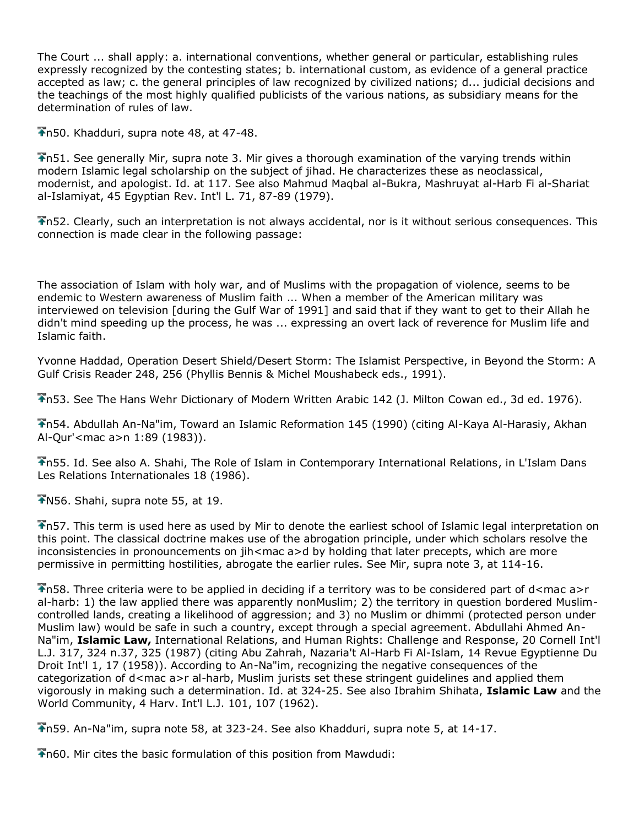The Court ... shall apply: a. international conventions, whether general or particular, establishing rules expressly recognized by the contesting states; b. international custom, as evidence of a general practice accepted as law; c. the general principles of law recognized by civilized nations; d... judicial decisions and the teachings of the most highly qualified publicists of the various nations, as subsidiary means for the determination of rules of law.

n50. Khadduri, supra note 48, at 47-48.

n51. See generally Mir, supra note 3. Mir gives a thorough examination of the varying trends within modern Islamic legal scholarship on the subject of jihad. He characterizes these as neoclassical, modernist, and apologist. Id. at 117. See also Mahmud Maqbal al-Bukra, Mashruyat al-Harb Fi al-Shariat al-Islamiyat, 45 Egyptian Rev. Int'l L. 71, 87-89 (1979).

n52. Clearly, such an interpretation is not always accidental, nor is it without serious consequences. This connection is made clear in the following passage:

The association of Islam with holy war, and of Muslims with the propagation of violence, seems to be endemic to Western awareness of Muslim faith ... When a member of the American military was interviewed on television [during the Gulf War of 1991] and said that if they want to get to their Allah he didn't mind speeding up the process, he was ... expressing an overt lack of reverence for Muslim life and Islamic faith.

Yvonne Haddad, Operation Desert Shield/Desert Storm: The Islamist Perspective, in Beyond the Storm: A Gulf Crisis Reader 248, 256 (Phyllis Bennis & Michel Moushabeck eds., 1991).

n53. See The Hans Wehr Dictionary of Modern Written Arabic 142 (J. Milton Cowan ed., 3d ed. 1976).

n54. Abdullah An-Na"im, Toward an Islamic Reformation 145 (1990) (citing Al-Kaya Al-Harasiy, Akhan Al-Qur'<mac a>n 1:89 (1983)).

n55. Id. See also A. Shahi, The Role of Islam in Contemporary International Relations, in L'Islam Dans Les Relations Internationales 18 (1986).

 $N56.$  Shahi, supra note 55, at 19.

n57. This term is used here as used by Mir to denote the earliest school of Islamic legal interpretation on this point. The classical doctrine makes use of the abrogation principle, under which scholars resolve the inconsistencies in pronouncements on jih<mac a>d by holding that later precepts, which are more permissive in permitting hostilities, abrogate the earlier rules. See Mir, supra note 3, at 114-16.

 $\bigtriangledown$ n58. Three criteria were to be applied in deciding if a territory was to be considered part of d<mac a>r al-harb: 1) the law applied there was apparently nonMuslim; 2) the territory in question bordered Muslimcontrolled lands, creating a likelihood of aggression; and 3) no Muslim or dhimmi (protected person under Muslim law) would be safe in such a country, except through a special agreement. Abdullahi Ahmed An-Na"im, **Islamic Law,** International Relations, and Human Rights: Challenge and Response, 20 Cornell Int'l L.J. 317, 324 n.37, 325 (1987) (citing Abu Zahrah, Nazaria't Al-Harb Fi Al-Islam, 14 Revue Egyptienne Du Droit Int'l 1, 17 (1958)). According to An-Na"im, recognizing the negative consequences of the categorization of d<mac a>r al-harb, Muslim jurists set these stringent guidelines and applied them vigorously in making such a determination. Id. at 324-25. See also Ibrahim Shihata, **Islamic Law** and the World Community, 4 Harv. Int'l L.J. 101, 107 (1962).

n59. An-Na"im, supra note 58, at 323-24. See also Khadduri, supra note 5, at 14-17.

n60. Mir cites the basic formulation of this position from Mawdudi: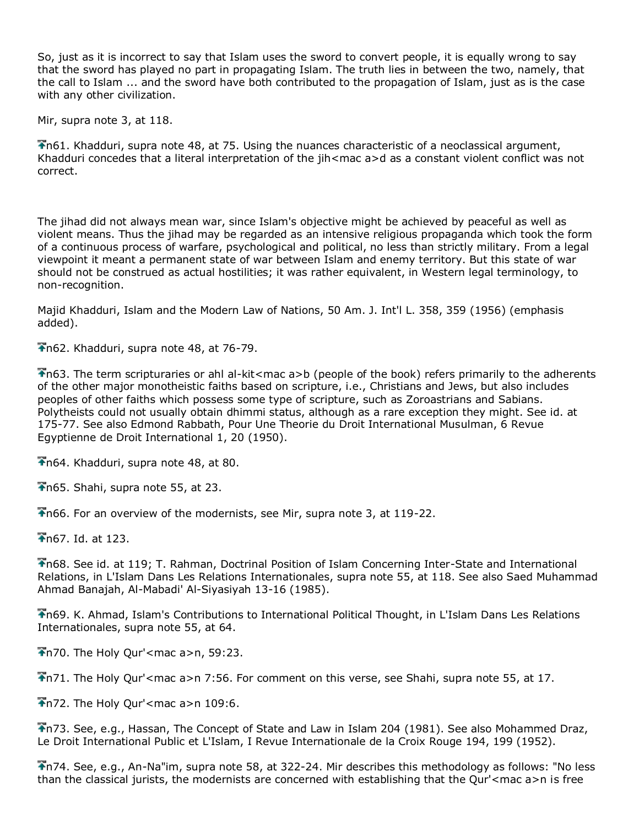So, just as it is incorrect to say that Islam uses the sword to convert people, it is equally wrong to say that the sword has played no part in propagating Islam. The truth lies in between the two, namely, that the call to Islam ... and the sword have both contributed to the propagation of Islam, just as is the case with any other civilization.

Mir, supra note 3, at 118.

n61. Khadduri, supra note 48, at 75. Using the nuances characteristic of a neoclassical argument, Khadduri concedes that a literal interpretation of the jih<mac a>d as a constant violent conflict was not correct.

The jihad did not always mean war, since Islam's objective might be achieved by peaceful as well as violent means. Thus the jihad may be regarded as an intensive religious propaganda which took the form of a continuous process of warfare, psychological and political, no less than strictly military. From a legal viewpoint it meant a permanent state of war between Islam and enemy territory. But this state of war should not be construed as actual hostilities; it was rather equivalent, in Western legal terminology, to non-recognition.

Majid Khadduri, Islam and the Modern Law of Nations, 50 Am. J. Int'l L. 358, 359 (1956) (emphasis added).

n62. Khadduri, supra note 48, at 76-79.

n63. The term scripturaries or ahl al-kit<mac a>b (people of the book) refers primarily to the adherents of the other major monotheistic faiths based on scripture, i.e., Christians and Jews, but also includes peoples of other faiths which possess some type of scripture, such as Zoroastrians and Sabians. Polytheists could not usually obtain dhimmi status, although as a rare exception they might. See id. at 175-77. See also Edmond Rabbath, Pour Une Theorie du Droit International Musulman, 6 Revue Egyptienne de Droit International 1, 20 (1950).

n64. Khadduri, supra note 48, at 80.

n65. Shahi, supra note 55, at 23.

n66. For an overview of the modernists, see Mir, supra note 3, at 119-22.

n67. Id. at 123.

n68. See id. at 119; T. Rahman, Doctrinal Position of Islam Concerning Inter-State and International Relations, in L'Islam Dans Les Relations Internationales, supra note 55, at 118. See also Saed Muhammad Ahmad Banajah, Al-Mabadi' Al-Siyasiyah 13-16 (1985).

n69. K. Ahmad, Islam's Contributions to International Political Thought, in L'Islam Dans Les Relations Internationales, supra note 55, at 64.

 $\blacktriangleright$ n70. The Holy Qur' < mac a>n, 59:23.

n71. The Holy Qur'<mac a>n 7:56. For comment on this verse, see Shahi, supra note 55, at 17.

 $\overline{\bullet}$ n72. The Holy Qur'<mac a>n 109:6.

n73. See, e.g., Hassan, The Concept of State and Law in Islam 204 (1981). See also Mohammed Draz, Le Droit International Public et L'Islam, I Revue Internationale de la Croix Rouge 194, 199 (1952).

n74. See, e.g., An-Na"im, supra note 58, at 322-24. Mir describes this methodology as follows: "No less than the classical jurists, the modernists are concerned with establishing that the Qur'<mac a>n is free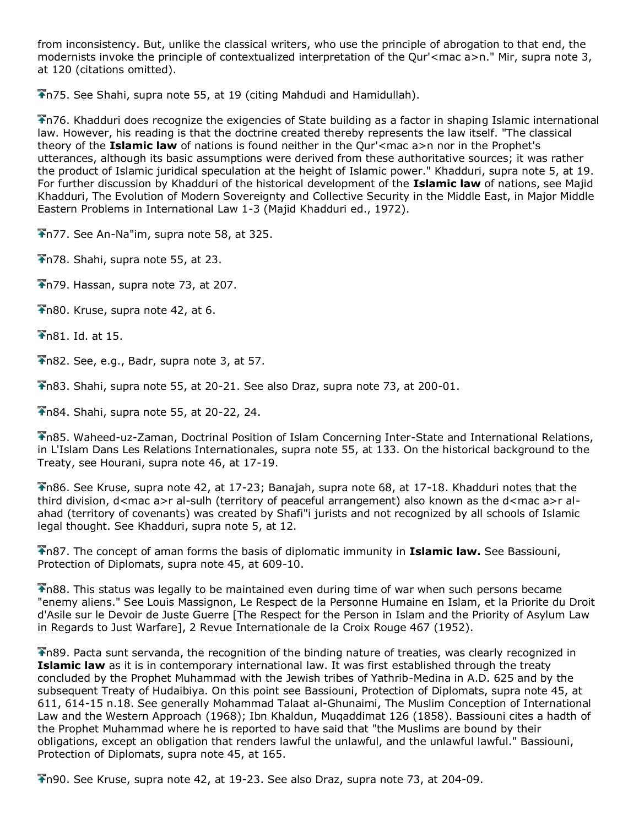from inconsistency. But, unlike the classical writers, who use the principle of abrogation to that end, the modernists invoke the principle of contextualized interpretation of the Qur'<mac a>n." Mir, supra note 3, at 120 (citations omitted).

n75. See Shahi, supra note 55, at 19 (citing Mahdudi and Hamidullah).

n76. Khadduri does recognize the exigencies of State building as a factor in shaping Islamic international law. However, his reading is that the doctrine created thereby represents the law itself. "The classical theory of the **Islamic law** of nations is found neither in the Qur'<mac a>n nor in the Prophet's utterances, although its basic assumptions were derived from these authoritative sources; it was rather the product of Islamic juridical speculation at the height of Islamic power." Khadduri, supra note 5, at 19. For further discussion by Khadduri of the historical development of the **Islamic law** of nations, see Majid Khadduri, The Evolution of Modern Sovereignty and Collective Security in the Middle East, in Major Middle Eastern Problems in International Law 1-3 (Majid Khadduri ed., 1972).

n77. See An-Na"im, supra note 58, at 325.

 $\overline{\text{In78}}$ . Shahi, supra note 55, at 23.

 $\bigtriangledown$ n79. Hassan, supra note 73, at 207.

n80. Kruse, supra note 42, at 6.

 $\overline{1}$ n81. Id. at 15.

n82. See, e.g., Badr, supra note 3, at 57.

n83. Shahi, supra note 55, at 20-21. See also Draz, supra note 73, at 200-01.

n84. Shahi, supra note 55, at 20-22, 24.

n85. Waheed-uz-Zaman, Doctrinal Position of Islam Concerning Inter-State and International Relations, in L'Islam Dans Les Relations Internationales, supra note 55, at 133. On the historical background to the Treaty, see Hourani, supra note 46, at 17-19.

n86. See Kruse, supra note 42, at 17-23; Banajah, supra note 68, at 17-18. Khadduri notes that the third division, d<mac a>r al-sulh (territory of peaceful arrangement) also known as the d<mac a>r alahad (territory of covenants) was created by Shafi"i jurists and not recognized by all schools of Islamic legal thought. See Khadduri, supra note 5, at 12.

n87. The concept of aman forms the basis of diplomatic immunity in **Islamic law.** See Bassiouni, Protection of Diplomats, supra note 45, at 609-10.

n88. This status was legally to be maintained even during time of war when such persons became "enemy aliens." See Louis Massignon, Le Respect de la Personne Humaine en Islam, et la Priorite du Droit d'Asile sur le Devoir de Juste Guerre [The Respect for the Person in Islam and the Priority of Asylum Law in Regards to Just Warfare], 2 Revue Internationale de la Croix Rouge 467 (1952).

n89. Pacta sunt servanda, the recognition of the binding nature of treaties, was clearly recognized in **Islamic law** as it is in contemporary international law. It was first established through the treaty concluded by the Prophet Muhammad with the Jewish tribes of Yathrib-Medina in A.D. 625 and by the subsequent Treaty of Hudaibiya. On this point see Bassiouni, Protection of Diplomats, supra note 45, at 611, 614-15 n.18. See generally Mohammad Talaat al-Ghunaimi, The Muslim Conception of International Law and the Western Approach (1968); Ibn Khaldun, Muqaddimat 126 (1858). Bassiouni cites a hadth of the Prophet Muhammad where he is reported to have said that "the Muslims are bound by their obligations, except an obligation that renders lawful the unlawful, and the unlawful lawful." Bassiouni, Protection of Diplomats, supra note 45, at 165.

n90. See Kruse, supra note 42, at 19-23. See also Draz, supra note 73, at 204-09.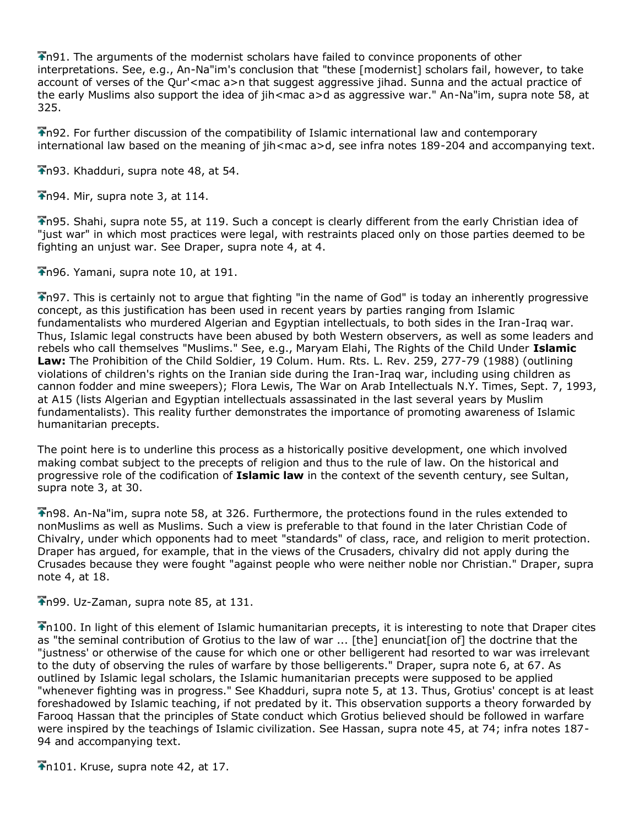$\bigtriangledown$ n91. The arguments of the modernist scholars have failed to convince proponents of other interpretations. See, e.g., An-Na"im's conclusion that "these [modernist] scholars fail, however, to take account of verses of the Our'<mac a>n that suggest aggressive jihad. Sunna and the actual practice of the early Muslims also support the idea of jih<mac a>d as aggressive war." An-Na"im, supra note 58, at 325.

n92. For further discussion of the compatibility of Islamic international law and contemporary international law based on the meaning of jih<mac a>d, see infra notes 189-204 and accompanying text.

n93. Khadduri, supra note 48, at 54.

 $\overline{\text{A}}$ n94. Mir, supra note 3, at 114.

n95. Shahi, supra note 55, at 119. Such a concept is clearly different from the early Christian idea of "just war" in which most practices were legal, with restraints placed only on those parties deemed to be fighting an unjust war. See Draper, supra note 4, at 4.

 $\bigtriangledown$ n96. Yamani, supra note 10, at 191.

**The 14** This is certainly not to argue that fighting "in the name of God" is today an inherently progressive concept, as this justification has been used in recent years by parties ranging from Islamic fundamentalists who murdered Algerian and Egyptian intellectuals, to both sides in the Iran-Iraq war. Thus, Islamic legal constructs have been abused by both Western observers, as well as some leaders and rebels who call themselves "Muslims." See, e.g., Maryam Elahi, The Rights of the Child Under **Islamic Law:** The Prohibition of the Child Soldier, 19 Colum. Hum. Rts. L. Rev. 259, 277-79 (1988) (outlining violations of children's rights on the Iranian side during the Iran-Iraq war, including using children as cannon fodder and mine sweepers); Flora Lewis, The War on Arab Intellectuals N.Y. Times, Sept. 7, 1993, at A15 (lists Algerian and Egyptian intellectuals assassinated in the last several years by Muslim fundamentalists). This reality further demonstrates the importance of promoting awareness of Islamic humanitarian precepts.

The point here is to underline this process as a historically positive development, one which involved making combat subject to the precepts of religion and thus to the rule of law. On the historical and progressive role of the codification of **Islamic law** in the context of the seventh century, see Sultan, supra note 3, at 30.

n98. An-Na"im, supra note 58, at 326. Furthermore, the protections found in the rules extended to nonMuslims as well as Muslims. Such a view is preferable to that found in the later Christian Code of Chivalry, under which opponents had to meet "standards" of class, race, and religion to merit protection. Draper has argued, for example, that in the views of the Crusaders, chivalry did not apply during the Crusades because they were fought "against people who were neither noble nor Christian." Draper, supra note 4, at 18.

n99. Uz-Zaman, supra note 85, at 131.

n100. In light of this element of Islamic humanitarian precepts, it is interesting to note that Draper cites as "the seminal contribution of Grotius to the law of war ... [the] enunciat[ion of] the doctrine that the "justness' or otherwise of the cause for which one or other belligerent had resorted to war was irrelevant to the duty of observing the rules of warfare by those belligerents." Draper, supra note 6, at 67. As outlined by Islamic legal scholars, the Islamic humanitarian precepts were supposed to be applied "whenever fighting was in progress." See Khadduri, supra note 5, at 13. Thus, Grotius' concept is at least foreshadowed by Islamic teaching, if not predated by it. This observation supports a theory forwarded by Farooq Hassan that the principles of State conduct which Grotius believed should be followed in warfare were inspired by the teachings of Islamic civilization. See Hassan, supra note 45, at 74; infra notes 187- 94 and accompanying text.

 $\bigtriangledown$ n101. Kruse, supra note 42, at 17.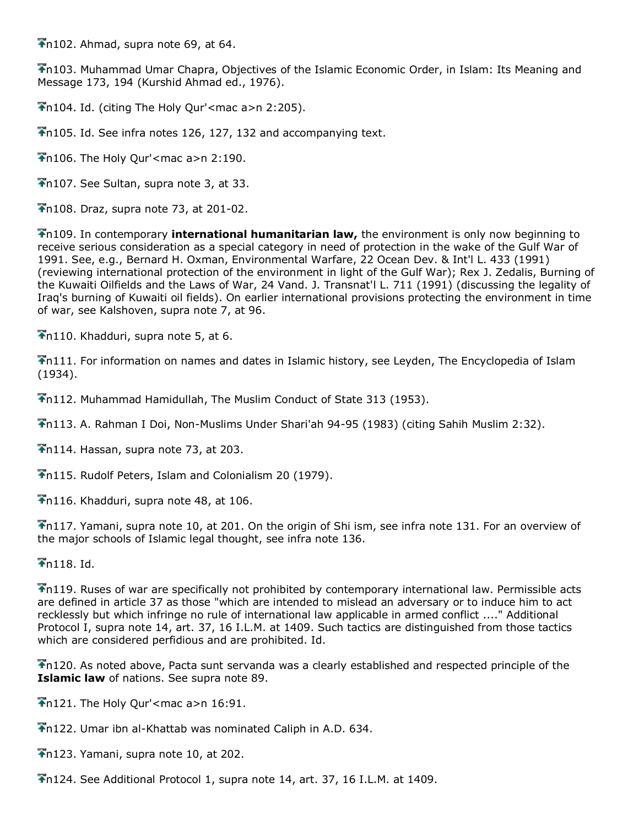$\bigtriangledown$ n102. Ahmad, supra note 69, at 64.

n103. Muhammad Umar Chapra, Objectives of the Islamic Economic Order, in Islam: Its Meaning and Message 173, 194 (Kurshid Ahmad ed., 1976).

n104. Id. (citing The Holy Qur'<mac a>n 2:205).

n105. Id. See infra notes 126, 127, 132 and accompanying text.

 $\bigtriangledown$ n106. The Holy Qur' < mac a > n 2:190.

Th107. See Sultan, supra note 3, at 33.

 $\overline{\bullet}$ n108. Draz, supra note 73, at 201-02.

n109. In contemporary **international humanitarian law,** the environment is only now beginning to receive serious consideration as a special category in need of protection in the wake of the Gulf War of 1991. See, e.g., Bernard H. Oxman, Environmental Warfare, 22 Ocean Dev. & Int'l L. 433 (1991) (reviewing international protection of the environment in light of the Gulf War); Rex J. Zedalis, Burning of the Kuwaiti Oilfields and the Laws of War, 24 Vand. J. Transnat'l L. 711 (1991) (discussing the legality of Iraq's burning of Kuwaiti oil fields). On earlier international provisions protecting the environment in time of war, see Kalshoven, supra note 7, at 96.

 $\bigtriangledown$ n110. Khadduri, supra note 5, at 6.

n111. For information on names and dates in Islamic history, see Leyden, The Encyclopedia of Islam (1934).

n112. Muhammad Hamidullah, The Muslim Conduct of State 313 (1953).

n113. A. Rahman I Doi, Non-Muslims Under Shari'ah 94-95 (1983) (citing Sahih Muslim 2:32).

 $\overline{\bullet}$ n114. Hassan, supra note 73, at 203.

n115. Rudolf Peters, Islam and Colonialism 20 (1979).

The 116. Khadduri, supra note 48, at 106.

n117. Yamani, supra note 10, at 201. On the origin of Shi ism, see infra note 131. For an overview of the major schools of Islamic legal thought, see infra note 136.

 $\bigstar$ n118. Id.

n119. Ruses of war are specifically not prohibited by contemporary international law. Permissible acts are defined in article 37 as those "which are intended to mislead an adversary or to induce him to act recklessly but which infringe no rule of international law applicable in armed conflict ...." Additional Protocol I, supra note 14, art. 37, 16 I.L.M. at 1409. Such tactics are distinguished from those tactics which are considered perfidious and are prohibited. Id.

n120. As noted above, Pacta sunt servanda was a clearly established and respected principle of the **Islamic law** of nations. See supra note 89.

 $\frac{1}{2}$ n121. The Holy Our' < mac a>n 16:91.

n122. Umar ibn al-Khattab was nominated Caliph in A.D. 634.

 $\overline{\bullet}$ n123. Yamani, supra note 10, at 202.

n124. See Additional Protocol 1, supra note 14, art. 37, 16 I.L.M. at 1409.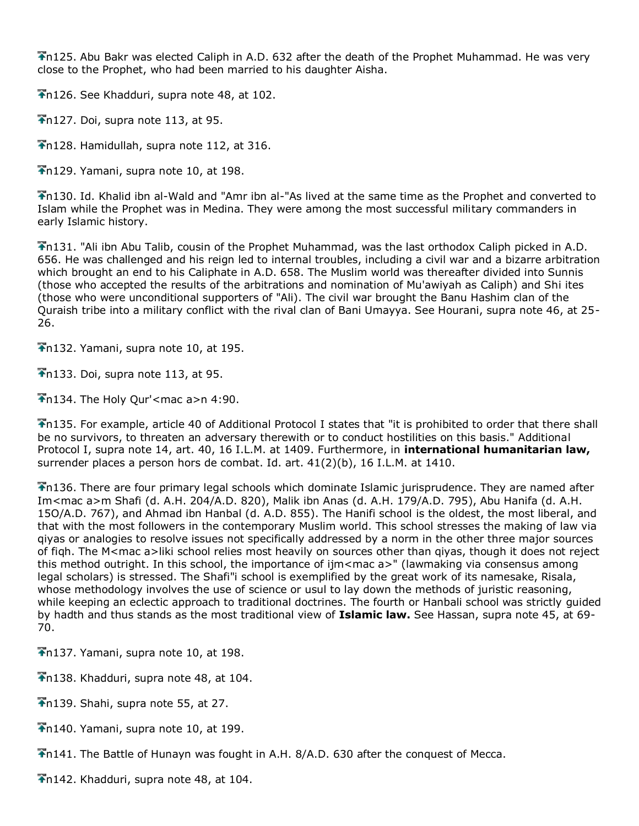$\sum_{i=1}^{n}$  Abu Bakr was elected Caliph in A.D. 632 after the death of the Prophet Muhammad. He was very close to the Prophet, who had been married to his daughter Aisha.

n126. See Khadduri, supra note 48, at 102.

 $\overline{\bullet}$ n127. Doi, supra note 113, at 95.

n128. Hamidullah, supra note 112, at 316.

 $\bigtriangledown$ n129. Yamani, supra note 10, at 198.

n130. Id. Khalid ibn al-Wald and "Amr ibn al-"As lived at the same time as the Prophet and converted to Islam while the Prophet was in Medina. They were among the most successful military commanders in early Islamic history.

n131. "Ali ibn Abu Talib, cousin of the Prophet Muhammad, was the last orthodox Caliph picked in A.D. 656. He was challenged and his reign led to internal troubles, including a civil war and a bizarre arbitration which brought an end to his Caliphate in A.D. 658. The Muslim world was thereafter divided into Sunnis (those who accepted the results of the arbitrations and nomination of Mu'awiyah as Caliph) and Shi ites (those who were unconditional supporters of "Ali). The civil war brought the Banu Hashim clan of the Quraish tribe into a military conflict with the rival clan of Bani Umayya. See Hourani, supra note 46, at 25- 26.

 $\bigstar$ n132. Yamani, supra note 10, at 195.

 $\bigtriangledown$ n133. Doi, supra note 113, at 95.

 $\bigtriangledown$ n134. The Holy Qur' < mac a > n 4:90.

n135. For example, article 40 of Additional Protocol I states that "it is prohibited to order that there shall be no survivors, to threaten an adversary therewith or to conduct hostilities on this basis." Additional Protocol I, supra note 14, art. 40, 16 I.L.M. at 1409. Furthermore, in **international humanitarian law,** surrender places a person hors de combat. Id. art. 41(2)(b), 16 I.L.M. at 1410.

n136. There are four primary legal schools which dominate Islamic jurisprudence. They are named after Im<mac a>m Shafi (d. A.H. 204/A.D. 820), Malik ibn Anas (d. A.H. 179/A.D. 795), Abu Hanifa (d. A.H. 15O/A.D. 767), and Ahmad ibn Hanbal (d. A.D. 855). The Hanifi school is the oldest, the most liberal, and that with the most followers in the contemporary Muslim world. This school stresses the making of law via qiyas or analogies to resolve issues not specifically addressed by a norm in the other three major sources of fiqh. The M<mac a>liki school relies most heavily on sources other than qiyas, though it does not reject this method outright. In this school, the importance of ijm<mac a>" (lawmaking via consensus among legal scholars) is stressed. The Shafi"i school is exemplified by the great work of its namesake, Risala, whose methodology involves the use of science or usul to lay down the methods of juristic reasoning, while keeping an eclectic approach to traditional doctrines. The fourth or Hanbali school was strictly guided by hadth and thus stands as the most traditional view of **Islamic law.** See Hassan, supra note 45, at 69- 70.

n137. Yamani, supra note 10, at 198.

 $\overline{\bullet}$ n138. Khadduri, supra note 48, at 104.

 $\overline{\bullet}$ n139. Shahi, supra note 55, at 27.

n140. Yamani, supra note 10, at 199.

n141. The Battle of Hunayn was fought in A.H. 8/A.D. 630 after the conquest of Mecca.

n142. Khadduri, supra note 48, at 104.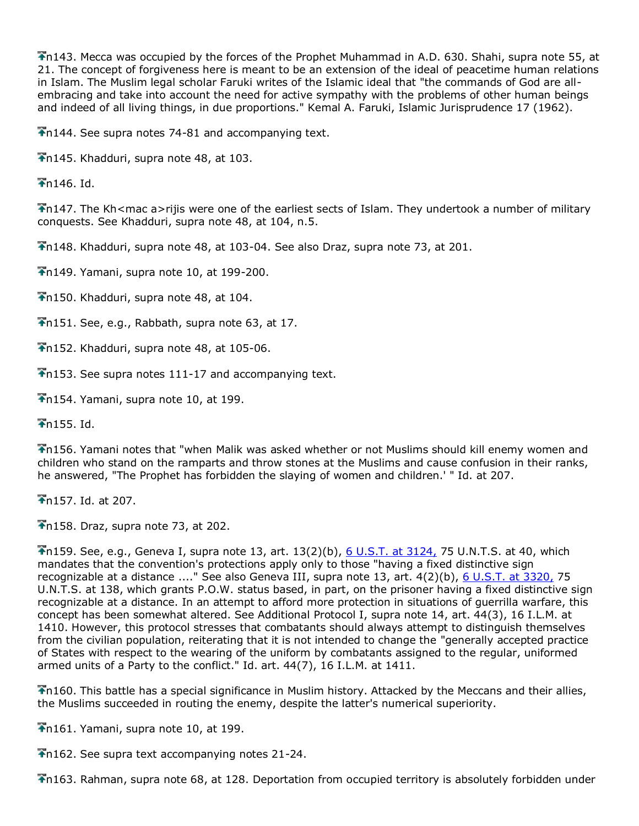n143. Mecca was occupied by the forces of the Prophet Muhammad in A.D. 630. Shahi, supra note 55, at 21. The concept of forgiveness here is meant to be an extension of the ideal of peacetime human relations in Islam. The Muslim legal scholar Faruki writes of the Islamic ideal that "the commands of God are allembracing and take into account the need for active sympathy with the problems of other human beings and indeed of all living things, in due proportions." Kemal A. Faruki, Islamic Jurisprudence 17 (1962).

 $\bigtriangledown$ n144. See supra notes 74-81 and accompanying text.

n145. Khadduri, supra note 48, at 103.

 $\overline{\bullet}$ n146. Id.

Th147. The Kh<mac a>rijis were one of the earliest sects of Islam. They undertook a number of military conquests. See Khadduri, supra note 48, at 104, n.5.

n148. Khadduri, supra note 48, at 103-04. See also Draz, supra note 73, at 201.

n149. Yamani, supra note 10, at 199-200.

n150. Khadduri, supra note 48, at 104.

 $\overline{\bullet}$ n151. See, e.g., Rabbath, supra note 63, at 17.

n152. Khadduri, supra note 48, at 105-06.

n153. See supra notes 111-17 and accompanying text.

n154. Yamani, supra note 10, at 199.

 $\bigstar$ n155. Id.

n156. Yamani notes that "when Malik was asked whether or not Muslims should kill enemy women and children who stand on the ramparts and throw stones at the Muslims and cause confusion in their ranks, he answered, "The Prophet has forbidden the slaying of women and children.' " Id. at 207.

 $\overline{\bullet}$ n157. Id. at 207.

 $\bigtriangledown$ n158. Draz, supra note 73, at 202.

 $\overline{1}$ n159. See, e.g., Geneva I, supra note 13, art. 13(2)(b), [6 U.S.T. at 3124,](http://www.lexis.com/research/buttonTFLink?_m=1b4c68542c8bcfbd131f10c2c8299360&_xfercite=%3ccite%20cc%3d%22USA%22%3e%3c%21%5bCDATA%5b15%20Mich.%20J.%20Int%27l%20L.%20605%5d%5d%3e%3c%2fcite%3e&_butType=3&_butStat=2&_butNum=284&_butInline=1&_butinfo=%3ccite%20cc%3d%22USA%22%3e%3c%21%5bCDATA%5b6%20U.S.T.%203114%2cat%203124%5d%5d%3e%3c%2fcite%3e&_fmtstr=FULL&docnum=1&_startdoc=1&wchp=dGLbVzz-zSkAA&_md5=ce9a1ad45f1f5943fef1202946550128) 75 U.N.T.S. at 40, which mandates that the convention's protections apply only to those "having a fixed distinctive sign recognizable at a distance ...." See also Geneva III, supra note 13, art. 4(2)(b), [6 U.S.T. at](http://www.lexis.com/research/buttonTFLink?_m=1b4c68542c8bcfbd131f10c2c8299360&_xfercite=%3ccite%20cc%3d%22USA%22%3e%3c%21%5bCDATA%5b15%20Mich.%20J.%20Int%27l%20L.%20605%5d%5d%3e%3c%2fcite%3e&_butType=3&_butStat=2&_butNum=285&_butInline=1&_butinfo=%3ccite%20cc%3d%22USA%22%3e%3c%21%5bCDATA%5b6%20U.S.T.%203316%2cat%203320%5d%5d%3e%3c%2fcite%3e&_fmtstr=FULL&docnum=1&_startdoc=1&wchp=dGLbVzz-zSkAA&_md5=00c51e166de93a7945a977cfa9596b0c) 3320, 75 U.N.T.S. at 138, which grants P.O.W. status based, in part, on the prisoner having a fixed distinctive sign recognizable at a distance. In an attempt to afford more protection in situations of guerrilla warfare, this concept has been somewhat altered. See Additional Protocol I, supra note 14, art. 44(3), 16 I.L.M. at 1410. However, this protocol stresses that combatants should always attempt to distinguish themselves from the civilian population, reiterating that it is not intended to change the "generally accepted practice of States with respect to the wearing of the uniform by combatants assigned to the regular, uniformed armed units of a Party to the conflict." Id. art. 44(7), 16 I.L.M. at 1411.

n160. This battle has a special significance in Muslim history. Attacked by the Meccans and their allies, the Muslims succeeded in routing the enemy, despite the latter's numerical superiority.

n161. Yamani, supra note 10, at 199.

n162. See supra text accompanying notes 21-24.

n163. Rahman, supra note 68, at 128. Deportation from occupied territory is absolutely forbidden under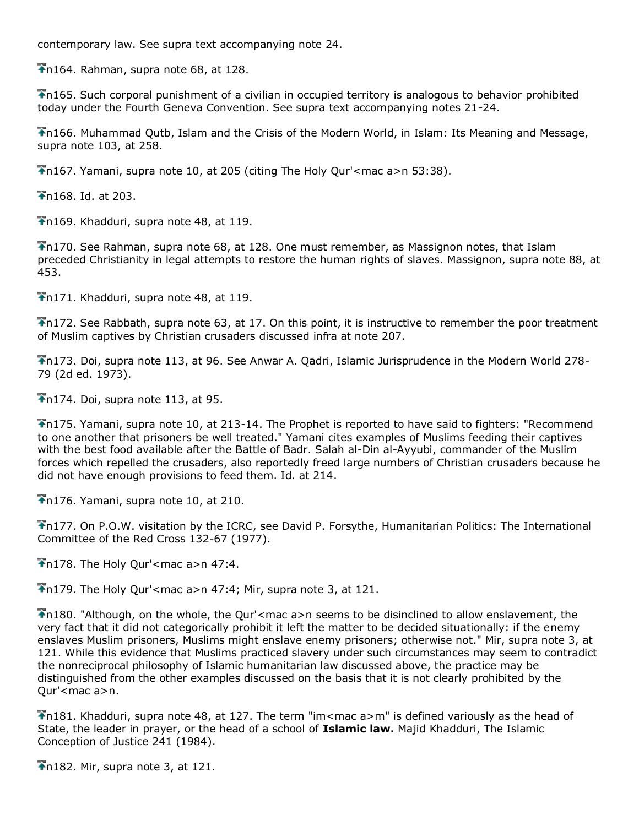contemporary law. See supra text accompanying note 24.

 $\overline{\bullet}$ n164. Rahman, supra note 68, at 128.

n165. Such corporal punishment of a civilian in occupied territory is analogous to behavior prohibited today under the Fourth Geneva Convention. See supra text accompanying notes 21-24.

n166. Muhammad Qutb, Islam and the Crisis of the Modern World, in Islam: Its Meaning and Message, supra note 103, at 258.

 $\Gamma$ n167. Yamani, supra note 10, at 205 (citing The Holy Our' < mac a>n 53:38).

**Th** 168. Id. at 203.

n169. Khadduri, supra note 48, at 119.

n170. See Rahman, supra note 68, at 128. One must remember, as Massignon notes, that Islam preceded Christianity in legal attempts to restore the human rights of slaves. Massignon, supra note 88, at 453.

n171. Khadduri, supra note 48, at 119.

n172. See Rabbath, supra note 63, at 17. On this point, it is instructive to remember the poor treatment of Muslim captives by Christian crusaders discussed infra at note 207.

n173. Doi, supra note 113, at 96. See Anwar A. Qadri, Islamic Jurisprudence in the Modern World 278- 79 (2d ed. 1973).

 $\bigtriangledown$ n174. Doi, supra note 113, at 95.

n175. Yamani, supra note 10, at 213-14. The Prophet is reported to have said to fighters: "Recommend to one another that prisoners be well treated." Yamani cites examples of Muslims feeding their captives with the best food available after the Battle of Badr. Salah al-Din al-Ayyubi, commander of the Muslim forces which repelled the crusaders, also reportedly freed large numbers of Christian crusaders because he did not have enough provisions to feed them. Id. at 214.

The 176. Yamani, supra note 10, at 210.

n177. On P.O.W. visitation by the ICRC, see David P. Forsythe, Humanitarian Politics: The International Committee of the Red Cross 132-67 (1977).

 $\bigtriangledown$ n178. The Holy Our' < mac a>n 47:4.

 $\bigcap$  179. The Holy Qur'<mac a>n 47:4; Mir, supra note 3, at 121.

n180. "Although, on the whole, the Qur'<mac a>n seems to be disinclined to allow enslavement, the very fact that it did not categorically prohibit it left the matter to be decided situationally: if the enemy enslaves Muslim prisoners, Muslims might enslave enemy prisoners; otherwise not." Mir, supra note 3, at 121. While this evidence that Muslims practiced slavery under such circumstances may seem to contradict the nonreciprocal philosophy of Islamic humanitarian law discussed above, the practice may be distinguished from the other examples discussed on the basis that it is not clearly prohibited by the Qur'<mac a>n.

n181. Khadduri, supra note 48, at 127. The term "im<mac a>m" is defined variously as the head of State, the leader in prayer, or the head of a school of **Islamic law.** Majid Khadduri, The Islamic Conception of Justice 241 (1984).

 $\bigstar$ n182. Mir, supra note 3, at 121.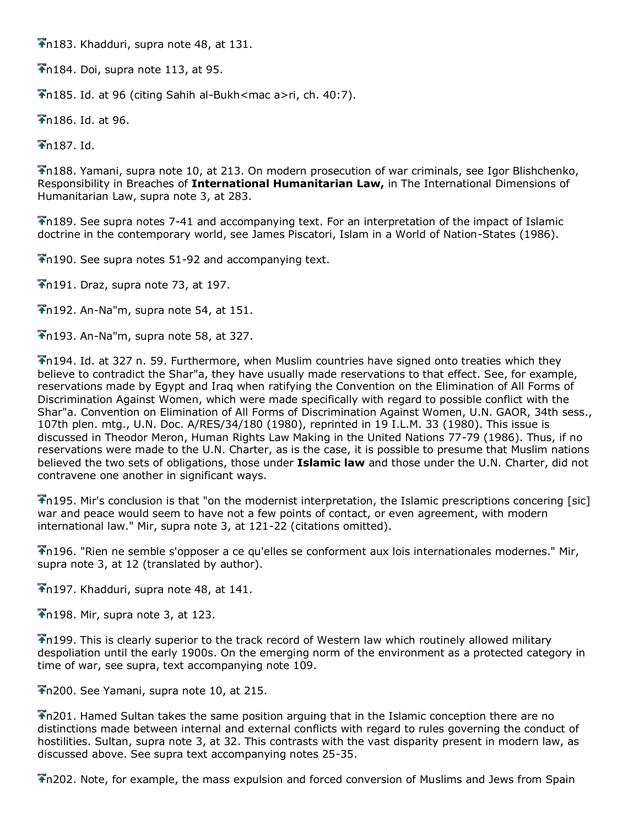n183. Khadduri, supra note 48, at 131.

 $\overline{\text{In}}184$ . Doi, supra note 113, at 95.

n185. Id. at 96 (citing Sahih al-Bukh<mac a>ri, ch. 40:7).

n186. Id. at 96.

 $\bigstar$ n187. Id.

n188. Yamani, supra note 10, at 213. On modern prosecution of war criminals, see Igor Blishchenko, Responsibility in Breaches of **International Humanitarian Law,** in The International Dimensions of Humanitarian Law, supra note 3, at 283.

n189. See supra notes 7-41 and accompanying text. For an interpretation of the impact of Islamic doctrine in the contemporary world, see James Piscatori, Islam in a World of Nation-States (1986).

 $\bigtriangledown$ n190. See supra notes 51-92 and accompanying text.

 $\bigtriangledown$ n191. Draz, supra note 73, at 197.

 $\bigtriangledown$ n192. An-Na"m, supra note 54, at 151.

 $\bigtriangledown$ n193. An-Na"m, supra note 58, at 327.

n194. Id. at 327 n. 59. Furthermore, when Muslim countries have signed onto treaties which they believe to contradict the Shar"a, they have usually made reservations to that effect. See, for example, reservations made by Egypt and Iraq when ratifying the Convention on the Elimination of All Forms of Discrimination Against Women, which were made specifically with regard to possible conflict with the Shar"a. Convention on Elimination of All Forms of Discrimination Against Women, U.N. GAOR, 34th sess., 107th plen. mtg., U.N. Doc. A/RES/34/180 (1980), reprinted in 19 I.L.M. 33 (1980). This issue is discussed in Theodor Meron, Human Rights Law Making in the United Nations 77-79 (1986). Thus, if no reservations were made to the U.N. Charter, as is the case, it is possible to presume that Muslim nations believed the two sets of obligations, those under **Islamic law** and those under the U.N. Charter, did not contravene one another in significant ways.

n195. Mir's conclusion is that "on the modernist interpretation, the Islamic prescriptions concering [sic] war and peace would seem to have not a few points of contact, or even agreement, with modern international law." Mir, supra note 3, at 121-22 (citations omitted).

n196. "Rien ne semble s'opposer a ce qu'elles se conforment aux lois internationales modernes." Mir, supra note 3, at 12 (translated by author).

n197. Khadduri, supra note 48, at 141.

 $\overline{\bullet}$ n198. Mir, supra note 3, at 123.

n199. This is clearly superior to the track record of Western law which routinely allowed military despoliation until the early 1900s. On the emerging norm of the environment as a protected category in time of war, see supra, text accompanying note 109.

n200. See Yamani, supra note 10, at 215.

n201. Hamed Sultan takes the same position arguing that in the Islamic conception there are no distinctions made between internal and external conflicts with regard to rules governing the conduct of hostilities. Sultan, supra note 3, at 32. This contrasts with the vast disparity present in modern law, as discussed above. See supra text accompanying notes 25-35.

n202. Note, for example, the mass expulsion and forced conversion of Muslims and Jews from Spain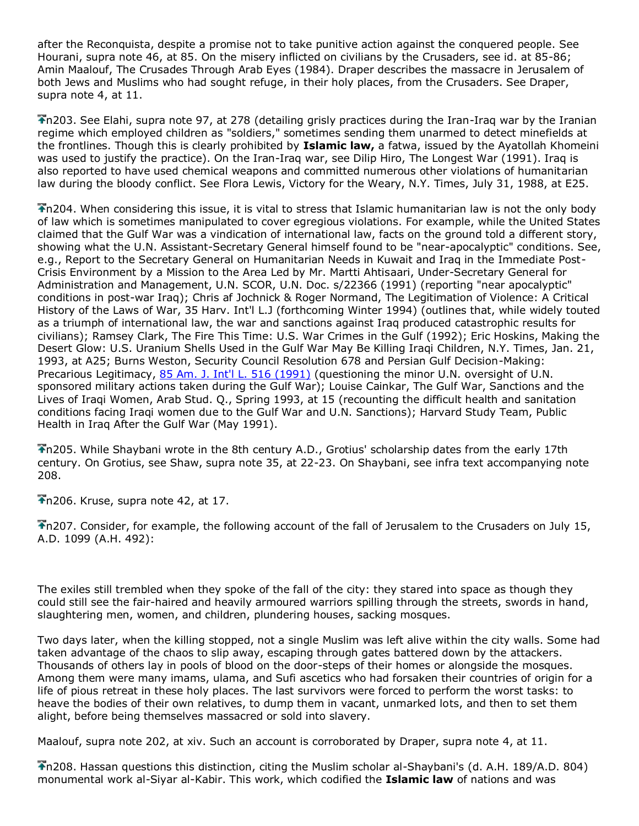after the Reconquista, despite a promise not to take punitive action against the conquered people. See Hourani, supra note 46, at 85. On the misery inflicted on civilians by the Crusaders, see id. at 85-86; Amin Maalouf, The Crusades Through Arab Eyes (1984). Draper describes the massacre in Jerusalem of both Jews and Muslims who had sought refuge, in their holy places, from the Crusaders. See Draper, supra note 4, at 11.

n203. See Elahi, supra note 97, at 278 (detailing grisly practices during the Iran-Iraq war by the Iranian regime which employed children as "soldiers," sometimes sending them unarmed to detect minefields at the frontlines. Though this is clearly prohibited by **Islamic law,** a fatwa, issued by the Ayatollah Khomeini was used to justify the practice). On the Iran-Iraq war, see Dilip Hiro, The Longest War (1991). Iraq is also reported to have used chemical weapons and committed numerous other violations of humanitarian law during the bloody conflict. See Flora Lewis, Victory for the Weary, N.Y. Times, July 31, 1988, at E25.

n204. When considering this issue, it is vital to stress that Islamic humanitarian law is not the only body of law which is sometimes manipulated to cover egregious violations. For example, while the United States claimed that the Gulf War was a vindication of international law, facts on the ground told a different story, showing what the U.N. Assistant-Secretary General himself found to be "near-apocalyptic" conditions. See, e.g., Report to the Secretary General on Humanitarian Needs in Kuwait and Iraq in the Immediate Post-Crisis Environment by a Mission to the Area Led by Mr. Martti Ahtisaari, Under-Secretary General for Administration and Management, U.N. SCOR, U.N. Doc. s/22366 (1991) (reporting "near apocalyptic" conditions in post-war Iraq); Chris af Jochnick & Roger Normand, The Legitimation of Violence: A Critical History of the Laws of War, 35 Harv. Int'l L.J (forthcoming Winter 1994) (outlines that, while widely touted as a triumph of international law, the war and sanctions against Iraq produced catastrophic results for civilians); Ramsey Clark, The Fire This Time: U.S. War Crimes in the Gulf (1992); Eric Hoskins, Making the Desert Glow: U.S. Uranium Shells Used in the Gulf War May Be Killing Iraqi Children, N.Y. Times, Jan. 21, 1993, at A25; Burns Weston, Security Council Resolution 678 and Persian Gulf Decision-Making: Precarious Legitimacy, [85 Am. J. Int'l L. 516 \(1991\)](http://www.lexis.com/research/buttonTFLink?_m=1b4c68542c8bcfbd131f10c2c8299360&_xfercite=%3ccite%20cc%3d%22USA%22%3e%3c%21%5bCDATA%5b15%20Mich.%20J.%20Int%27l%20L.%20605%5d%5d%3e%3c%2fcite%3e&_butType=3&_butStat=2&_butNum=289&_butInline=1&_butinfo=%3ccite%20cc%3d%22USA%22%3e%3c%21%5bCDATA%5b85%20A.J.I.L.%20516%5d%5d%3e%3c%2fcite%3e&_fmtstr=FULL&docnum=1&_startdoc=1&wchp=dGLbVzz-zSkAA&_md5=07c9ee975f15588b5f8246149197ef6a) (questioning the minor U.N. oversight of U.N. sponsored military actions taken during the Gulf War); Louise Cainkar, The Gulf War, Sanctions and the Lives of Iraqi Women, Arab Stud. Q., Spring 1993, at 15 (recounting the difficult health and sanitation conditions facing Iraqi women due to the Gulf War and U.N. Sanctions); Harvard Study Team, Public Health in Iraq After the Gulf War (May 1991).

n205. While Shaybani wrote in the 8th century A.D., Grotius' scholarship dates from the early 17th century. On Grotius, see Shaw, supra note 35, at 22-23. On Shaybani, see infra text accompanying note 208.

 $\overline{\bullet}$ n206. Kruse, supra note 42, at 17.

n207. Consider, for example, the following account of the fall of Jerusalem to the Crusaders on July 15, A.D. 1099 (A.H. 492):

The exiles still trembled when they spoke of the fall of the city: they stared into space as though they could still see the fair-haired and heavily armoured warriors spilling through the streets, swords in hand, slaughtering men, women, and children, plundering houses, sacking mosques.

Two days later, when the killing stopped, not a single Muslim was left alive within the city walls. Some had taken advantage of the chaos to slip away, escaping through gates battered down by the attackers. Thousands of others lay in pools of blood on the door-steps of their homes or alongside the mosques. Among them were many imams, ulama, and Sufi ascetics who had forsaken their countries of origin for a life of pious retreat in these holy places. The last survivors were forced to perform the worst tasks: to heave the bodies of their own relatives, to dump them in vacant, unmarked lots, and then to set them alight, before being themselves massacred or sold into slavery.

Maalouf, supra note 202, at xiv. Such an account is corroborated by Draper, supra note 4, at 11.

n208. Hassan questions this distinction, citing the Muslim scholar al-Shaybani's (d. A.H. 189/A.D. 804) monumental work al-Siyar al-Kabir. This work, which codified the **Islamic law** of nations and was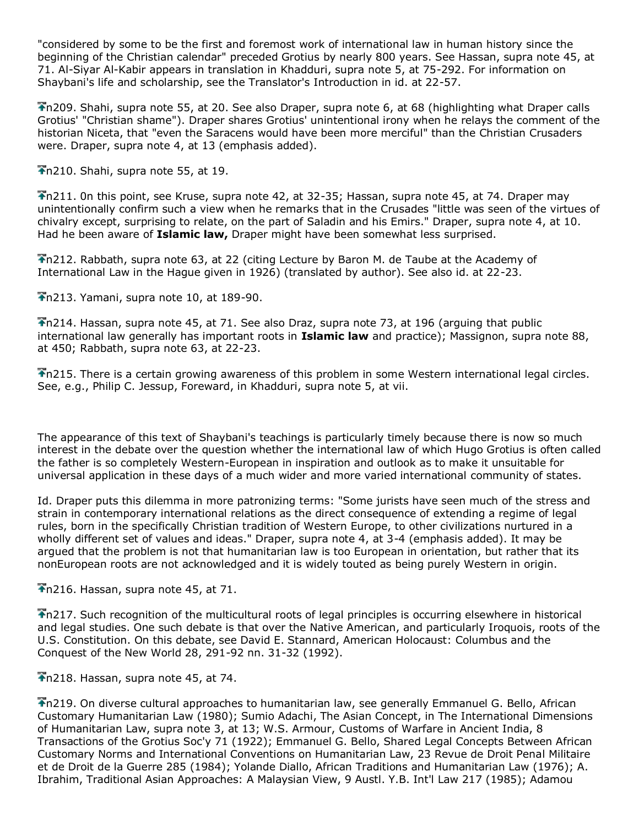"considered by some to be the first and foremost work of international law in human history since the beginning of the Christian calendar" preceded Grotius by nearly 800 years. See Hassan, supra note 45, at 71. Al-Siyar Al-Kabir appears in translation in Khadduri, supra note 5, at 75-292. For information on Shaybani's life and scholarship, see the Translator's Introduction in id. at 22-57.

n209. Shahi, supra note 55, at 20. See also Draper, supra note 6, at 68 (highlighting what Draper calls Grotius' "Christian shame"). Draper shares Grotius' unintentional irony when he relays the comment of the historian Niceta, that "even the Saracens would have been more merciful" than the Christian Crusaders were. Draper, supra note 4, at 13 (emphasis added).

n210. Shahi, supra note 55, at 19.

n211. 0n this point, see Kruse, supra note 42, at 32-35; Hassan, supra note 45, at 74. Draper may unintentionally confirm such a view when he remarks that in the Crusades "little was seen of the virtues of chivalry except, surprising to relate, on the part of Saladin and his Emirs." Draper, supra note 4, at 10. Had he been aware of **Islamic law,** Draper might have been somewhat less surprised.

n212. Rabbath, supra note 63, at 22 (citing Lecture by Baron M. de Taube at the Academy of International Law in the Hague given in 1926) (translated by author). See also id. at 22-23.

n213. Yamani, supra note 10, at 189-90.

n214. Hassan, supra note 45, at 71. See also Draz, supra note 73, at 196 (arguing that public international law generally has important roots in **Islamic law** and practice); Massignon, supra note 88, at 450; Rabbath, supra note 63, at 22-23.

n215. There is a certain growing awareness of this problem in some Western international legal circles. See, e.g., Philip C. Jessup, Foreward, in Khadduri, supra note 5, at vii.

The appearance of this text of Shaybani's teachings is particularly timely because there is now so much interest in the debate over the question whether the international law of which Hugo Grotius is often called the father is so completely Western-European in inspiration and outlook as to make it unsuitable for universal application in these days of a much wider and more varied international community of states.

Id. Draper puts this dilemma in more patronizing terms: "Some jurists have seen much of the stress and strain in contemporary international relations as the direct consequence of extending a regime of legal rules, born in the specifically Christian tradition of Western Europe, to other civilizations nurtured in a wholly different set of values and ideas." Draper, supra note 4, at 3-4 (emphasis added). It may be argued that the problem is not that humanitarian law is too European in orientation, but rather that its nonEuropean roots are not acknowledged and it is widely touted as being purely Western in origin.

n216. Hassan, supra note 45, at 71.

n217. Such recognition of the multicultural roots of legal principles is occurring elsewhere in historical and legal studies. One such debate is that over the Native American, and particularly Iroquois, roots of the U.S. Constitution. On this debate, see David E. Stannard, American Holocaust: Columbus and the Conquest of the New World 28, 291-92 nn. 31-32 (1992).

 $\overline{\text{A}}$ n218. Hassan, supra note 45, at 74.

n219. On diverse cultural approaches to humanitarian law, see generally Emmanuel G. Bello, African Customary Humanitarian Law (1980); Sumio Adachi, The Asian Concept, in The International Dimensions of Humanitarian Law, supra note 3, at 13; W.S. Armour, Customs of Warfare in Ancient India, 8 Transactions of the Grotius Soc'y 71 (1922); Emmanuel G. Bello, Shared Legal Concepts Between African Customary Norms and International Conventions on Humanitarian Law, 23 Revue de Droit Penal Militaire et de Droit de la Guerre 285 (1984); Yolande Diallo, African Traditions and Humanitarian Law (1976); A. Ibrahim, Traditional Asian Approaches: A Malaysian View, 9 Austl. Y.B. Int'l Law 217 (1985); Adamou